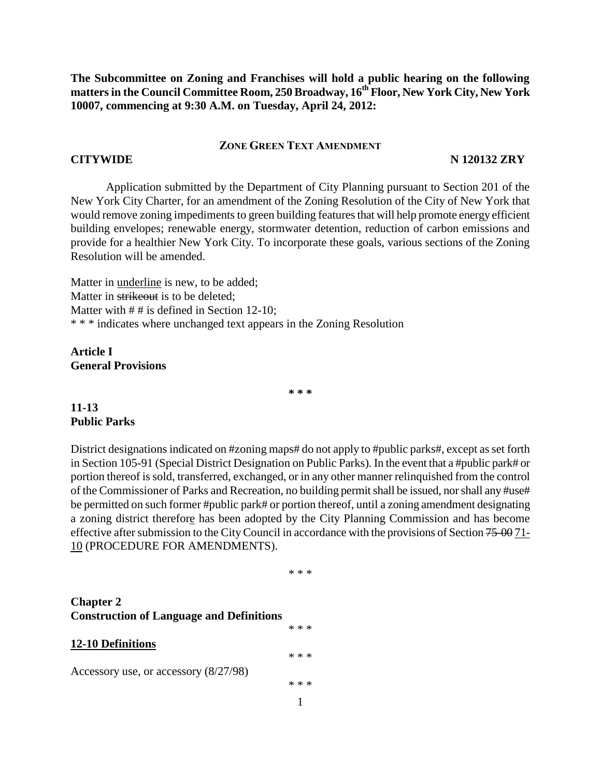**The Subcommittee on Zoning and Franchises will hold a public hearing on the following matters in the Council Committee Room, 250 Broadway, 16th Floor, New York City, New York 10007, commencing at 9:30 A.M. on Tuesday, April 24, 2012:**

#### **ZONE GREEN TEXT AMENDMENT**

#### **CITYWIDE N 120132 ZRY**

Application submitted by the Department of City Planning pursuant to Section 201 of the New York City Charter, for an amendment of the Zoning Resolution of the City of New York that would remove zoning impediments to green building features that will help promote energy efficient building envelopes; renewable energy, stormwater detention, reduction of carbon emissions and provide for a healthier New York City. To incorporate these goals, various sections of the Zoning Resolution will be amended.

Matter in underline is new, to be added; Matter in strikeout is to be deleted; Matter with  $# #$  is defined in Section 12-10; \* \* \* indicates where unchanged text appears in the Zoning Resolution

**Article I General Provisions**

**\* \* \***

## **11-13 Public Parks**

District designations indicated on #zoning maps# do not apply to #public parks#, except as set forth in Section 105-91 (Special District Designation on Public Parks). In the event that a #public park# or portion thereof is sold, transferred, exchanged, or in any other manner relinquished from the control of the Commissioner of Parks and Recreation, no building permit shall be issued, nor shall any #use# be permitted on such former #public park# or portion thereof, until a zoning amendment designating a zoning district therefore has been adopted by the City Planning Commission and has become effective after submission to the City Council in accordance with the provisions of Section 75-00 71- 10 (PROCEDURE FOR AMENDMENTS).

#### \* \* \*

\* \* \*

\* \* \*

## **Chapter 2 Construction of Language and Definitions**

#### **12-10 Definitions**

Accessory use, or accessory (8/27/98)

1 \* \* \*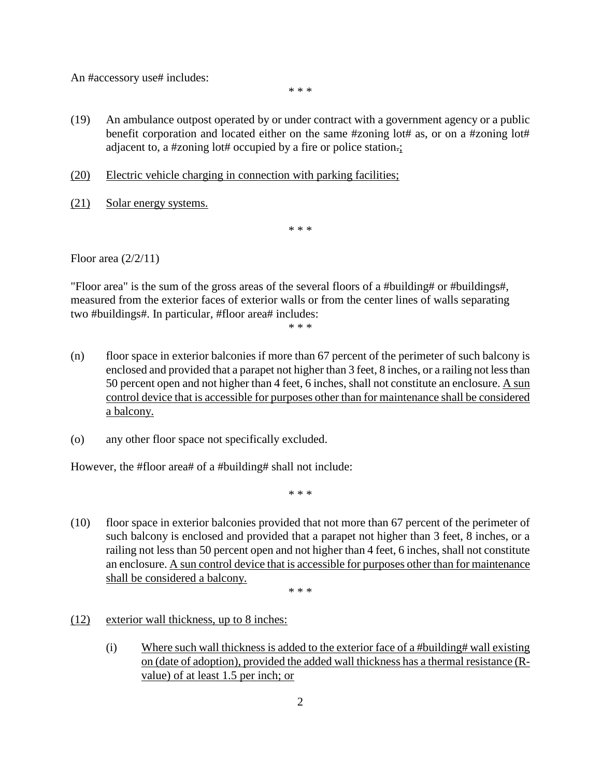An #accessory use# includes:

\* \* \*

- (19) An ambulance outpost operated by or under contract with a government agency or a public benefit corporation and located either on the same #zoning lot# as, or on a #zoning lot# adjacent to, a #zoning lot# occupied by a fire or police station.;
- (20) Electric vehicle charging in connection with parking facilities;
- (21) Solar energy systems.

\* \* \*

Floor area (2/2/11)

"Floor area" is the sum of the gross areas of the several floors of a #building# or #buildings#, measured from the exterior faces of exterior walls or from the center lines of walls separating two #buildings#. In particular, #floor area# includes:

\* \* \*

- (n) floor space in exterior balconies if more than 67 percent of the perimeter of such balcony is enclosed and provided that a parapet not higher than 3 feet, 8 inches, or a railing not less than 50 percent open and not higher than 4 feet, 6 inches, shall not constitute an enclosure. A sun control device that is accessible for purposes other than for maintenance shall be considered a balcony.
- (o) any other floor space not specifically excluded.

However, the #floor area# of a #building# shall not include:

\* \* \*

(10) floor space in exterior balconies provided that not more than 67 percent of the perimeter of such balcony is enclosed and provided that a parapet not higher than 3 feet, 8 inches, or a railing not less than 50 percent open and not higher than 4 feet, 6 inches, shall not constitute an enclosure. A sun control device that is accessible for purposes other than for maintenance shall be considered a balcony.

\* \* \*

- (12) exterior wall thickness, up to 8 inches:
	- (i) Where such wall thickness is added to the exterior face of a #building# wall existing on (date of adoption), provided the added wall thickness has a thermal resistance (Rvalue) of at least 1.5 per inch; or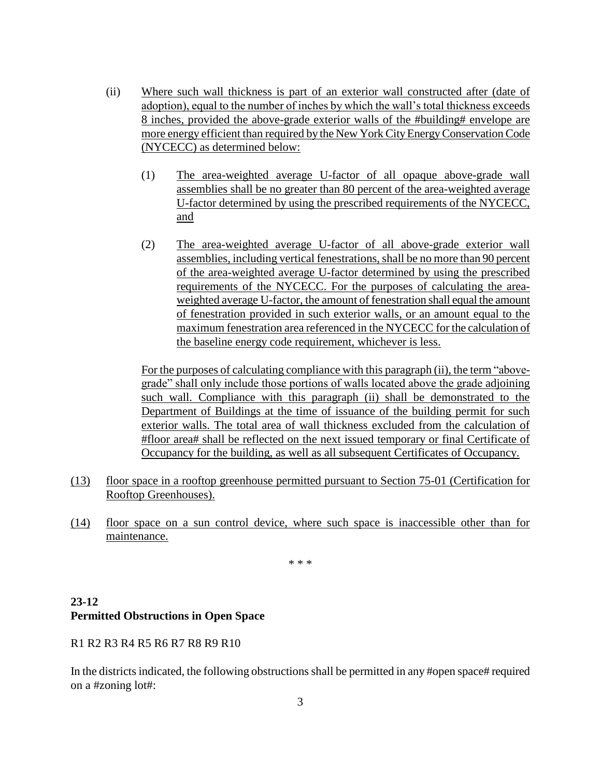- (ii) Where such wall thickness is part of an exterior wall constructed after (date of adoption), equal to the number of inches by which the wall's total thickness exceeds 8 inches, provided the above-grade exterior walls of the #building# envelope are more energy efficient than required by the New York City EnergyConservation Code (NYCECC) as determined below:
	- (1) The area-weighted average U-factor of all opaque above-grade wall assemblies shall be no greater than 80 percent of the area-weighted average U-factor determined by using the prescribed requirements of the NYCECC, and
	- (2) The area-weighted average U-factor of all above-grade exterior wall assemblies, including vertical fenestrations, shall be no more than 90 percent of the area-weighted average U-factor determined by using the prescribed requirements of the NYCECC. For the purposes of calculating the areaweighted average U-factor, the amount of fenestration shall equal the amount of fenestration provided in such exterior walls, or an amount equal to the maximum fenestration area referenced in the NYCECC for the calculation of the baseline energy code requirement, whichever is less.

For the purposes of calculating compliance with this paragraph (ii), the term "abovegrade" shall only include those portions of walls located above the grade adjoining such wall. Compliance with this paragraph (ii) shall be demonstrated to the Department of Buildings at the time of issuance of the building permit for such exterior walls. The total area of wall thickness excluded from the calculation of #floor area# shall be reflected on the next issued temporary or final Certificate of Occupancy for the building, as well as all subsequent Certificates of Occupancy.

- (13) floor space in a rooftop greenhouse permitted pursuant to Section 75-01 (Certification for Rooftop Greenhouses).
- (14) floor space on a sun control device, where such space is inaccessible other than for maintenance.

\* \* \*

### **23-12 Permitted Obstructions in Open Space**

R1 R2 R3 R4 R5 R6 R7 R8 R9 R10

In the districts indicated, the following obstructions shall be permitted in any #open space# required on a #zoning lot#: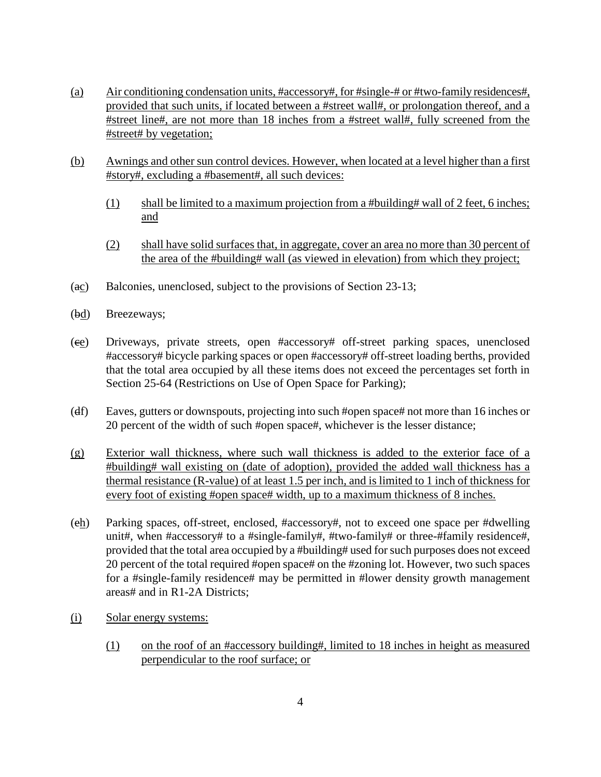- (a) Air conditioning condensation units, #accessory#, for #single-# or #two-family residences#, provided that such units, if located between a #street wall#, or prolongation thereof, and a #street line#, are not more than 18 inches from a #street wall#, fully screened from the #street# by vegetation;
- (b) Awnings and other sun control devices. However, when located at a level higher than a first #story#, excluding a #basement#, all such devices:
	- (1) shall be limited to a maximum projection from a #building# wall of 2 feet, 6 inches; and
	- (2) shall have solid surfaces that, in aggregate, cover an area no more than 30 percent of the area of the #building# wall (as viewed in elevation) from which they project;
- (ac) Balconies, unenclosed, subject to the provisions of Section 23-13;
- (bd) Breezeways;
- (ce) Driveways, private streets, open #accessory# off-street parking spaces, unenclosed #accessory# bicycle parking spaces or open #accessory# off-street loading berths, provided that the total area occupied by all these items does not exceed the percentages set forth in Section 25-64 (Restrictions on Use of Open Space for Parking);
- (df) Eaves, gutters or downspouts, projecting into such #open space# not more than 16 inches or 20 percent of the width of such #open space#, whichever is the lesser distance;
- (g) Exterior wall thickness, where such wall thickness is added to the exterior face of a #building# wall existing on (date of adoption), provided the added wall thickness has a thermal resistance (R-value) of at least 1.5 per inch, and is limited to 1 inch of thickness for every foot of existing #open space# width, up to a maximum thickness of 8 inches.
- (eh) Parking spaces, off-street, enclosed, #accessory#, not to exceed one space per #dwelling unit#, when #accessory# to a #single-family#, #two-family# or three-#family residence#, provided that the total area occupied by a #building# used for such purposes does not exceed 20 percent of the total required #open space# on the #zoning lot. However, two such spaces for a #single-family residence# may be permitted in #lower density growth management areas# and in R1-2A Districts;
- (i) Solar energy systems:
	- (1) on the roof of an #accessory building#, limited to 18 inches in height as measured perpendicular to the roof surface; or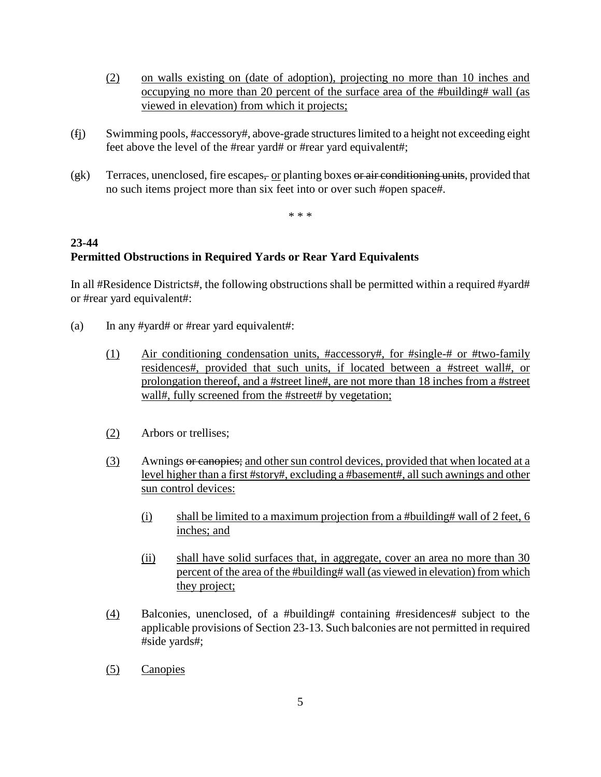- (2) on walls existing on (date of adoption), projecting no more than 10 inches and occupying no more than 20 percent of the surface area of the #building# wall (as viewed in elevation) from which it projects;
- (fj) Swimming pools, #accessory#, above-grade structures limited to a height not exceeding eight feet above the level of the #rear yard# or #rear yard equivalent#;
- $(gk)$  Terraces, unenclosed, fire escapes, or planting boxes or air conditioning units, provided that no such items project more than six feet into or over such #open space#.

\* \* \*

# **23-44 Permitted Obstructions in Required Yards or Rear Yard Equivalents**

In all #Residence Districts#, the following obstructions shall be permitted within a required #yard# or #rear yard equivalent#:

- (a) In any #yard# or #rear yard equivalent#:
	- (1) Air conditioning condensation units, #accessory#, for #single-# or #two-family residences#, provided that such units, if located between a #street wall#, or prolongation thereof, and a #street line#, are not more than 18 inches from a #street wall#, fully screened from the #street# by vegetation;
	- (2) Arbors or trellises;
	- (3) Awnings or canopies; and other sun control devices, provided that when located at a level higher than a first #story#, excluding a #basement#, all such awnings and other sun control devices:
		- (i) shall be limited to a maximum projection from a #building# wall of 2 feet, 6 inches; and
		- (ii) shall have solid surfaces that, in aggregate, cover an area no more than 30 percent of the area of the #building# wall (as viewed in elevation) from which they project;
	- (4) Balconies, unenclosed, of a #building# containing #residences# subject to the applicable provisions of Section 23-13. Such balconies are not permitted in required #side yards#;
	- (5) Canopies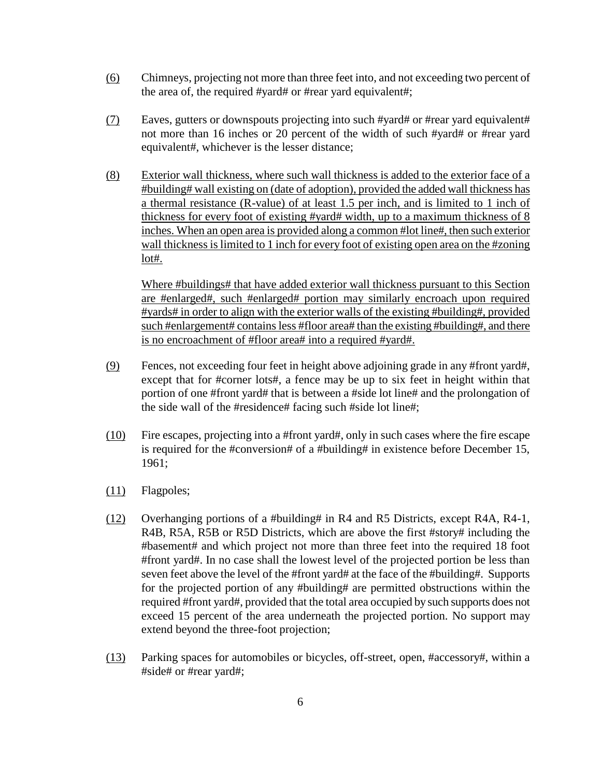- (6) Chimneys, projecting not more than three feet into, and not exceeding two percent of the area of, the required #yard# or #rear yard equivalent#;
- (7) Eaves, gutters or downspouts projecting into such #yard# or #rear yard equivalent# not more than 16 inches or 20 percent of the width of such #yard# or #rear yard equivalent#, whichever is the lesser distance;
- (8) Exterior wall thickness, where such wall thickness is added to the exterior face of a #building# wall existing on (date of adoption), provided the added wall thickness has a thermal resistance (R-value) of at least 1.5 per inch, and is limited to 1 inch of thickness for every foot of existing #yard# width, up to a maximum thickness of 8 inches. When an open area is provided along a common #lot line#, then such exterior wall thickness is limited to 1 inch for every foot of existing open area on the #zoning lot#.

Where #buildings# that have added exterior wall thickness pursuant to this Section are #enlarged#, such #enlarged# portion may similarly encroach upon required #yards# in order to align with the exterior walls of the existing #building#, provided such #enlargement# contains less #floor area# than the existing #building#, and there is no encroachment of #floor area# into a required #yard#.

- (9) Fences, not exceeding four feet in height above adjoining grade in any #front yard#, except that for #corner lots#, a fence may be up to six feet in height within that portion of one #front yard# that is between a #side lot line# and the prolongation of the side wall of the #residence# facing such #side lot line#;
- (10) Fire escapes, projecting into a #front yard#, only in such cases where the fire escape is required for the #conversion# of a #building# in existence before December 15, 1961;
- (11) Flagpoles;
- (12) Overhanging portions of a #building# in R4 and R5 Districts, except R4A, R4-1, R4B, R5A, R5B or R5D Districts, which are above the first #story# including the #basement# and which project not more than three feet into the required 18 foot #front yard#. In no case shall the lowest level of the projected portion be less than seven feet above the level of the #front yard# at the face of the #building#. Supports for the projected portion of any #building# are permitted obstructions within the required #front yard#, provided that the total area occupied by such supports does not exceed 15 percent of the area underneath the projected portion. No support may extend beyond the three-foot projection;
- (13) Parking spaces for automobiles or bicycles, off-street, open, #accessory#, within a #side# or #rear yard#;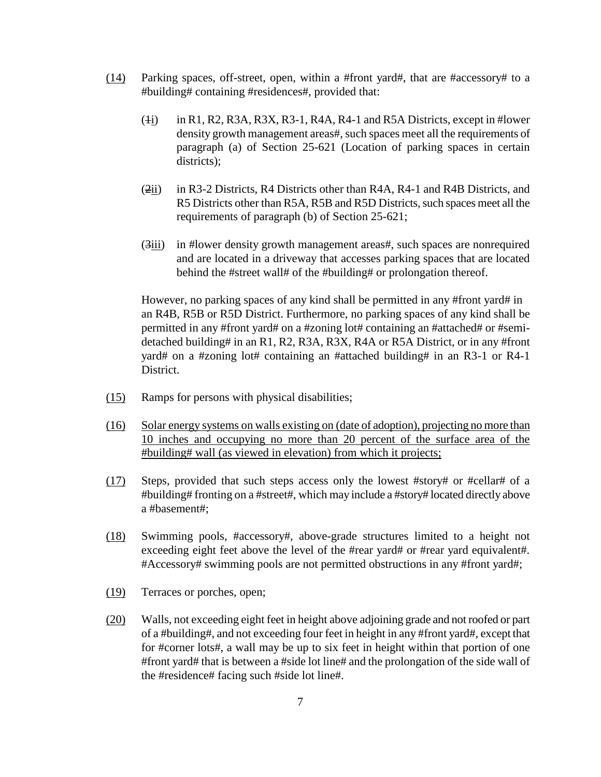- (14) Parking spaces, off-street, open, within a #front yard#, that are #accessory# to a #building# containing #residences#, provided that:
	- $(i)$  in R1, R2, R3A, R3X, R3-1, R4A, R4-1 and R5A Districts, except in #lower density growth management areas#, such spaces meet all the requirements of paragraph (a) of Section 25-621 (Location of parking spaces in certain districts);
	- (2ii) in R3-2 Districts, R4 Districts other than R4A, R4-1 and R4B Districts, and R5 Districts other than R5A, R5B and R5D Districts, such spaces meet all the requirements of paragraph (b) of Section 25-621;
	- (3iii) in #lower density growth management areas#, such spaces are nonrequired and are located in a driveway that accesses parking spaces that are located behind the #street wall# of the #building# or prolongation thereof.

However, no parking spaces of any kind shall be permitted in any #front yard# in an R4B, R5B or R5D District. Furthermore, no parking spaces of any kind shall be permitted in any #front yard# on a #zoning lot# containing an #attached# or #semidetached building# in an R1, R2, R3A, R3X, R4A or R5A District, or in any #front yard# on a #zoning lot# containing an #attached building# in an R3-1 or R4-1 District.

- (15) Ramps for persons with physical disabilities;
- (16) Solar energy systems on walls existing on (date of adoption), projecting no more than 10 inches and occupying no more than 20 percent of the surface area of the #building# wall (as viewed in elevation) from which it projects;
- (17) Steps, provided that such steps access only the lowest #story# or #cellar# of a #building# fronting on a #street#, which may include a #story# located directly above a #basement#;
- (18) Swimming pools, #accessory#, above-grade structures limited to a height not exceeding eight feet above the level of the #rear yard# or #rear yard equivalent#. #Accessory# swimming pools are not permitted obstructions in any #front yard#;
- (19) Terraces or porches, open;
- (20) Walls, not exceeding eight feet in height above adjoining grade and not roofed or part of a #building#, and not exceeding four feet in height in any #front yard#, except that for #corner lots#, a wall may be up to six feet in height within that portion of one #front yard# that is between a #side lot line# and the prolongation of the side wall of the #residence# facing such #side lot line#.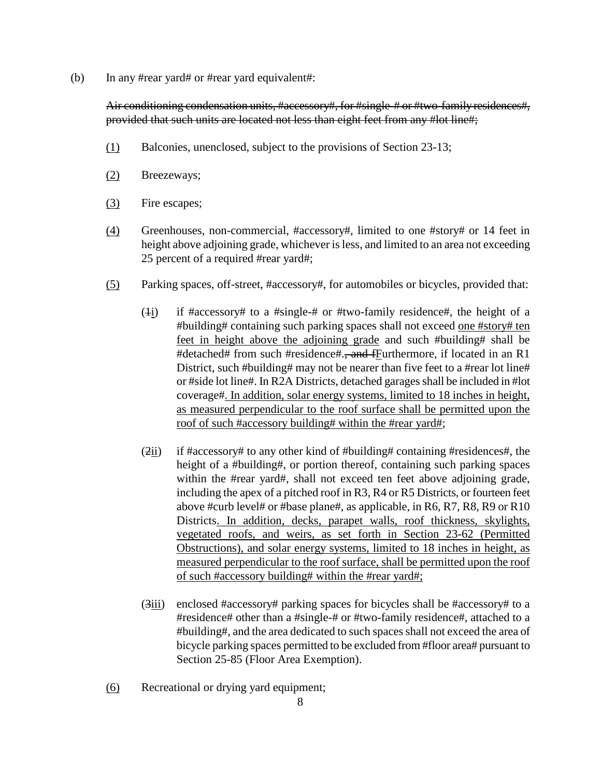(b) In any #rear yard# or #rear yard equivalent#:

Air conditioning condensation units, #accessory#, for #single-# or #two-family residences#, provided that such units are located not less than eight feet from any #lot line#;

- (1) Balconies, unenclosed, subject to the provisions of Section 23-13;
- (2) Breezeways;
- (3) Fire escapes;
- (4) Greenhouses, non-commercial, #accessory#, limited to one #story# or 14 feet in height above adjoining grade, whichever is less, and limited to an area not exceeding 25 percent of a required #rear yard#;
- (5) Parking spaces, off-street, #accessory#, for automobiles or bicycles, provided that:
	- (4i) if  $\frac{4}{3}$  if  $\frac{4}{3}$  a  $\frac{4}{3}$  if  $\frac{4}{3}$  if  $\frac{4}{3}$  if  $\frac{4}{3}$  if  $\frac{4}{3}$  if  $\frac{4}{3}$  if  $\frac{4}{3}$  if  $\frac{4}{3}$  if  $\frac{4}{3}$  if  $\frac{4}{3}$  if  $\frac{4}{3}$  if  $\frac{4}{3}$  if  $\frac{4}{3}$  if  $\frac{4}{3}$  if  $\frac{4}{$ #building# containing such parking spaces shall not exceed one #story# ten feet in height above the adjoining grade and such #building# shall be #detached# from such #residence#.<del>, and f</del>Furthermore, if located in an R1 District, such #building# may not be nearer than five feet to a #rear lot line# or #side lot line#. In R2A Districts, detached garages shall be included in #lot coverage#. In addition, solar energy systems, limited to 18 inches in height, as measured perpendicular to the roof surface shall be permitted upon the roof of such #accessory building# within the #rear yard#;
	- (2ii) if #accessory# to any other kind of #building# containing #residences#, the height of a #building#, or portion thereof, containing such parking spaces within the #rear yard#, shall not exceed ten feet above adjoining grade, including the apex of a pitched roof in R3, R4 or R5 Districts, or fourteen feet above #curb level# or #base plane#, as applicable, in R6, R7, R8, R9 or R10 Districts. In addition, decks, parapet walls, roof thickness, skylights, vegetated roofs, and weirs, as set forth in Section 23-62 (Permitted Obstructions), and solar energy systems, limited to 18 inches in height, as measured perpendicular to the roof surface, shall be permitted upon the roof of such #accessory building# within the #rear yard#;
	- $(3)$  enclosed #accessory# parking spaces for bicycles shall be #accessory# to a #residence# other than a #single-# or #two-family residence#, attached to a #building#, and the area dedicated to such spaces shall not exceed the area of bicycle parking spaces permitted to be excluded from #floor area# pursuant to Section 25-85 (Floor Area Exemption).
- (6) Recreational or drying yard equipment;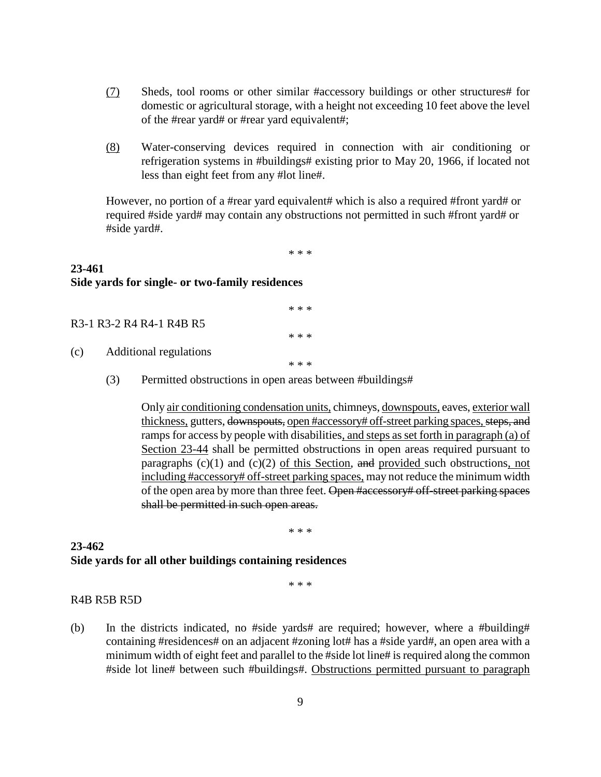- (7) Sheds, tool rooms or other similar #accessory buildings or other structures# for domestic or agricultural storage, with a height not exceeding 10 feet above the level of the #rear yard# or #rear yard equivalent#;
- (8) Water-conserving devices required in connection with air conditioning or refrigeration systems in #buildings# existing prior to May 20, 1966, if located not less than eight feet from any #lot line#.

However, no portion of a #rear yard equivalent# which is also a required #front yard# or required #side yard# may contain any obstructions not permitted in such #front yard# or #side yard#.

\* \* \*

## **23-461 Side yards for single- or two-family residences**

|     |                               | * * * |
|-----|-------------------------------|-------|
|     | R3-1 R3-2 R4 R4-1 R4B R5      |       |
|     |                               | * * * |
| (c) | <b>Additional regulations</b> |       |

- \* \* \*
- (3) Permitted obstructions in open areas between #buildings#

Only air conditioning condensation units, chimneys, downspouts, eaves, exterior wall thickness, gutters, downspouts, open #accessory# off-street parking spaces, steps, and ramps for access by people with disabilities, and steps as set forth in paragraph (a) of Section 23-44 shall be permitted obstructions in open areas required pursuant to paragraphs  $(c)(1)$  and  $(c)(2)$  of this Section, and provided such obstructions, not including #accessory# off-street parking spaces, may not reduce the minimum width of the open area by more than three feet. Open #accessory# off-street parking spaces shall be permitted in such open areas.

\* \* \*

### **23-462 Side yards for all other buildings containing residences**

\* \* \*

### R4B R5B R5D

(b) In the districts indicated, no #side yards# are required; however, where a #building# containing #residences# on an adjacent #zoning lot# has a #side yard#, an open area with a minimum width of eight feet and parallel to the #side lot line# is required along the common #side lot line# between such #buildings#. Obstructions permitted pursuant to paragraph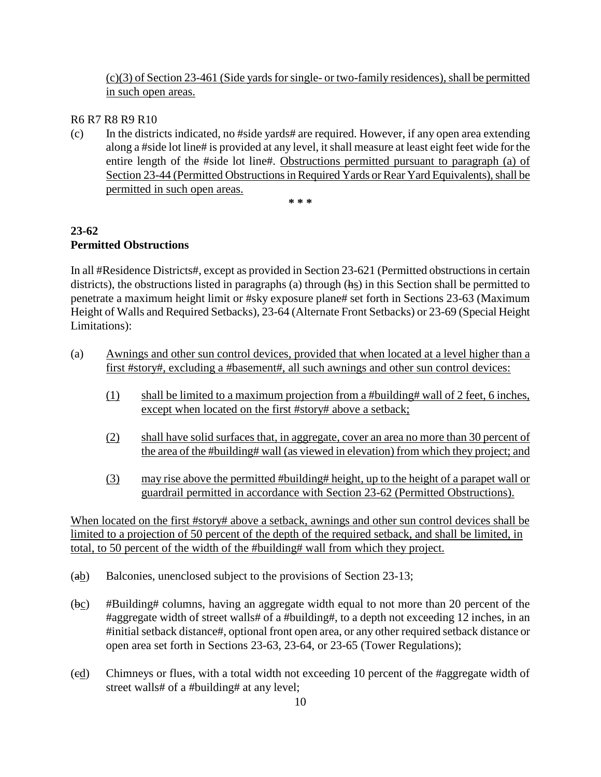(c)(3) of Section 23-461 (Side yards for single- or two-family residences), shall be permitted in such open areas.

R6 R7 R8 R9 R10

(c) In the districts indicated, no #side yards# are required. However, if any open area extending along a #side lot line# is provided at any level, it shall measure at least eight feet wide for the entire length of the #side lot line#. Obstructions permitted pursuant to paragraph (a) of Section 23-44 (Permitted Obstructions in Required Yards or Rear Yard Equivalents), shall be permitted in such open areas.

**\* \* \***

## **23-62 Permitted Obstructions**

In all #Residence Districts#, except as provided in Section 23-621 (Permitted obstructions in certain districts), the obstructions listed in paragraphs (a) through (hs) in this Section shall be permitted to penetrate a maximum height limit or #sky exposure plane# set forth in Sections 23-63 (Maximum Height of Walls and Required Setbacks), 23-64 (Alternate Front Setbacks) or 23-69 (Special Height Limitations):

- (a) Awnings and other sun control devices, provided that when located at a level higher than a first #story#, excluding a #basement#, all such awnings and other sun control devices:
	- (1) shall be limited to a maximum projection from a #building# wall of 2 feet, 6 inches, except when located on the first #story# above a setback;
	- (2) shall have solid surfaces that, in aggregate, cover an area no more than 30 percent of the area of the #building# wall (as viewed in elevation) from which they project; and
	- (3) may rise above the permitted #building# height, up to the height of a parapet wall or guardrail permitted in accordance with Section 23-62 (Permitted Obstructions).

When located on the first #story# above a setback, awnings and other sun control devices shall be limited to a projection of 50 percent of the depth of the required setback, and shall be limited, in total, to 50 percent of the width of the #building# wall from which they project.

- (ab) Balconies, unenclosed subject to the provisions of Section 23-13;
- (bc) #Building# columns, having an aggregate width equal to not more than 20 percent of the #aggregate width of street walls# of a #building#, to a depth not exceeding 12 inches, in an #initial setback distance#, optional front open area, or any other required setback distance or open area set forth in Sections 23-63, 23-64, or 23-65 (Tower Regulations);
- (cd) Chimneys or flues, with a total width not exceeding 10 percent of the #aggregate width of street walls# of a #building# at any level;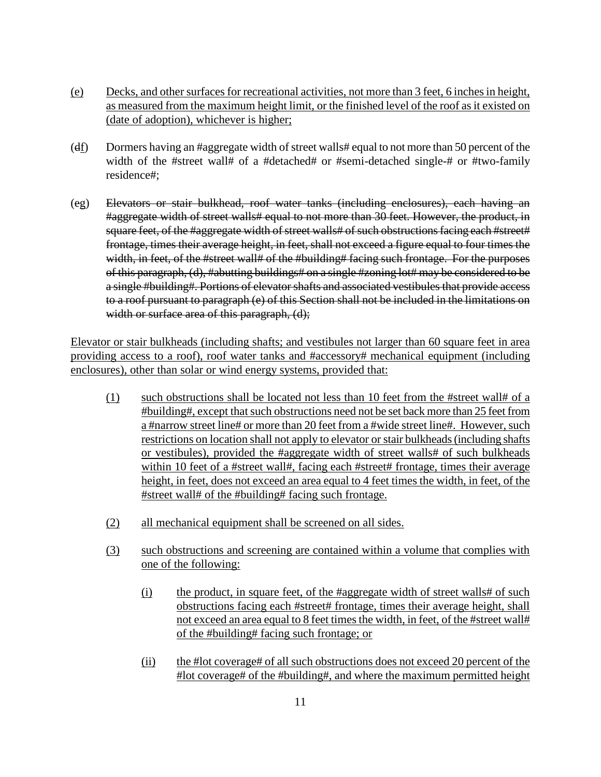- (e) Decks, and other surfaces for recreational activities, not more than 3 feet, 6 inches in height, as measured from the maximum height limit, or the finished level of the roof as it existed on (date of adoption), whichever is higher;
- (df) Dormers having an #aggregate width of street walls# equal to not more than 50 percent of the width of the #street wall# of a #detached# or #semi-detached single-# or #two-family residence#;
- (eg) Elevators or stair bulkhead, roof water tanks (including enclosures), each having an #aggregate width of street walls# equal to not more than 30 feet. However, the product, in square feet, of the #aggregate width of street walls# of such obstructions facing each #street# frontage, times their average height, in feet, shall not exceed a figure equal to four times the width, in feet, of the #street wall# of the #building# facing such frontage. For the purposes of this paragraph, (d), #abutting buildings# on a single #zoning lot# may be considered to be a single #building#. Portions of elevator shafts and associated vestibules that provide access to a roof pursuant to paragraph (e) of this Section shall not be included in the limitations on width or surface area of this paragraph, (d);

Elevator or stair bulkheads (including shafts; and vestibules not larger than 60 square feet in area providing access to a roof), roof water tanks and #accessory# mechanical equipment (including enclosures), other than solar or wind energy systems, provided that:

- (1) such obstructions shall be located not less than 10 feet from the #street wall# of a #building#, except that such obstructions need not be set back more than 25 feet from a #narrow street line# or more than 20 feet from a #wide street line#. However, such restrictions on location shall not apply to elevator or stair bulkheads (including shafts or vestibules), provided the #aggregate width of street walls# of such bulkheads within 10 feet of a #street wall#, facing each #street# frontage, times their average height, in feet, does not exceed an area equal to 4 feet times the width, in feet, of the #street wall# of the #building# facing such frontage.
- (2) all mechanical equipment shall be screened on all sides.
- (3) such obstructions and screening are contained within a volume that complies with one of the following:
	- (i) the product, in square feet, of the #aggregate width of street walls# of such obstructions facing each #street# frontage, times their average height, shall not exceed an area equal to 8 feet times the width, in feet, of the #street wall# of the #building# facing such frontage; or
	- (ii) the #lot coverage# of all such obstructions does not exceed 20 percent of the #lot coverage# of the #building#, and where the maximum permitted height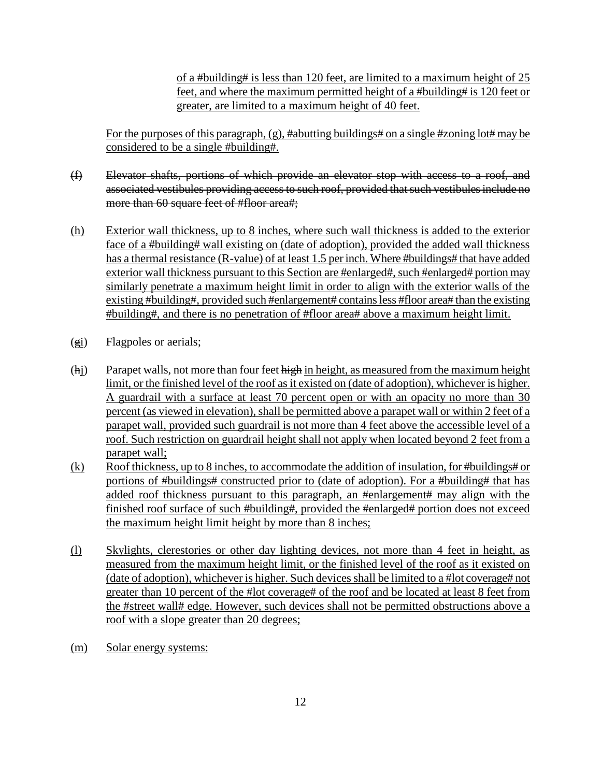of a #building# is less than 120 feet, are limited to a maximum height of 25 feet, and where the maximum permitted height of a #building# is 120 feet or greater, are limited to a maximum height of 40 feet.

For the purposes of this paragraph, (g), #abutting buildings# on a single #zoning lot# may be considered to be a single #building#.

- (f) Elevator shafts, portions of which provide an elevator stop with access to a roof, and associated vestibules providing access to such roof, provided that such vestibules include no more than 60 square feet of #floor area#;
- (h) Exterior wall thickness, up to 8 inches, where such wall thickness is added to the exterior face of a #building# wall existing on (date of adoption), provided the added wall thickness has a thermal resistance (R-value) of at least 1.5 per inch. Where #buildings# that have added exterior wall thickness pursuant to this Section are #enlarged#, such #enlarged# portion may similarly penetrate a maximum height limit in order to align with the exterior walls of the existing #building#, provided such #enlargement# contains less #floor area# than the existing #building#, and there is no penetration of #floor area# above a maximum height limit.
- (gi) Flagpoles or aerials;
- (hj) Parapet walls, not more than four feet high in height, as measured from the maximum height limit, or the finished level of the roof as it existed on (date of adoption), whichever is higher. A guardrail with a surface at least 70 percent open or with an opacity no more than 30 percent (as viewed in elevation), shall be permitted above a parapet wall or within 2 feet of a parapet wall, provided such guardrail is not more than 4 feet above the accessible level of a roof. Such restriction on guardrail height shall not apply when located beyond 2 feet from a parapet wall;
- $(k)$  Roof thickness, up to 8 inches, to accommodate the addition of insulation, for #buildings# or portions of #buildings# constructed prior to (date of adoption). For a #building# that has added roof thickness pursuant to this paragraph, an #enlargement# may align with the finished roof surface of such #building#, provided the #enlarged# portion does not exceed the maximum height limit height by more than 8 inches;
- (l) Skylights, clerestories or other day lighting devices, not more than 4 feet in height, as measured from the maximum height limit, or the finished level of the roof as it existed on (date of adoption), whichever is higher. Such devices shall be limited to a #lot coverage# not greater than 10 percent of the #lot coverage# of the roof and be located at least 8 feet from the #street wall# edge. However, such devices shall not be permitted obstructions above a roof with a slope greater than 20 degrees;
- (m) Solar energy systems: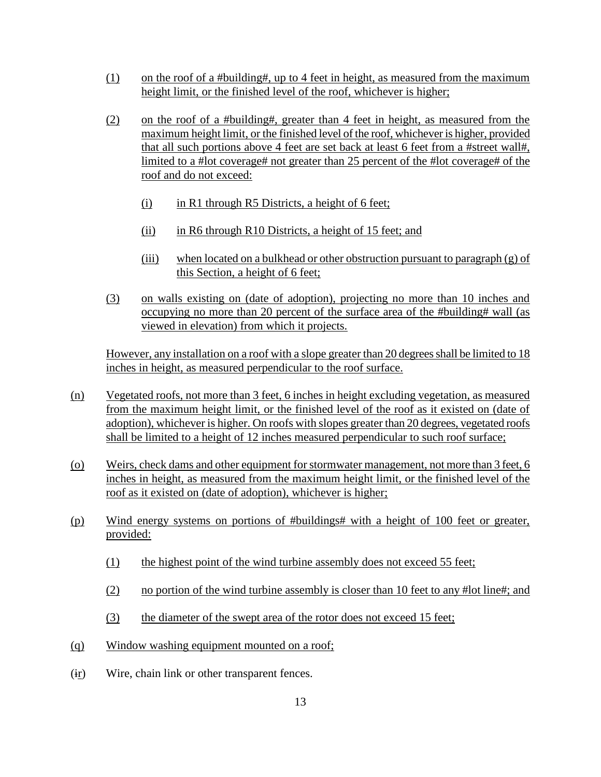- (1) on the roof of a #building#, up to 4 feet in height, as measured from the maximum height limit, or the finished level of the roof, whichever is higher;
- (2) on the roof of a #building#, greater than 4 feet in height, as measured from the maximum height limit, or the finished level of the roof, whichever is higher, provided that all such portions above 4 feet are set back at least 6 feet from a #street wall#, limited to a #lot coverage# not greater than 25 percent of the #lot coverage# of the roof and do not exceed:
	- (i) in R1 through R5 Districts, a height of 6 feet;
	- $(ii)$  in R6 through R10 Districts, a height of 15 feet; and
	- (iii) when located on a bulkhead or other obstruction pursuant to paragraph  $(g)$  of this Section, a height of 6 feet;
- (3) on walls existing on (date of adoption), projecting no more than 10 inches and occupying no more than 20 percent of the surface area of the #building# wall (as viewed in elevation) from which it projects.

However, any installation on a roof with a slope greater than 20 degrees shall be limited to 18 inches in height, as measured perpendicular to the roof surface.

- (n) Vegetated roofs, not more than 3 feet, 6 inches in height excluding vegetation, as measured from the maximum height limit, or the finished level of the roof as it existed on (date of adoption), whichever is higher. On roofs with slopes greater than 20 degrees, vegetated roofs shall be limited to a height of 12 inches measured perpendicular to such roof surface;
- (o) Weirs, check dams and other equipment for stormwater management, not more than 3 feet, 6 inches in height, as measured from the maximum height limit, or the finished level of the roof as it existed on (date of adoption), whichever is higher;
- (p) Wind energy systems on portions of #buildings# with a height of 100 feet or greater, provided:
	- (1) the highest point of the wind turbine assembly does not exceed 55 feet;
	- (2) no portion of the wind turbine assembly is closer than 10 feet to any #lot line#; and
	- (3) the diameter of the swept area of the rotor does not exceed 15 feet;
- (q) Window washing equipment mounted on a roof;
- (ir) Wire, chain link or other transparent fences.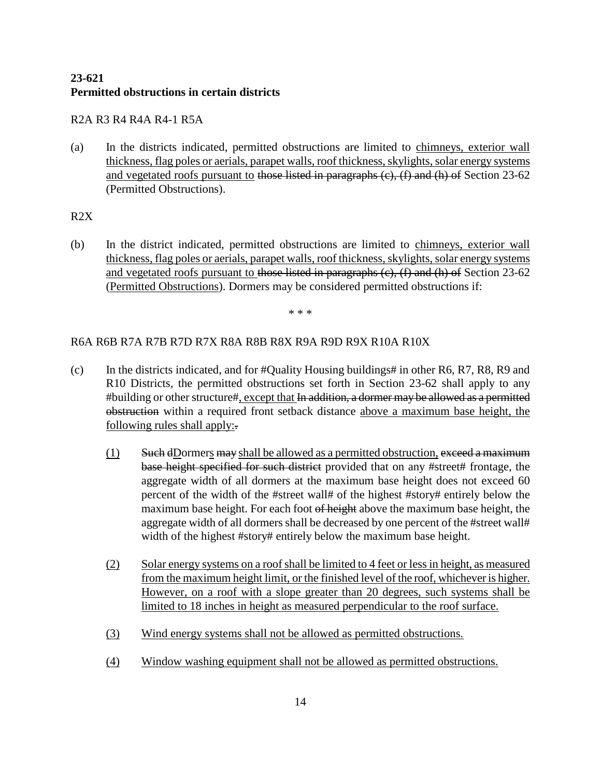## **23-621 Permitted obstructions in certain districts**

## R2A R3 R4 R4A R4-1 R5A

(a) In the districts indicated, permitted obstructions are limited to chimneys, exterior wall thickness, flag poles or aerials, parapet walls, roof thickness, skylights, solar energy systems and vegetated roofs pursuant to those listed in paragraphs  $(c)$ ,  $(f)$  and  $(h)$  of Section 23-62 (Permitted Obstructions).

## R2X

(b) In the district indicated, permitted obstructions are limited to chimneys, exterior wall thickness, flag poles or aerials, parapet walls, roof thickness, skylights, solar energy systems and vegetated roofs pursuant to those listed in paragraphs  $(e)$ ,  $(f)$  and  $(h)$  of Section 23-62 (Permitted Obstructions). Dormers may be considered permitted obstructions if:

\* \* \*

## R6A R6B R7A R7B R7D R7X R8A R8B R8X R9A R9D R9X R10A R10X

- (c) In the districts indicated, and for  $\#$ Quality Housing buildings $\#$  in other R6, R7, R8, R9 and R10 Districts, the permitted obstructions set forth in Section 23-62 shall apply to any #building or other structure#, except that In addition, a dormer may be allowed as a permitted obstruction within a required front setback distance above a maximum base height, the following rules shall apply:.
	- $(1)$  Such dDormers may shall be allowed as a permitted obstruction, exceed a maximum base height specified for such district provided that on any #street# frontage, the aggregate width of all dormers at the maximum base height does not exceed 60 percent of the width of the #street wall# of the highest #story# entirely below the maximum base height. For each foot of height above the maximum base height, the aggregate width of all dormers shall be decreased by one percent of the #street wall# width of the highest #story# entirely below the maximum base height.
	- (2) Solar energy systems on a roof shall be limited to 4 feet or less in height, as measured from the maximum height limit, or the finished level of the roof, whichever is higher. However, on a roof with a slope greater than 20 degrees, such systems shall be limited to 18 inches in height as measured perpendicular to the roof surface.
	- (3) Wind energy systems shall not be allowed as permitted obstructions.
	- (4) Window washing equipment shall not be allowed as permitted obstructions.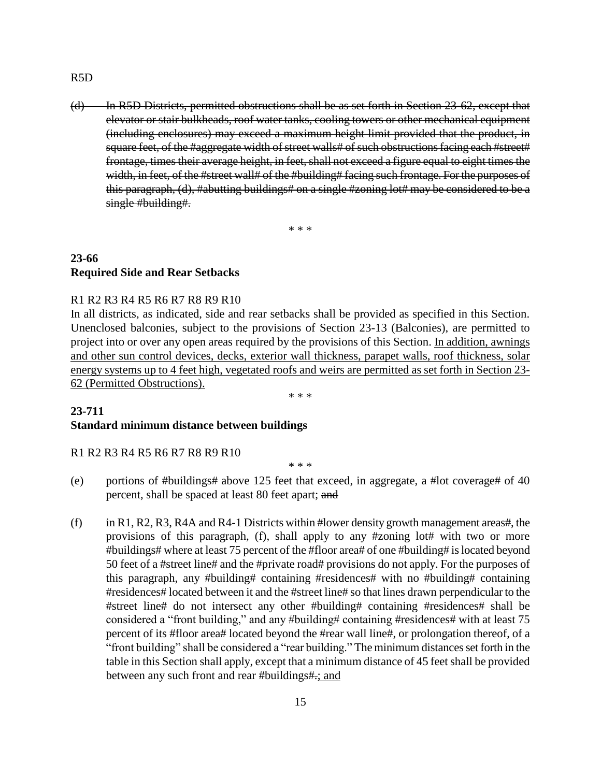#### R5D

(d) In R5D Districts, permitted obstructions shall be as set forth in Section 23-62, except that elevator or stair bulkheads, roof water tanks, cooling towers or other mechanical equipment (including enclosures) may exceed a maximum height limit provided that the product, in square feet, of the #aggregate width of street walls# of such obstructions facing each #street# frontage, times their average height, in feet, shall not exceed a figure equal to eight times the width, in feet, of the #street wall# of the #building# facing such frontage. For the purposes of this paragraph, (d), #abutting buildings# on a single #zoning lot# may be considered to be a single #building#.

\* \* \*

## **23-66 Required Side and Rear Setbacks**

#### R1 R2 R3 R4 R5 R6 R7 R8 R9 R10

In all districts, as indicated, side and rear setbacks shall be provided as specified in this Section. Unenclosed balconies, subject to the provisions of Section 23-13 (Balconies), are permitted to project into or over any open areas required by the provisions of this Section. In addition, awnings and other sun control devices, decks, exterior wall thickness, parapet walls, roof thickness, solar energy systems up to 4 feet high, vegetated roofs and weirs are permitted as set forth in Section 23- 62 (Permitted Obstructions).

\* \* \*

#### **23-711 Standard minimum distance between buildings**

R1 R2 R3 R4 R5 R6 R7 R8 R9 R10

\* \* \*

- (e) portions of #buildings# above 125 feet that exceed, in aggregate, a #lot coverage# of 40 percent, shall be spaced at least 80 feet apart; and
- (f) in R1, R2, R3, R4A and R4-1 Districts within #lower density growth management areas#, the provisions of this paragraph, (f), shall apply to any #zoning lot# with two or more #buildings# where at least 75 percent of the #floor area# of one #building# is located beyond 50 feet of a #street line# and the #private road# provisions do not apply. For the purposes of this paragraph, any #building# containing #residences# with no #building# containing #residences# located between it and the #street line# so that lines drawn perpendicular to the #street line# do not intersect any other #building# containing #residences# shall be considered a "front building," and any #building# containing #residences# with at least 75 percent of its #floor area# located beyond the #rear wall line#, or prolongation thereof, of a "front building" shall be considered a "rear building." The minimum distances set forth in the table in this Section shall apply, except that a minimum distance of 45 feet shall be provided between any such front and rear #buildings#.; and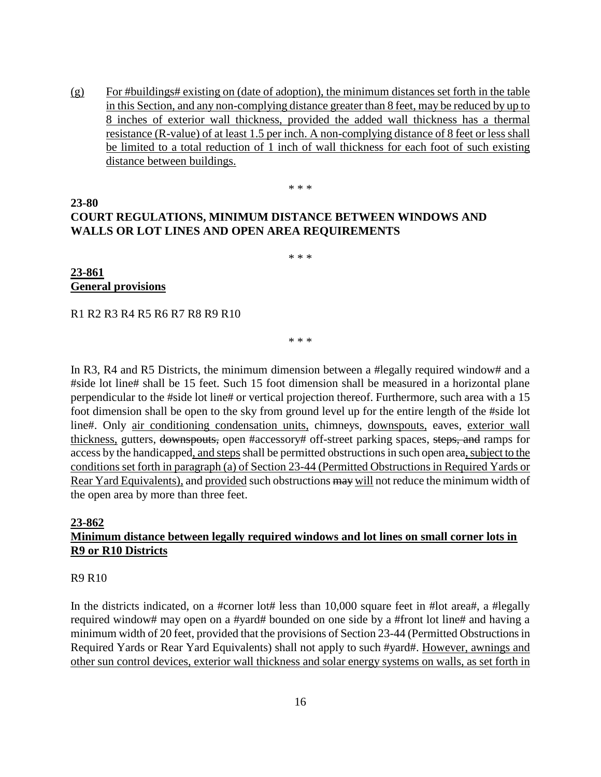(g) For #buildings# existing on (date of adoption), the minimum distances set forth in the table in this Section, and any non-complying distance greater than 8 feet, may be reduced by up to 8 inches of exterior wall thickness, provided the added wall thickness has a thermal resistance (R-value) of at least 1.5 per inch. A non-complying distance of 8 feet or less shall be limited to a total reduction of 1 inch of wall thickness for each foot of such existing distance between buildings.

\* \* \*

# **COURT REGULATIONS, MINIMUM DISTANCE BETWEEN WINDOWS AND WALLS OR LOT LINES AND OPEN AREA REQUIREMENTS**

\* \* \*

**23-861 General provisions**

**23-80**

R1 R2 R3 R4 R5 R6 R7 R8 R9 R10

\* \* \*

In R3, R4 and R5 Districts, the minimum dimension between a #legally required window# and a #side lot line# shall be 15 feet. Such 15 foot dimension shall be measured in a horizontal plane perpendicular to the #side lot line# or vertical projection thereof. Furthermore, such area with a 15 foot dimension shall be open to the sky from ground level up for the entire length of the #side lot line#. Only air conditioning condensation units, chimneys, downspouts, eaves, exterior wall thickness, gutters, downspouts, open #accessory# off-street parking spaces, steps, and ramps for access by the handicapped, and steps shall be permitted obstructions in such open area, subject to the conditions set forth in paragraph (a) of Section 23-44 (Permitted Obstructions in Required Yards or Rear Yard Equivalents), and provided such obstructions may will not reduce the minimum width of the open area by more than three feet.

## **23-862 Minimum distance between legally required windows and lot lines on small corner lots in R9 or R10 Districts**

R9 R10

In the districts indicated, on a #corner lot# less than 10,000 square feet in #lot area#, a #legally required window# may open on a #yard# bounded on one side by a #front lot line# and having a minimum width of 20 feet, provided that the provisions of Section 23-44 (Permitted Obstructionsin Required Yards or Rear Yard Equivalents) shall not apply to such #yard#. However, awnings and other sun control devices, exterior wall thickness and solar energy systems on walls, as set forth in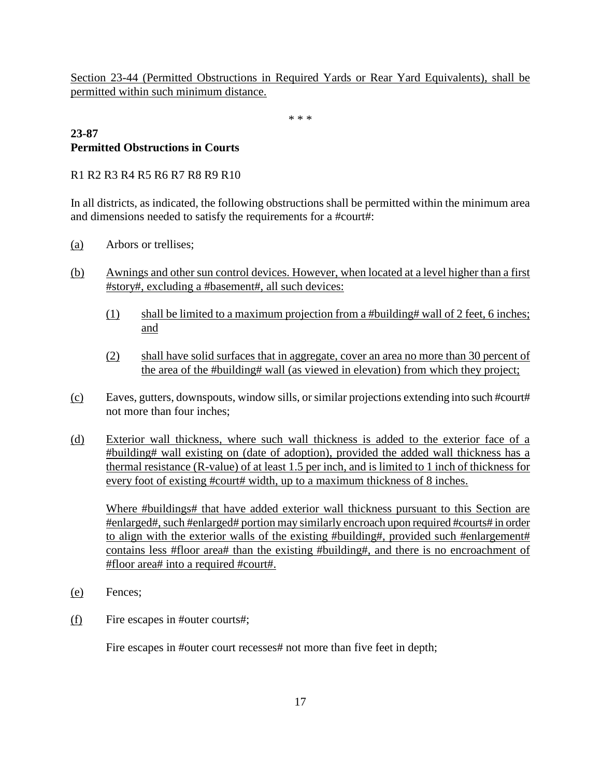Section 23-44 (Permitted Obstructions in Required Yards or Rear Yard Equivalents), shall be permitted within such minimum distance.

\* \* \*

### **23-87 Permitted Obstructions in Courts**

R1 R2 R3 R4 R5 R6 R7 R8 R9 R10

In all districts, as indicated, the following obstructions shall be permitted within the minimum area and dimensions needed to satisfy the requirements for a #court#:

- (a) Arbors or trellises;
- (b) Awnings and other sun control devices. However, when located at a level higher than a first #story#, excluding a #basement#, all such devices:
	- (1) shall be limited to a maximum projection from a #building# wall of 2 feet, 6 inches; and
	- (2) shall have solid surfaces that in aggregate, cover an area no more than 30 percent of the area of the #building# wall (as viewed in elevation) from which they project;
- (c) Eaves, gutters, downspouts, window sills, or similar projections extending into such #court# not more than four inches;
- (d) Exterior wall thickness, where such wall thickness is added to the exterior face of a #building# wall existing on (date of adoption), provided the added wall thickness has a thermal resistance (R-value) of at least 1.5 per inch, and is limited to 1 inch of thickness for every foot of existing #court# width, up to a maximum thickness of 8 inches.

Where #buildings# that have added exterior wall thickness pursuant to this Section are #enlarged#, such #enlarged# portion may similarly encroach upon required #courts# in order to align with the exterior walls of the existing #building#, provided such #enlargement# contains less #floor area# than the existing #building#, and there is no encroachment of #floor area# into a required #court#.

- (e) Fences;
- (f) Fire escapes in #outer courts#;

Fire escapes in #outer court recesses# not more than five feet in depth;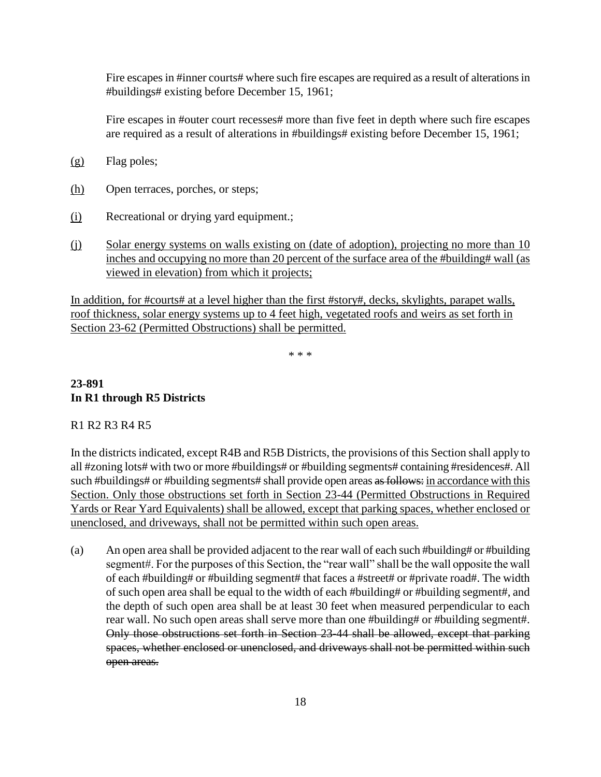Fire escapes in #inner courts# where such fire escapes are required as a result of alterations in #buildings# existing before December 15, 1961;

Fire escapes in #outer court recesses# more than five feet in depth where such fire escapes are required as a result of alterations in #buildings# existing before December 15, 1961;

- (g) Flag poles;
- (h) Open terraces, porches, or steps;
- (i) Recreational or drying yard equipment.;
- (j) Solar energy systems on walls existing on (date of adoption), projecting no more than 10 inches and occupying no more than 20 percent of the surface area of the #building# wall (as viewed in elevation) from which it projects;

In addition, for #courts# at a level higher than the first #story#, decks, skylights, parapet walls, roof thickness, solar energy systems up to 4 feet high, vegetated roofs and weirs as set forth in Section 23-62 (Permitted Obstructions) shall be permitted.

\* \* \*

## **23-891 In R1 through R5 Districts**

#### R1 R2 R3 R4 R5

In the districts indicated, except R4B and R5B Districts, the provisions of this Section shall apply to all #zoning lots# with two or more #buildings# or #building segments# containing #residences#. All such #buildings# or #building segments# shall provide open areas as follows: in accordance with this Section. Only those obstructions set forth in Section 23-44 (Permitted Obstructions in Required Yards or Rear Yard Equivalents) shall be allowed, except that parking spaces, whether enclosed or unenclosed, and driveways, shall not be permitted within such open areas.

(a) An open area shall be provided adjacent to the rear wall of each such #building# or #building segment#. For the purposes of this Section, the "rear wall" shall be the wall opposite the wall of each #building# or #building segment# that faces a #street# or #private road#. The width of such open area shall be equal to the width of each #building# or #building segment#, and the depth of such open area shall be at least 30 feet when measured perpendicular to each rear wall. No such open areas shall serve more than one #building# or #building segment#. Only those obstructions set forth in Section 23-44 shall be allowed, except that parking spaces, whether enclosed or unenclosed, and driveways shall not be permitted within such open areas.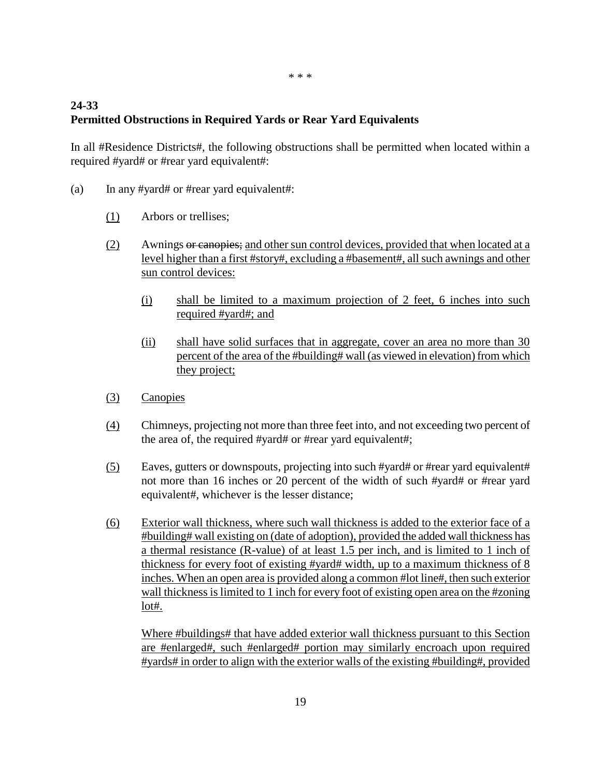## **24-33 Permitted Obstructions in Required Yards or Rear Yard Equivalents**

In all #Residence Districts#, the following obstructions shall be permitted when located within a required #yard# or #rear yard equivalent#:

- (a) In any #yard# or #rear yard equivalent#:
	- (1) Arbors or trellises;
	- (2) Awnings or canopies; and other sun control devices, provided that when located at a level higher than a first #story#, excluding a #basement#, all such awnings and other sun control devices:
		- (i) shall be limited to a maximum projection of 2 feet, 6 inches into such required #yard#; and
		- (ii) shall have solid surfaces that in aggregate, cover an area no more than 30 percent of the area of the #building# wall (as viewed in elevation) from which they project;
	- (3) Canopies
	- (4) Chimneys, projecting not more than three feet into, and not exceeding two percent of the area of, the required #yard# or #rear yard equivalent#;
	- (5) Eaves, gutters or downspouts, projecting into such #yard# or #rear yard equivalent# not more than 16 inches or 20 percent of the width of such #yard# or #rear yard equivalent#, whichever is the lesser distance;
	- (6) Exterior wall thickness, where such wall thickness is added to the exterior face of a #building# wall existing on (date of adoption), provided the added wall thickness has a thermal resistance (R-value) of at least 1.5 per inch, and is limited to 1 inch of thickness for every foot of existing #yard# width, up to a maximum thickness of 8 inches. When an open area is provided along a common #lot line#, then such exterior wall thickness is limited to 1 inch for every foot of existing open area on the #zoning lot#.

Where #buildings# that have added exterior wall thickness pursuant to this Section are #enlarged#, such #enlarged# portion may similarly encroach upon required #yards# in order to align with the exterior walls of the existing #building#, provided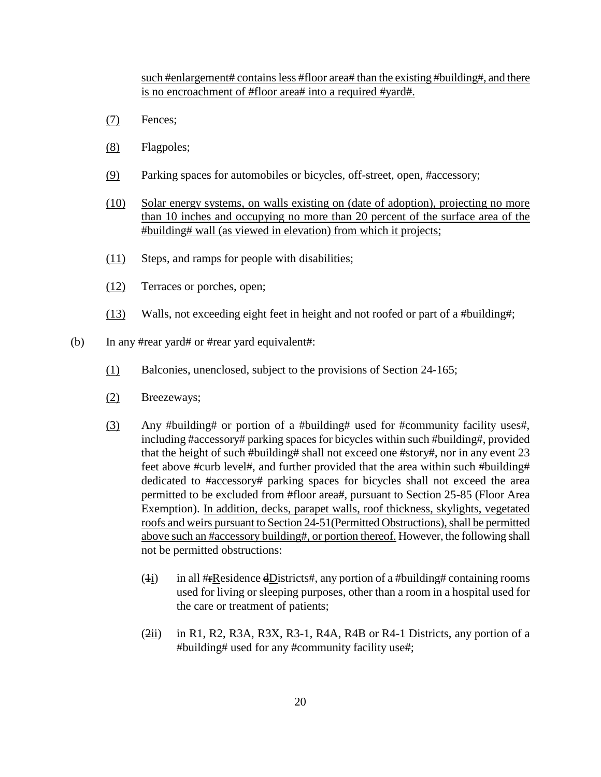such #enlargement# contains less #floor area# than the existing #building#, and there is no encroachment of #floor area# into a required #yard#.

- (7) Fences;
- (8) Flagpoles;
- (9) Parking spaces for automobiles or bicycles, off-street, open, #accessory;
- (10) Solar energy systems, on walls existing on (date of adoption), projecting no more than 10 inches and occupying no more than 20 percent of the surface area of the #building# wall (as viewed in elevation) from which it projects;
- (11) Steps, and ramps for people with disabilities;
- (12) Terraces or porches, open;
- (13) Walls, not exceeding eight feet in height and not roofed or part of a #building#;
- (b) In any #rear yard# or #rear yard equivalent#:
	- (1) Balconies, unenclosed, subject to the provisions of Section 24-165;
	- (2) Breezeways;
	- (3) Any #building# or portion of a #building# used for #community facility uses#, including #accessory# parking spaces for bicycles within such #building#, provided that the height of such #building# shall not exceed one #story#, nor in any event 23 feet above #curb level#, and further provided that the area within such #building# dedicated to #accessory# parking spaces for bicycles shall not exceed the area permitted to be excluded from #floor area#, pursuant to Section 25-85 (Floor Area Exemption). In addition, decks, parapet walls, roof thickness, skylights, vegetated roofs and weirs pursuant to Section 24-51(Permitted Obstructions), shall be permitted above such an #accessory building#, or portion thereof. However, the following shall not be permitted obstructions:
		- (4i) in all # $\#$ Residence dDistricts#, any portion of a #building# containing rooms used for living or sleeping purposes, other than a room in a hospital used for the care or treatment of patients;
		- $(2ii)$  in R1, R2, R3A, R3X, R3-1, R4A, R4B or R4-1 Districts, any portion of a #building# used for any #community facility use#;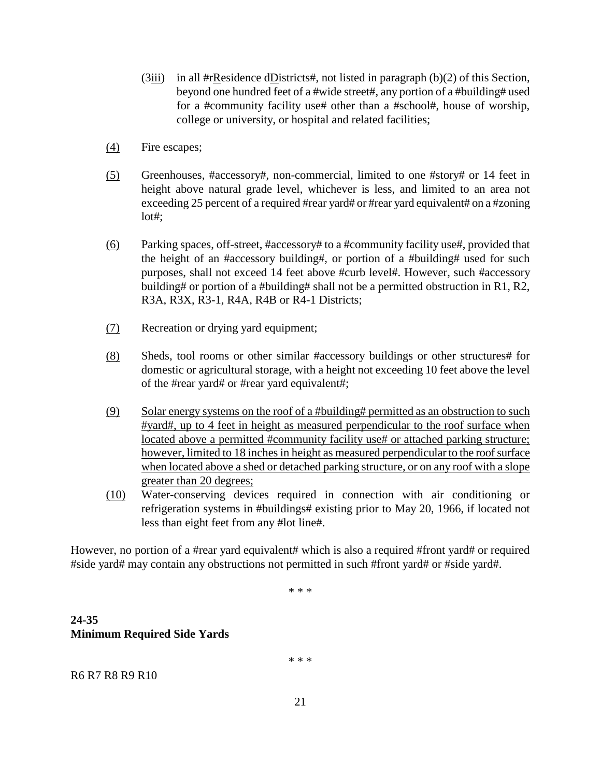- $(3)$ iii) in all #**FR**esidence dDistricts#, not listed in paragraph (b)(2) of this Section, beyond one hundred feet of a #wide street#, any portion of a #building# used for a #community facility use# other than a #school#, house of worship, college or university, or hospital and related facilities;
- (4) Fire escapes;
- (5) Greenhouses, #accessory#, non-commercial, limited to one #story# or 14 feet in height above natural grade level, whichever is less, and limited to an area not exceeding 25 percent of a required #rear yard# or #rear yard equivalent# on a #zoning lot#;
- (6) Parking spaces, off-street, #accessory# to a #community facility use#, provided that the height of an #accessory building#, or portion of a #building# used for such purposes, shall not exceed 14 feet above #curb level#. However, such #accessory building# or portion of a #building# shall not be a permitted obstruction in R1, R2, R3A, R3X, R3-1, R4A, R4B or R4-1 Districts;
- (7) Recreation or drying yard equipment;
- (8) Sheds, tool rooms or other similar #accessory buildings or other structures# for domestic or agricultural storage, with a height not exceeding 10 feet above the level of the #rear yard# or #rear yard equivalent#;
- (9) Solar energy systems on the roof of a #building# permitted as an obstruction to such #yard#, up to 4 feet in height as measured perpendicular to the roof surface when located above a permitted #community facility use# or attached parking structure; however, limited to 18 inches in height as measured perpendicular to the roof surface when located above a shed or detached parking structure, or on any roof with a slope greater than 20 degrees;
- (10) Water-conserving devices required in connection with air conditioning or refrigeration systems in #buildings# existing prior to May 20, 1966, if located not less than eight feet from any #lot line#.

However, no portion of a #rear yard equivalent# which is also a required #front yard# or required #side yard# may contain any obstructions not permitted in such #front yard# or #side yard#.

\* \* \*

## **24-35 Minimum Required Side Yards**

\* \* \*

R6 R7 R8 R9 R10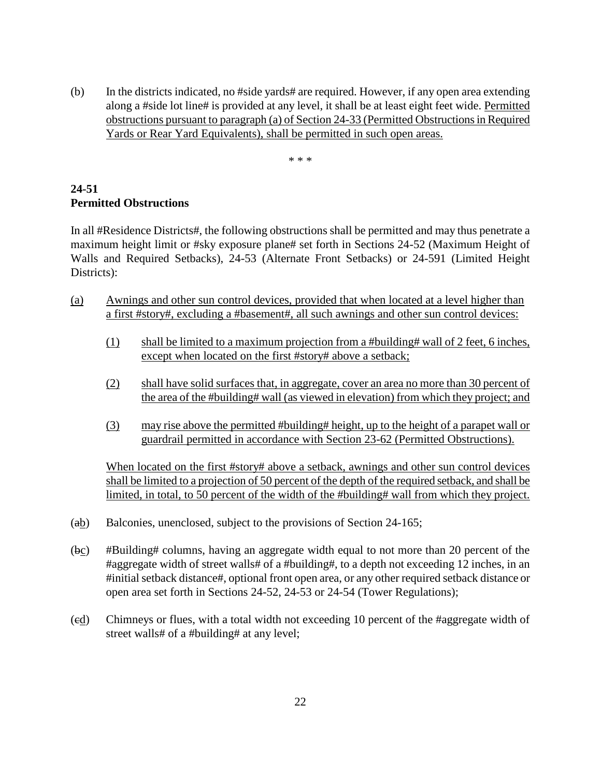(b) In the districts indicated, no #side yards# are required. However, if any open area extending along a #side lot line# is provided at any level, it shall be at least eight feet wide. Permitted obstructions pursuant to paragraph (a) of Section 24-33 (Permitted Obstructions in Required Yards or Rear Yard Equivalents), shall be permitted in such open areas.

\* \* \*

## **24-51 Permitted Obstructions**

In all #Residence Districts#, the following obstructions shall be permitted and may thus penetrate a maximum height limit or #sky exposure plane# set forth in Sections 24-52 (Maximum Height of Walls and Required Setbacks), 24-53 (Alternate Front Setbacks) or 24-591 (Limited Height Districts):

- (a) Awnings and other sun control devices, provided that when located at a level higher than a first #story#, excluding a #basement#, all such awnings and other sun control devices:
	- (1) shall be limited to a maximum projection from a #building# wall of 2 feet, 6 inches, except when located on the first #story# above a setback;
	- (2) shall have solid surfaces that, in aggregate, cover an area no more than 30 percent of the area of the #building# wall (as viewed in elevation) from which they project; and
	- (3) may rise above the permitted #building# height, up to the height of a parapet wall or guardrail permitted in accordance with Section 23-62 (Permitted Obstructions).

When located on the first #story# above a setback, awnings and other sun control devices shall be limited to a projection of 50 percent of the depth of the required setback, and shall be limited, in total, to 50 percent of the width of the #building# wall from which they project.

- (ab) Balconies, unenclosed, subject to the provisions of Section 24-165;
- (bc) #Building# columns, having an aggregate width equal to not more than 20 percent of the #aggregate width of street walls# of a #building#, to a depth not exceeding 12 inches, in an #initial setback distance#, optional front open area, or any other required setback distance or open area set forth in Sections 24-52, 24-53 or 24-54 (Tower Regulations);
- (cd) Chimneys or flues, with a total width not exceeding 10 percent of the #aggregate width of street walls# of a #building# at any level;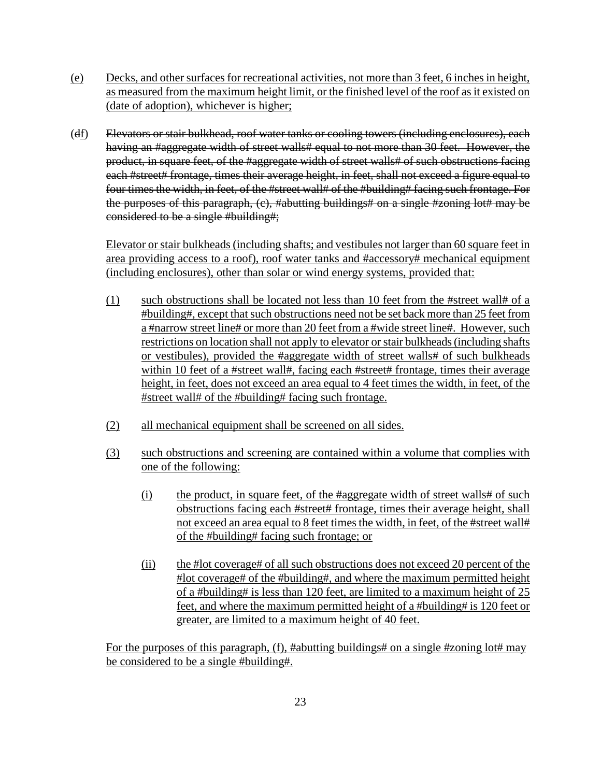- (e) Decks, and other surfaces for recreational activities, not more than 3 feet, 6 inches in height, as measured from the maximum height limit, or the finished level of the roof as it existed on (date of adoption), whichever is higher;
- (df) Elevators or stair bulkhead, roof water tanks or cooling towers (including enclosures), each having an #aggregate width of street walls# equal to not more than 30 feet. However, the product, in square feet, of the #aggregate width of street walls# of such obstructions facing each #street# frontage, times their average height, in feet, shall not exceed a figure equal to four times the width, in feet, of the #street wall# of the #building# facing such frontage. For the purposes of this paragraph, (c), #abutting buildings# on a single #zoning lot# may be considered to be a single #building#;

Elevator or stair bulkheads (including shafts; and vestibules not larger than 60 square feet in area providing access to a roof), roof water tanks and #accessory# mechanical equipment (including enclosures), other than solar or wind energy systems, provided that:

- (1) such obstructions shall be located not less than 10 feet from the #street wall# of a #building#, except that such obstructions need not be set back more than 25 feet from a #narrow street line# or more than 20 feet from a #wide street line#. However, such restrictions on location shall not apply to elevator or stair bulkheads (including shafts or vestibules), provided the #aggregate width of street walls# of such bulkheads within 10 feet of a #street wall#, facing each #street# frontage, times their average height, in feet, does not exceed an area equal to 4 feet times the width, in feet, of the #street wall# of the #building# facing such frontage.
- (2) all mechanical equipment shall be screened on all sides.
- (3) such obstructions and screening are contained within a volume that complies with one of the following:
	- (i) the product, in square feet, of the #aggregate width of street walls# of such obstructions facing each #street# frontage, times their average height, shall not exceed an area equal to 8 feet times the width, in feet, of the #street wall# of the #building# facing such frontage; or
	- (ii) the #lot coverage# of all such obstructions does not exceed 20 percent of the #lot coverage# of the #building#, and where the maximum permitted height of a #building# is less than 120 feet, are limited to a maximum height of 25 feet, and where the maximum permitted height of a #building# is 120 feet or greater, are limited to a maximum height of 40 feet.

For the purposes of this paragraph, (f), #abutting buildings# on a single #zoning lot# may be considered to be a single #building#.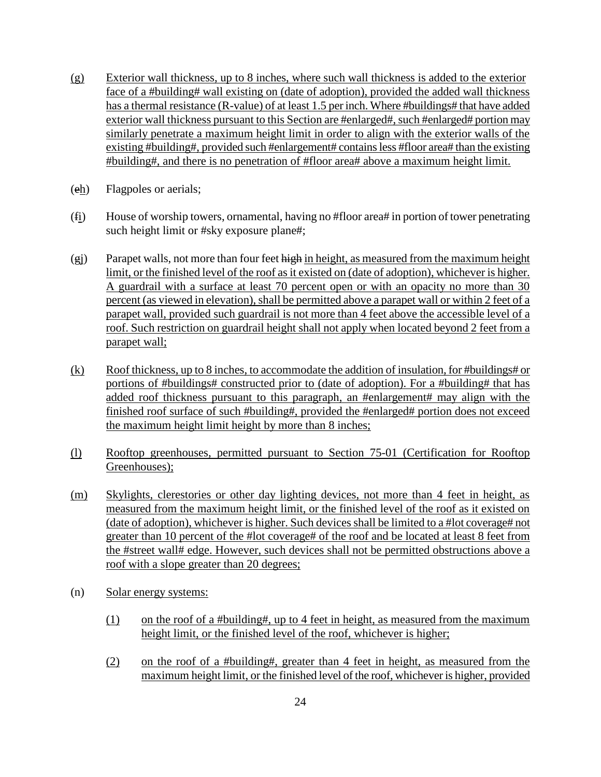- (g) Exterior wall thickness, up to 8 inches, where such wall thickness is added to the exterior face of a #building# wall existing on (date of adoption), provided the added wall thickness has a thermal resistance (R-value) of at least 1.5 per inch. Where #buildings# that have added exterior wall thickness pursuant to this Section are #enlarged#, such #enlarged# portion may similarly penetrate a maximum height limit in order to align with the exterior walls of the existing #building#, provided such #enlargement# contains less #floor area# than the existing #building#, and there is no penetration of #floor area# above a maximum height limit.
- (eh) Flagpoles or aerials;
- (fi) House of worship towers, ornamental, having no #floor area# in portion of tower penetrating such height limit or #sky exposure plane#;
- (gj) Parapet walls, not more than four feet high in height, as measured from the maximum height limit, or the finished level of the roof as it existed on (date of adoption), whichever is higher. A guardrail with a surface at least 70 percent open or with an opacity no more than 30 percent (as viewed in elevation), shall be permitted above a parapet wall or within 2 feet of a parapet wall, provided such guardrail is not more than 4 feet above the accessible level of a roof. Such restriction on guardrail height shall not apply when located beyond 2 feet from a parapet wall;
- (k) Roof thickness, up to 8 inches, to accommodate the addition of insulation, for #buildings# or portions of #buildings# constructed prior to (date of adoption). For a #building# that has added roof thickness pursuant to this paragraph, an #enlargement# may align with the finished roof surface of such #building#, provided the #enlarged# portion does not exceed the maximum height limit height by more than 8 inches;
- (l) Rooftop greenhouses, permitted pursuant to Section 75-01 (Certification for Rooftop Greenhouses);
- (m) Skylights, clerestories or other day lighting devices, not more than 4 feet in height, as measured from the maximum height limit, or the finished level of the roof as it existed on (date of adoption), whichever is higher. Such devices shall be limited to a #lot coverage# not greater than 10 percent of the #lot coverage# of the roof and be located at least 8 feet from the #street wall# edge. However, such devices shall not be permitted obstructions above a roof with a slope greater than 20 degrees;
- (n) Solar energy systems:
	- (1) on the roof of a #building#, up to 4 feet in height, as measured from the maximum height limit, or the finished level of the roof, whichever is higher;
	- (2) on the roof of a #building#, greater than 4 feet in height, as measured from the maximum height limit, or the finished level of the roof, whichever is higher, provided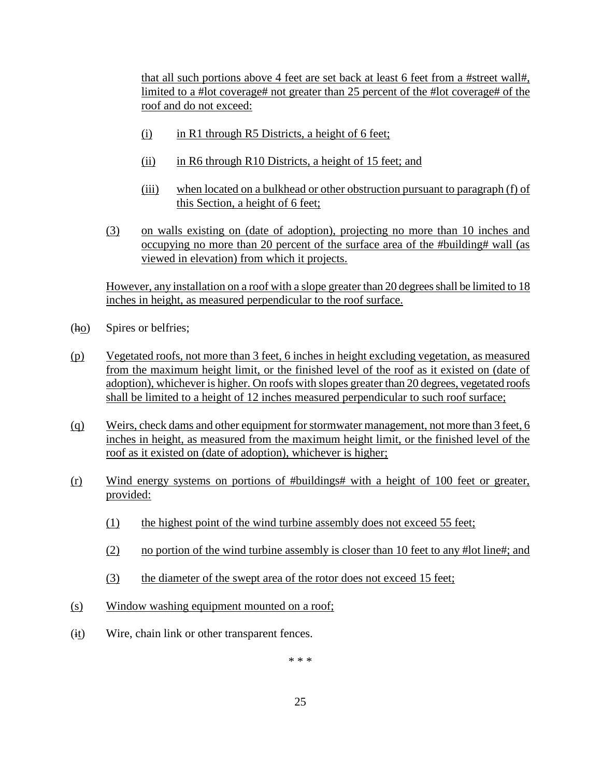that all such portions above 4 feet are set back at least 6 feet from a #street wall#, limited to a #lot coverage# not greater than 25 percent of the #lot coverage# of the roof and do not exceed:

- (i) in R1 through R5 Districts, a height of 6 feet;
- (ii) in R6 through R10 Districts, a height of 15 feet; and
- (iii) when located on a bulkhead or other obstruction pursuant to paragraph (f) of this Section, a height of 6 feet;
- (3) on walls existing on (date of adoption), projecting no more than 10 inches and occupying no more than 20 percent of the surface area of the #building# wall (as viewed in elevation) from which it projects.

However, any installation on a roof with a slope greater than 20 degrees shall be limited to 18 inches in height, as measured perpendicular to the roof surface.

- $(h_0)$  Spires or belfries;
- (p) Vegetated roofs, not more than 3 feet, 6 inches in height excluding vegetation, as measured from the maximum height limit, or the finished level of the roof as it existed on (date of adoption), whichever is higher. On roofs with slopes greater than 20 degrees, vegetated roofs shall be limited to a height of 12 inches measured perpendicular to such roof surface;
- (q) Weirs, check dams and other equipment for stormwater management, not more than 3 feet, 6 inches in height, as measured from the maximum height limit, or the finished level of the roof as it existed on (date of adoption), whichever is higher;
- (r) Wind energy systems on portions of #buildings# with a height of 100 feet or greater, provided:
	- (1) the highest point of the wind turbine assembly does not exceed 55 feet;
	- (2) no portion of the wind turbine assembly is closer than 10 feet to any #lot line#; and
	- (3) the diameter of the swept area of the rotor does not exceed 15 feet;
- (s) Window washing equipment mounted on a roof;
- (it) Wire, chain link or other transparent fences.

\* \* \*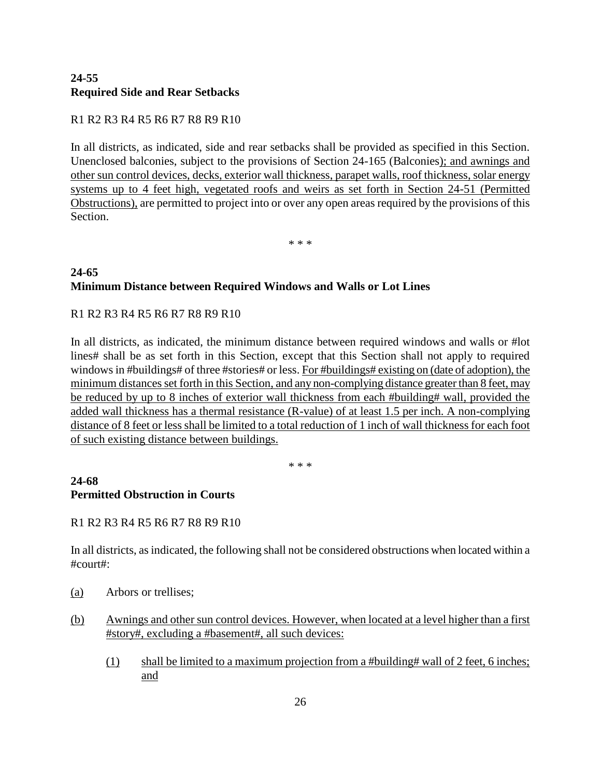## **24-55 Required Side and Rear Setbacks**

## R1 R2 R3 R4 R5 R6 R7 R8 R9 R10

In all districts, as indicated, side and rear setbacks shall be provided as specified in this Section. Unenclosed balconies, subject to the provisions of Section 24-165 (Balconies); and awnings and other sun control devices, decks, exterior wall thickness, parapet walls, roof thickness, solar energy systems up to 4 feet high, vegetated roofs and weirs as set forth in Section 24-51 (Permitted Obstructions), are permitted to project into or over any open areas required by the provisions of this Section.

\* \* \*

## **24-65 Minimum Distance between Required Windows and Walls or Lot Lines**

## R1 R2 R3 R4 R5 R6 R7 R8 R9 R10

In all districts, as indicated, the minimum distance between required windows and walls or #lot lines# shall be as set forth in this Section, except that this Section shall not apply to required windows in #buildings# of three #stories# or less. For #buildings# existing on (date of adoption), the minimum distances set forth in this Section, and any non-complying distance greater than 8 feet, may be reduced by up to 8 inches of exterior wall thickness from each #building# wall, provided the added wall thickness has a thermal resistance (R-value) of at least 1.5 per inch. A non-complying distance of 8 feet or less shall be limited to a total reduction of 1 inch of wall thickness for each foot of such existing distance between buildings.

\* \* \*

### **24-68 Permitted Obstruction in Courts**

## R1 R2 R3 R4 R5 R6 R7 R8 R9 R10

In all districts, as indicated, the following shall not be considered obstructions when located within a #court#:

- (a) Arbors or trellises;
- (b) Awnings and other sun control devices. However, when located at a level higher than a first #story#, excluding a #basement#, all such devices:
	- (1) shall be limited to a maximum projection from a #building# wall of 2 feet, 6 inches; and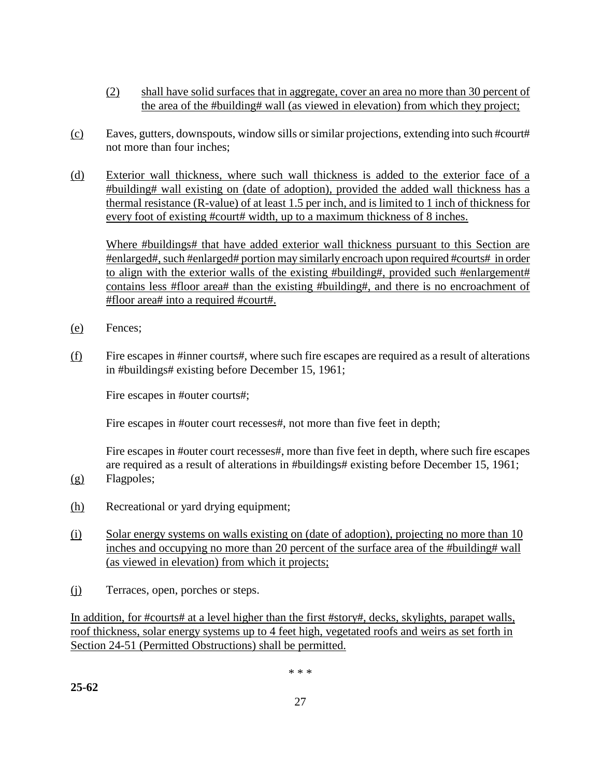- (2) shall have solid surfaces that in aggregate, cover an area no more than 30 percent of the area of the #building# wall (as viewed in elevation) from which they project;
- (c) Eaves, gutters, downspouts, window sills or similar projections, extending into such #court# not more than four inches;
- (d) Exterior wall thickness, where such wall thickness is added to the exterior face of a #building# wall existing on (date of adoption), provided the added wall thickness has a thermal resistance (R-value) of at least 1.5 per inch, and is limited to 1 inch of thickness for every foot of existing #court# width, up to a maximum thickness of 8 inches.

Where #buildings# that have added exterior wall thickness pursuant to this Section are #enlarged#, such #enlarged# portion may similarly encroach upon required #courts# in order to align with the exterior walls of the existing #building#, provided such #enlargement# contains less #floor area# than the existing #building#, and there is no encroachment of #floor area# into a required #court#.

- (e) Fences;
- (f) Fire escapes in #inner courts#, where such fire escapes are required as a result of alterations in #buildings# existing before December 15, 1961;

Fire escapes in #outer courts#;

Fire escapes in #outer court recesses#, not more than five feet in depth;

Fire escapes in #outer court recesses#, more than five feet in depth, where such fire escapes are required as a result of alterations in #buildings# existing before December 15, 1961;

- (g) Flagpoles;
- (h) Recreational or yard drying equipment;
- (i) Solar energy systems on walls existing on (date of adoption), projecting no more than 10 inches and occupying no more than 20 percent of the surface area of the #building# wall (as viewed in elevation) from which it projects;
- (j) Terraces, open, porches or steps.

In addition, for #courts# at a level higher than the first #story#, decks, skylights, parapet walls, roof thickness, solar energy systems up to 4 feet high, vegetated roofs and weirs as set forth in Section 24-51 (Permitted Obstructions) shall be permitted.

\* \* \*

**25-62**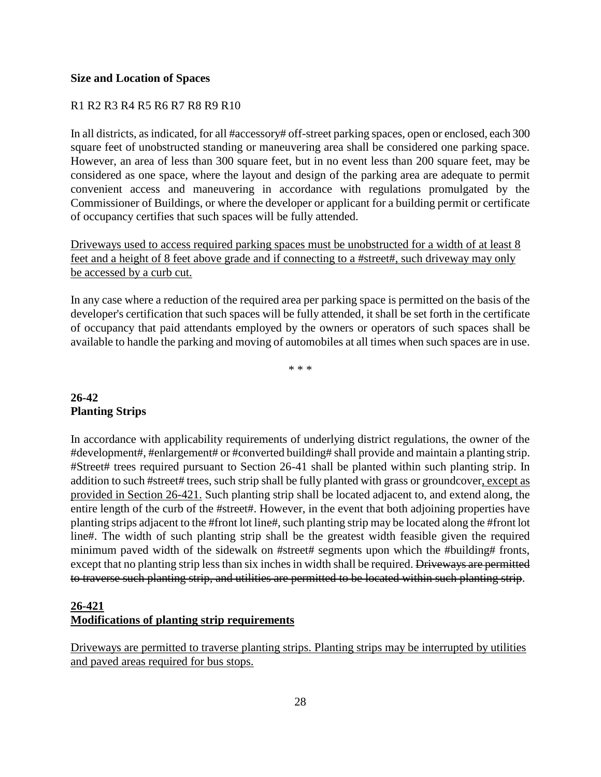#### **Size and Location of Spaces**

#### R1 R2 R3 R4 R5 R6 R7 R8 R9 R10

In all districts, as indicated, for all #accessory# off-street parking spaces, open or enclosed, each 300 square feet of unobstructed standing or maneuvering area shall be considered one parking space. However, an area of less than 300 square feet, but in no event less than 200 square feet, may be considered as one space, where the layout and design of the parking area are adequate to permit convenient access and maneuvering in accordance with regulations promulgated by the Commissioner of Buildings, or where the developer or applicant for a building permit or certificate of occupancy certifies that such spaces will be fully attended.

Driveways used to access required parking spaces must be unobstructed for a width of at least 8 feet and a height of 8 feet above grade and if connecting to a #street#, such driveway may only be accessed by a curb cut.

In any case where a reduction of the required area per parking space is permitted on the basis of the developer's certification that such spaces will be fully attended, it shall be set forth in the certificate of occupancy that paid attendants employed by the owners or operators of such spaces shall be available to handle the parking and moving of automobiles at all times when such spaces are in use.

\* \* \*

### **26-42 Planting Strips**

In accordance with applicability requirements of underlying district regulations, the owner of the #development#, #enlargement# or #converted building# shall provide and maintain a planting strip. #Street# trees required pursuant to Section 26-41 shall be planted within such planting strip. In addition to such #street# trees, such strip shall be fully planted with grass or groundcover, except as provided in Section 26-421. Such planting strip shall be located adjacent to, and extend along, the entire length of the curb of the #street#. However, in the event that both adjoining properties have planting strips adjacent to the #front lot line#, such planting strip may be located along the #front lot line#. The width of such planting strip shall be the greatest width feasible given the required minimum paved width of the sidewalk on #street# segments upon which the #building# fronts, except that no planting strip less than six inches in width shall be required. Driveways are permitted to traverse such planting strip, and utilities are permitted to be located within such planting strip.

## **26-421 Modifications of planting strip requirements**

Driveways are permitted to traverse planting strips. Planting strips may be interrupted by utilities and paved areas required for bus stops.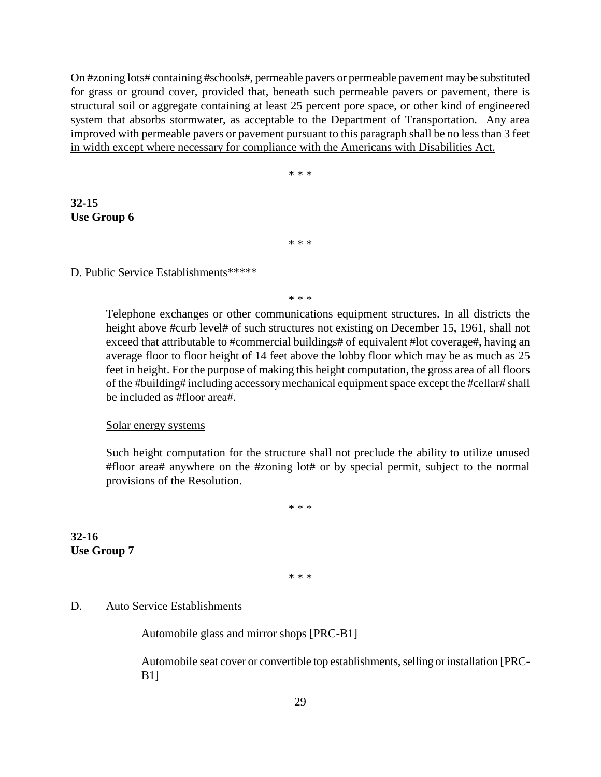On #zoning lots# containing #schools#, permeable pavers or permeable pavement may be substituted for grass or ground cover, provided that, beneath such permeable pavers or pavement, there is structural soil or aggregate containing at least 25 percent pore space, or other kind of engineered system that absorbs stormwater, as acceptable to the Department of Transportation. Any area improved with permeable pavers or pavement pursuant to this paragraph shall be no less than 3 feet in width except where necessary for compliance with the Americans with Disabilities Act.

\* \* \*

**32-15 Use Group 6**

\* \* \*

#### D. Public Service Establishments\*\*\*\*\*

\* \* \*

Telephone exchanges or other communications equipment structures. In all districts the height above #curb level# of such structures not existing on December 15, 1961, shall not exceed that attributable to #commercial buildings# of equivalent #lot coverage#, having an average floor to floor height of 14 feet above the lobby floor which may be as much as 25 feet in height. For the purpose of making this height computation, the gross area of all floors of the #building# including accessory mechanical equipment space except the #cellar# shall be included as #floor area#.

#### Solar energy systems

Such height computation for the structure shall not preclude the ability to utilize unused #floor area# anywhere on the #zoning lot# or by special permit, subject to the normal provisions of the Resolution.

\* \* \*

**32-16 Use Group 7**

\* \* \*

#### D. Auto Service Establishments

Automobile glass and mirror shops [PRC-B1]

Automobile seat cover or convertible top establishments, selling or installation [PRC-B1]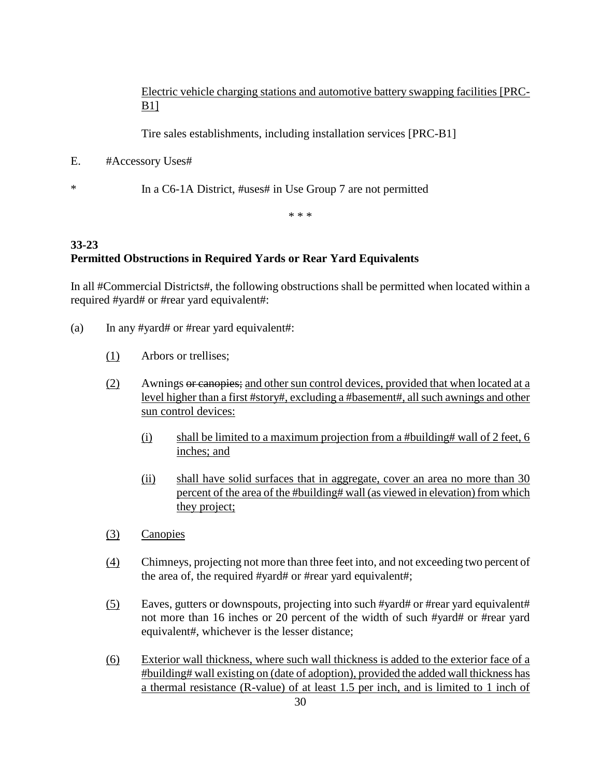Electric vehicle charging stations and automotive battery swapping facilities [PRC-B1]

Tire sales establishments, including installation services [PRC-B1]

E. #Accessory Uses#

\* In a C6-1A District, #uses# in Use Group 7 are not permitted

\* \* \*

# **33-23 Permitted Obstructions in Required Yards or Rear Yard Equivalents**

In all #Commercial Districts#, the following obstructions shall be permitted when located within a required #yard# or #rear yard equivalent#:

- (a) In any #yard# or #rear yard equivalent#:
	- (1) Arbors or trellises;
	- (2) Awnings or canopies; and other sun control devices, provided that when located at a level higher than a first #story#, excluding a #basement#, all such awnings and other sun control devices:
		- (i) shall be limited to a maximum projection from a #building# wall of 2 feet, 6 inches; and
		- (ii) shall have solid surfaces that in aggregate, cover an area no more than 30 percent of the area of the #building# wall (as viewed in elevation) from which they project;
	- (3) Canopies
	- (4) Chimneys, projecting not more than three feet into, and not exceeding two percent of the area of, the required #yard# or #rear yard equivalent#;
	- (5) Eaves, gutters or downspouts, projecting into such #yard# or #rear yard equivalent# not more than 16 inches or 20 percent of the width of such #yard# or #rear yard equivalent#, whichever is the lesser distance;
	- (6) Exterior wall thickness, where such wall thickness is added to the exterior face of a #building# wall existing on (date of adoption), provided the added wall thickness has a thermal resistance (R-value) of at least 1.5 per inch, and is limited to 1 inch of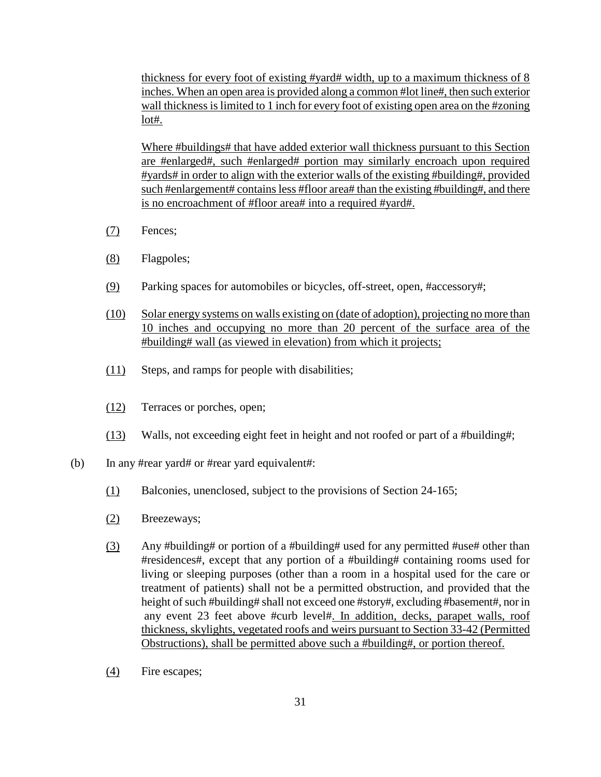thickness for every foot of existing #yard# width, up to a maximum thickness of 8 inches. When an open area is provided along a common #lot line#, then such exterior wall thickness is limited to 1 inch for every foot of existing open area on the #zoning lot#.

Where #buildings# that have added exterior wall thickness pursuant to this Section are #enlarged#, such #enlarged# portion may similarly encroach upon required #yards# in order to align with the exterior walls of the existing #building#, provided such #enlargement# contains less #floor area# than the existing #building#, and there is no encroachment of #floor area# into a required #yard#.

- (7) Fences;
- (8) Flagpoles;
- (9) Parking spaces for automobiles or bicycles, off-street, open, #accessory#;
- (10) Solar energy systems on walls existing on (date of adoption), projecting no more than 10 inches and occupying no more than 20 percent of the surface area of the #building# wall (as viewed in elevation) from which it projects;
- (11) Steps, and ramps for people with disabilities;
- (12) Terraces or porches, open;
- (13) Walls, not exceeding eight feet in height and not roofed or part of a #building#;
- (b) In any #rear yard# or #rear yard equivalent#:
	- (1) Balconies, unenclosed, subject to the provisions of Section 24-165;
	- (2) Breezeways;
	- (3) Any #building# or portion of a #building# used for any permitted #use# other than #residences#, except that any portion of a #building# containing rooms used for living or sleeping purposes (other than a room in a hospital used for the care or treatment of patients) shall not be a permitted obstruction, and provided that the height of such #building# shall not exceed one #story#, excluding #basement#, nor in any event 23 feet above #curb level#. In addition, decks, parapet walls, roof thickness, skylights, vegetated roofs and weirs pursuant to Section 33-42 (Permitted Obstructions), shall be permitted above such a #building#, or portion thereof.
	- (4) Fire escapes;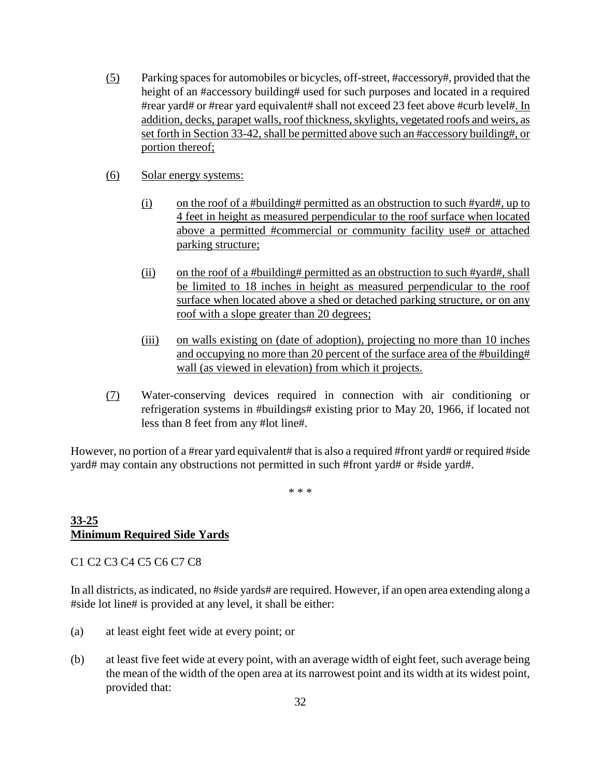- (5) Parking spaces for automobiles or bicycles, off-street, #accessory#, provided that the height of an #accessory building# used for such purposes and located in a required #rear yard# or #rear yard equivalent# shall not exceed 23 feet above #curb level#. In addition, decks, parapet walls, roof thickness, skylights, vegetated roofs and weirs, as set forth in Section 33-42, shall be permitted above such an #accessory building#, or portion thereof;
- (6) Solar energy systems:
	- (i) on the roof of a #building# permitted as an obstruction to such #yard#, up to 4 feet in height as measured perpendicular to the roof surface when located above a permitted #commercial or community facility use# or attached parking structure;
	- (ii) on the roof of a #building# permitted as an obstruction to such #yard#, shall be limited to 18 inches in height as measured perpendicular to the roof surface when located above a shed or detached parking structure, or on any roof with a slope greater than 20 degrees;
	- (iii) on walls existing on (date of adoption), projecting no more than 10 inches and occupying no more than 20 percent of the surface area of the #building# wall (as viewed in elevation) from which it projects.
- (7) Water-conserving devices required in connection with air conditioning or refrigeration systems in #buildings# existing prior to May 20, 1966, if located not less than 8 feet from any #lot line#.

However, no portion of a #rear yard equivalent# that is also a required #front yard# or required #side yard# may contain any obstructions not permitted in such #front yard# or #side yard#.

\* \* \*

#### **33-25 Minimum Required Side Yards**

C1 C2 C3 C4 C5 C6 C7 C8

In all districts, as indicated, no #side yards# are required. However, if an open area extending along a #side lot line# is provided at any level, it shall be either:

- (a) at least eight feet wide at every point; or
- (b) at least five feet wide at every point, with an average width of eight feet, such average being the mean of the width of the open area at its narrowest point and its width at its widest point, provided that: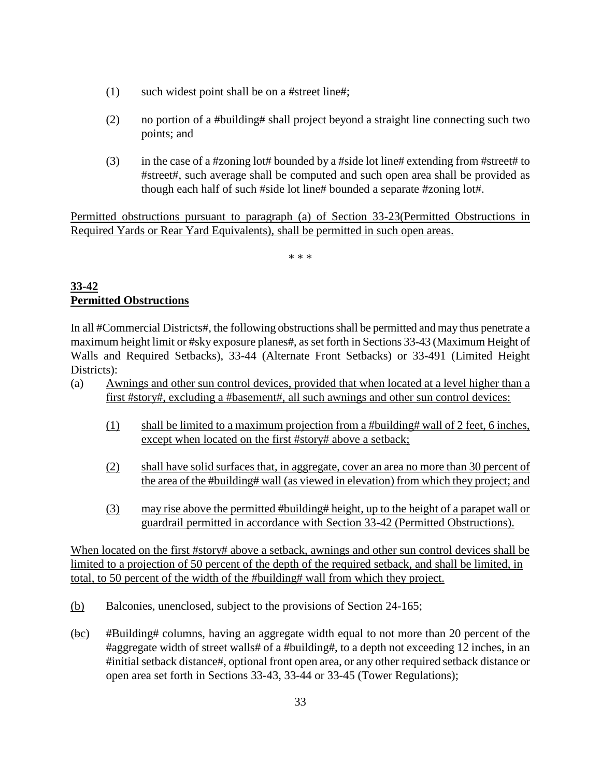- (1) such widest point shall be on a #street line#;
- (2) no portion of a #building# shall project beyond a straight line connecting such two points; and
- (3) in the case of a #zoning lot# bounded by a #side lot line# extending from #street# to #street#, such average shall be computed and such open area shall be provided as though each half of such #side lot line# bounded a separate #zoning lot#.

Permitted obstructions pursuant to paragraph (a) of Section 33-23(Permitted Obstructions in Required Yards or Rear Yard Equivalents), shall be permitted in such open areas.

\* \* \*

## **33-42 Permitted Obstructions**

In all #Commercial Districts#, the following obstructions shall be permitted and may thus penetrate a maximum height limit or #sky exposure planes#, as set forth in Sections 33-43 (Maximum Height of Walls and Required Setbacks), 33-44 (Alternate Front Setbacks) or 33-491 (Limited Height Districts):

- (a) Awnings and other sun control devices, provided that when located at a level higher than a first #story#, excluding a #basement#, all such awnings and other sun control devices:
	- (1) shall be limited to a maximum projection from a #building# wall of 2 feet, 6 inches, except when located on the first #story# above a setback;
	- (2) shall have solid surfaces that, in aggregate, cover an area no more than 30 percent of the area of the #building# wall (as viewed in elevation) from which they project; and
	- (3) may rise above the permitted #building# height, up to the height of a parapet wall or guardrail permitted in accordance with Section 33-42 (Permitted Obstructions).

When located on the first #story# above a setback, awnings and other sun control devices shall be limited to a projection of 50 percent of the depth of the required setback, and shall be limited, in total, to 50 percent of the width of the #building# wall from which they project.

- (b) Balconies, unenclosed, subject to the provisions of Section 24-165;
- (bc) #Building# columns, having an aggregate width equal to not more than 20 percent of the #aggregate width of street walls# of a #building#, to a depth not exceeding 12 inches, in an #initial setback distance#, optional front open area, or any other required setback distance or open area set forth in Sections 33-43, 33-44 or 33-45 (Tower Regulations);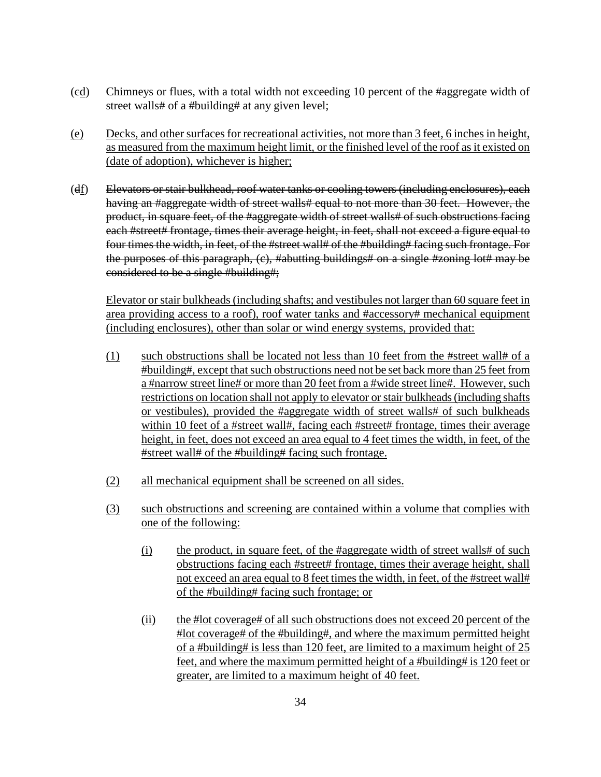- (cd) Chimneys or flues, with a total width not exceeding 10 percent of the #aggregate width of street walls# of a #building# at any given level;
- (e) Decks, and other surfaces for recreational activities, not more than 3 feet, 6 inches in height, as measured from the maximum height limit, or the finished level of the roof as it existed on (date of adoption), whichever is higher;
- (df) Elevators or stair bulkhead, roof water tanks or cooling towers (including enclosures), each having an #aggregate width of street walls# equal to not more than 30 feet. However, the product, in square feet, of the #aggregate width of street walls# of such obstructions facing each #street# frontage, times their average height, in feet, shall not exceed a figure equal to four times the width, in feet, of the #street wall# of the #building# facing such frontage. For the purposes of this paragraph, (c), #abutting buildings# on a single #zoning lot# may be considered to be a single #building#;

Elevator or stair bulkheads (including shafts; and vestibules not larger than 60 square feet in area providing access to a roof), roof water tanks and #accessory# mechanical equipment (including enclosures), other than solar or wind energy systems, provided that:

- (1) such obstructions shall be located not less than 10 feet from the #street wall# of a #building#, except that such obstructions need not be set back more than 25 feet from a #narrow street line# or more than 20 feet from a #wide street line#. However, such restrictions on location shall not apply to elevator or stair bulkheads (including shafts or vestibules), provided the #aggregate width of street walls# of such bulkheads within 10 feet of a #street wall#, facing each #street# frontage, times their average height, in feet, does not exceed an area equal to 4 feet times the width, in feet, of the #street wall# of the #building# facing such frontage.
- (2) all mechanical equipment shall be screened on all sides.
- (3) such obstructions and screening are contained within a volume that complies with one of the following:
	- (i) the product, in square feet, of the #aggregate width of street walls# of such obstructions facing each #street# frontage, times their average height, shall not exceed an area equal to 8 feet times the width, in feet, of the #street wall# of the #building# facing such frontage; or
	- (ii) the #lot coverage# of all such obstructions does not exceed 20 percent of the #lot coverage# of the #building#, and where the maximum permitted height of a #building# is less than 120 feet, are limited to a maximum height of 25 feet, and where the maximum permitted height of a #building# is 120 feet or greater, are limited to a maximum height of 40 feet.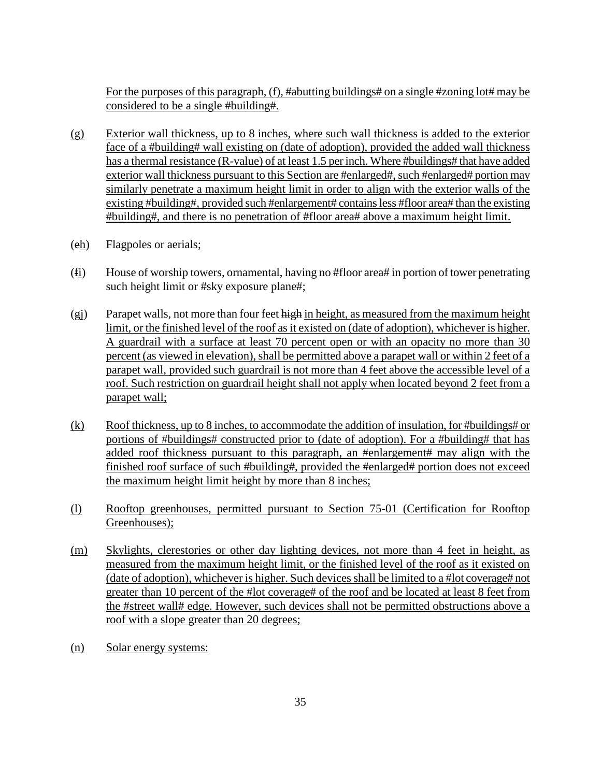For the purposes of this paragraph, (f), #abutting buildings# on a single #zoning lot# may be considered to be a single #building#.

- (g) Exterior wall thickness, up to 8 inches, where such wall thickness is added to the exterior face of a #building# wall existing on (date of adoption), provided the added wall thickness has a thermal resistance (R-value) of at least 1.5 per inch. Where #buildings# that have added exterior wall thickness pursuant to this Section are #enlarged#, such #enlarged# portion may similarly penetrate a maximum height limit in order to align with the exterior walls of the existing #building#, provided such #enlargement# contains less #floor area# than the existing #building#, and there is no penetration of #floor area# above a maximum height limit.
- (eh) Flagpoles or aerials;
- (fi) House of worship towers, ornamental, having no #floor area# in portion of tower penetrating such height limit or #sky exposure plane#;
- $(g<sub>i</sub>)$  Parapet walls, not more than four feet high in height, as measured from the maximum height limit, or the finished level of the roof as it existed on (date of adoption), whichever is higher. A guardrail with a surface at least 70 percent open or with an opacity no more than 30 percent (as viewed in elevation), shall be permitted above a parapet wall or within 2 feet of a parapet wall, provided such guardrail is not more than 4 feet above the accessible level of a roof. Such restriction on guardrail height shall not apply when located beyond 2 feet from a parapet wall;
- $(k)$  Roof thickness, up to 8 inches, to accommodate the addition of insulation, for #buildings# or portions of #buildings# constructed prior to (date of adoption). For a #building# that has added roof thickness pursuant to this paragraph, an #enlargement# may align with the finished roof surface of such #building#, provided the #enlarged# portion does not exceed the maximum height limit height by more than 8 inches;
- (l) Rooftop greenhouses, permitted pursuant to Section 75-01 (Certification for Rooftop Greenhouses);
- (m) Skylights, clerestories or other day lighting devices, not more than 4 feet in height, as measured from the maximum height limit, or the finished level of the roof as it existed on (date of adoption), whichever is higher. Such devices shall be limited to a #lot coverage# not greater than 10 percent of the #lot coverage# of the roof and be located at least 8 feet from the #street wall# edge. However, such devices shall not be permitted obstructions above a roof with a slope greater than 20 degrees;
- (n) Solar energy systems: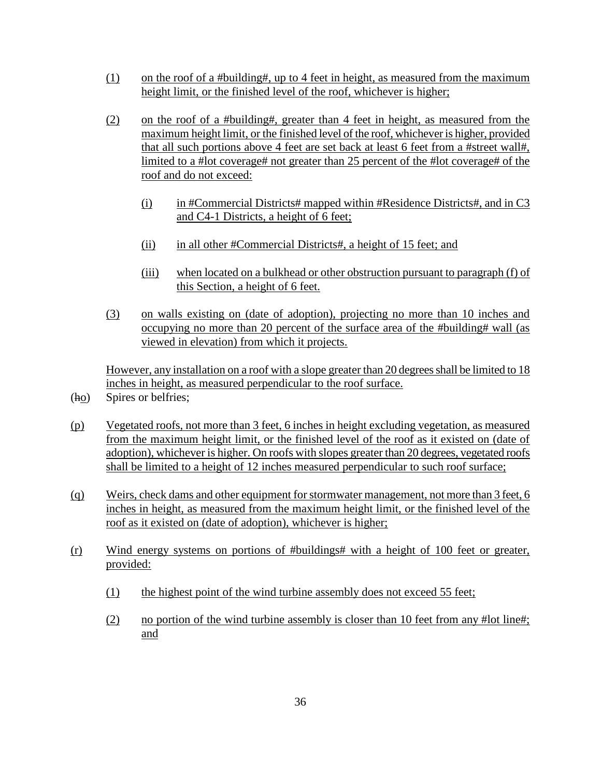- (1) on the roof of a #building#, up to 4 feet in height, as measured from the maximum height limit, or the finished level of the roof, whichever is higher;
- (2) on the roof of a #building#, greater than 4 feet in height, as measured from the maximum height limit, or the finished level of the roof, whichever is higher, provided that all such portions above 4 feet are set back at least 6 feet from a #street wall#, limited to a #lot coverage# not greater than 25 percent of the #lot coverage# of the roof and do not exceed:
	- (i) in #Commercial Districts# mapped within #Residence Districts#, and in C3 and C4-1 Districts, a height of 6 feet;
	- (ii) in all other #Commercial Districts#, a height of 15 feet; and
	- (iii) when located on a bulkhead or other obstruction pursuant to paragraph (f) of this Section, a height of 6 feet.
- (3) on walls existing on (date of adoption), projecting no more than 10 inches and occupying no more than 20 percent of the surface area of the #building# wall (as viewed in elevation) from which it projects.

However, any installation on a roof with a slope greater than 20 degrees shall be limited to 18 inches in height, as measured perpendicular to the roof surface.

- (ho) Spires or belfries;
- (p) Vegetated roofs, not more than 3 feet, 6 inches in height excluding vegetation, as measured from the maximum height limit, or the finished level of the roof as it existed on (date of adoption), whichever is higher. On roofs with slopes greater than 20 degrees, vegetated roofs shall be limited to a height of 12 inches measured perpendicular to such roof surface;
- (q) Weirs, check dams and other equipment for stormwater management, not more than 3 feet, 6 inches in height, as measured from the maximum height limit, or the finished level of the roof as it existed on (date of adoption), whichever is higher;
- (r) Wind energy systems on portions of #buildings# with a height of 100 feet or greater, provided:
	- (1) the highest point of the wind turbine assembly does not exceed 55 feet;
	- (2) no portion of the wind turbine assembly is closer than 10 feet from any #lot line#; and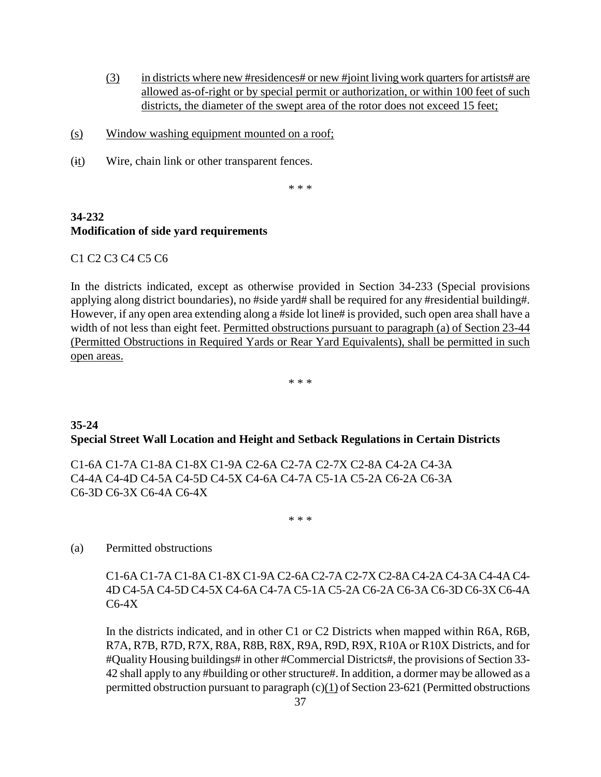- (3) in districts where new #residences# or new #joint living work quarters for artists# are allowed as-of-right or by special permit or authorization, or within 100 feet of such districts, the diameter of the swept area of the rotor does not exceed 15 feet;
- (s) Window washing equipment mounted on a roof;
- (it) Wire, chain link or other transparent fences.

\* \* \*

# **34-232 Modification of side yard requirements**

C1 C2 C3 C4 C5 C6

In the districts indicated, except as otherwise provided in Section 34-233 (Special provisions applying along district boundaries), no #side yard# shall be required for any #residential building#. However, if any open area extending along a #side lot line# is provided, such open area shall have a width of not less than eight feet. Permitted obstructions pursuant to paragraph (a) of Section 23-44 (Permitted Obstructions in Required Yards or Rear Yard Equivalents), shall be permitted in such open areas.

\* \* \*

## **35-24 Special Street Wall Location and Height and Setback Regulations in Certain Districts**

C1-6A C1-7A C1-8A C1-8X C1-9A C2-6A C2-7A C2-7X C2-8A C4-2A C4-3A C4-4A C4-4D C4-5A C4-5D C4-5X C4-6A C4-7A C5-1A C5-2A C6-2A C6-3A C6-3D C6-3X C6-4A C6-4X

\* \* \*

#### (a) Permitted obstructions

C1-6A C1-7A C1-8A C1-8X C1-9A C2-6A C2-7A C2-7X C2-8A C4-2A C4-3A C4-4A C4- 4D C4-5A C4-5D C4-5X C4-6A C4-7A C5-1A C5-2A C6-2A C6-3A C6-3D C6-3X C6-4A C6-4X

In the districts indicated, and in other C1 or C2 Districts when mapped within R6A, R6B, R7A, R7B, R7D, R7X, R8A, R8B, R8X, R9A, R9D, R9X, R10A or R10X Districts, and for #Quality Housing buildings# in other #Commercial Districts#, the provisions of Section 33- 42 shall apply to any #building or other structure#. In addition, a dormer may be allowed as a permitted obstruction pursuant to paragraph (c)(1) of Section 23-621 (Permitted obstructions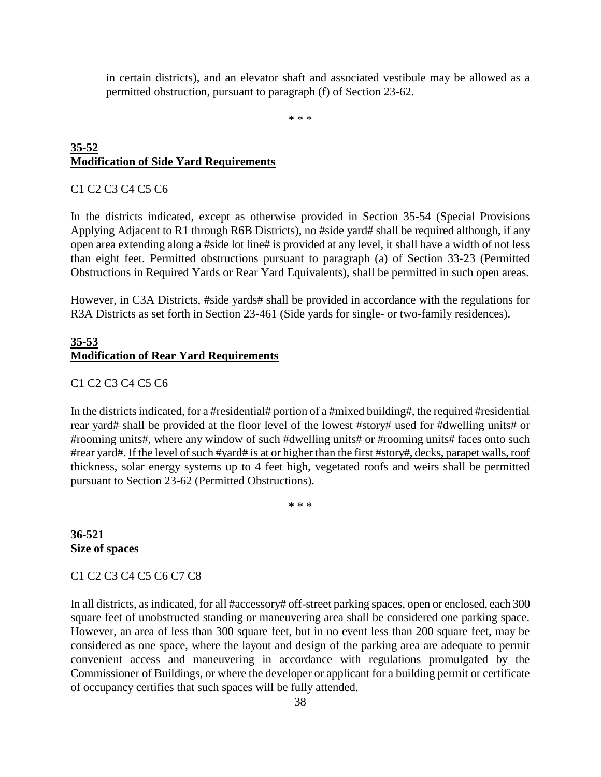in certain districts), and an elevator shaft and associated vestibule may be allowed as a permitted obstruction, pursuant to paragraph (f) of Section 23-62.

\* \* \*

## **35-52 Modification of Side Yard Requirements**

#### C1 C2 C3 C4 C5 C6

In the districts indicated, except as otherwise provided in Section 35-54 (Special Provisions Applying Adjacent to R1 through R6B Districts), no #side yard# shall be required although, if any open area extending along a #side lot line# is provided at any level, it shall have a width of not less than eight feet. Permitted obstructions pursuant to paragraph (a) of Section 33-23 (Permitted Obstructions in Required Yards or Rear Yard Equivalents), shall be permitted in such open areas.

However, in C3A Districts, #side yards# shall be provided in accordance with the regulations for R3A Districts as set forth in Section 23-461 (Side yards for single- or two-family residences).

## **35-53 Modification of Rear Yard Requirements**

#### C1 C2 C3 C4 C5 C6

In the districts indicated, for a #residential# portion of a #mixed building#, the required #residential rear yard# shall be provided at the floor level of the lowest #story# used for #dwelling units# or #rooming units#, where any window of such #dwelling units# or #rooming units# faces onto such #rear yard#. If the level of such #yard# is at or higher than the first #story#, decks, parapet walls, roof thickness, solar energy systems up to 4 feet high, vegetated roofs and weirs shall be permitted pursuant to Section 23-62 (Permitted Obstructions).

\* \* \*

**36-521 Size of spaces**

C1 C2 C3 C4 C5 C6 C7 C8

In all districts, as indicated, for all #accessory# off-street parking spaces, open or enclosed, each 300 square feet of unobstructed standing or maneuvering area shall be considered one parking space. However, an area of less than 300 square feet, but in no event less than 200 square feet, may be considered as one space, where the layout and design of the parking area are adequate to permit convenient access and maneuvering in accordance with regulations promulgated by the Commissioner of Buildings, or where the developer or applicant for a building permit or certificate of occupancy certifies that such spaces will be fully attended.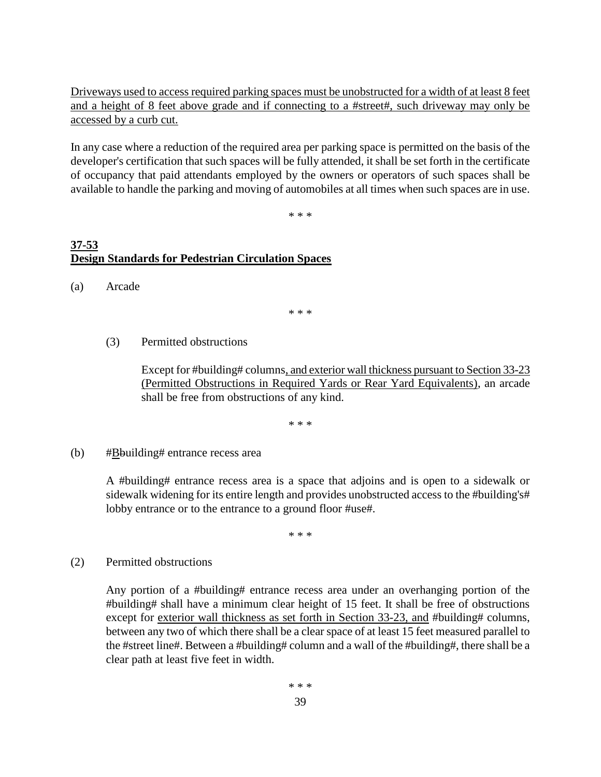Driveways used to access required parking spaces must be unobstructed for a width of at least 8 feet and a height of 8 feet above grade and if connecting to a #street#, such driveway may only be accessed by a curb cut.

In any case where a reduction of the required area per parking space is permitted on the basis of the developer's certification that such spaces will be fully attended, it shall be set forth in the certificate of occupancy that paid attendants employed by the owners or operators of such spaces shall be available to handle the parking and moving of automobiles at all times when such spaces are in use.

\* \* \*

# **37-53 Design Standards for Pedestrian Circulation Spaces**

(a) Arcade

\* \* \*

(3) Permitted obstructions

Except for #building# columns, and exterior wall thickness pursuant to Section 33-23 (Permitted Obstructions in Required Yards or Rear Yard Equivalents), an arcade shall be free from obstructions of any kind.

\* \* \*

(b)  $\# \underline{B}$ building# entrance recess area

A #building# entrance recess area is a space that adjoins and is open to a sidewalk or sidewalk widening for its entire length and provides unobstructed access to the #building's# lobby entrance or to the entrance to a ground floor #use#.

\* \* \*

(2) Permitted obstructions

Any portion of a #building# entrance recess area under an overhanging portion of the #building# shall have a minimum clear height of 15 feet. It shall be free of obstructions except for exterior wall thickness as set forth in Section 33-23, and #building# columns, between any two of which there shall be a clear space of at least 15 feet measured parallel to the #street line#. Between a #building# column and a wall of the #building#, there shall be a clear path at least five feet in width.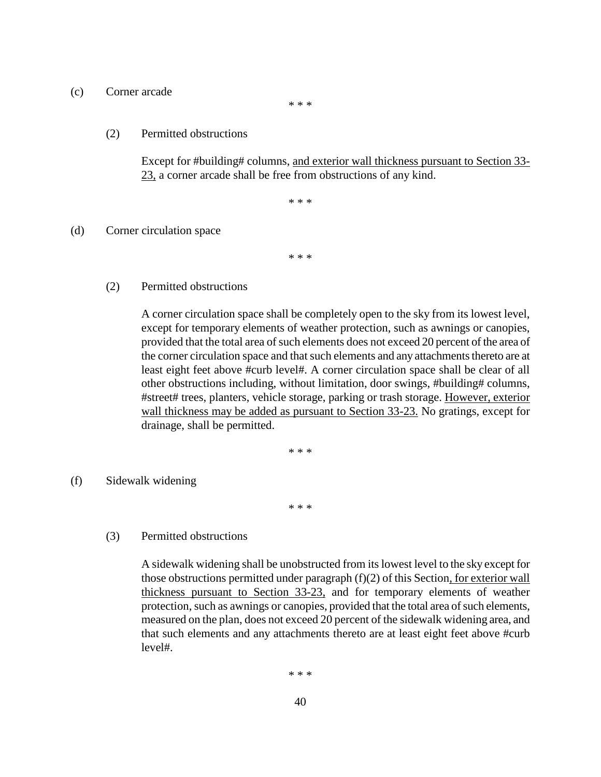#### (c) Corner arcade

\* \* \*

#### (2) Permitted obstructions

Except for #building# columns, and exterior wall thickness pursuant to Section 33- 23, a corner arcade shall be free from obstructions of any kind.

\* \* \*

#### (d) Corner circulation space

\* \* \*

(2) Permitted obstructions

A corner circulation space shall be completely open to the sky from its lowest level, except for temporary elements of weather protection, such as awnings or canopies, provided that the total area of such elements does not exceed 20 percent of the area of the corner circulation space and that such elements and any attachments thereto are at least eight feet above #curb level#. A corner circulation space shall be clear of all other obstructions including, without limitation, door swings, #building# columns, #street# trees, planters, vehicle storage, parking or trash storage. However, exterior wall thickness may be added as pursuant to Section 33-23. No gratings, except for drainage, shall be permitted.

\* \* \*

(f) Sidewalk widening

\* \* \*

(3) Permitted obstructions

A sidewalk widening shall be unobstructed from its lowest level to the sky except for those obstructions permitted under paragraph (f)(2) of this Section, for exterior wall thickness pursuant to Section 33-23, and for temporary elements of weather protection, such as awnings or canopies, provided that the total area of such elements, measured on the plan, does not exceed 20 percent of the sidewalk widening area, and that such elements and any attachments thereto are at least eight feet above #curb level#.

\* \* \*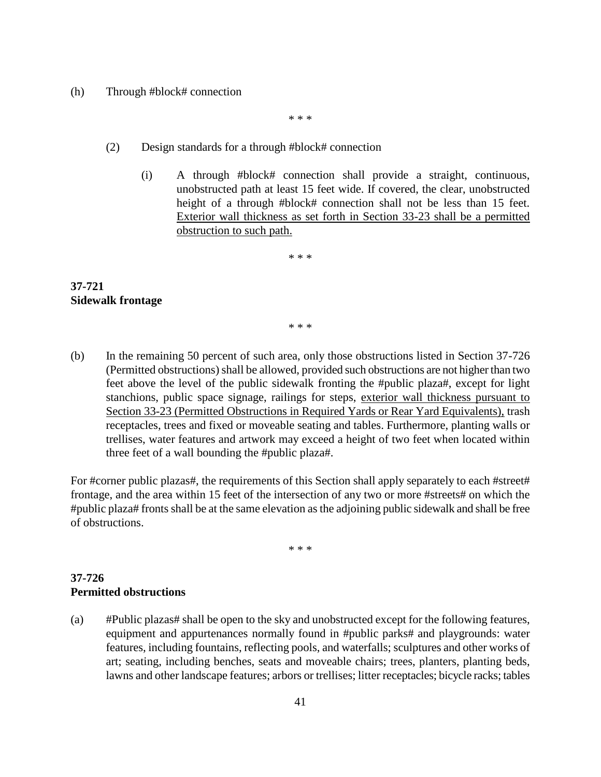#### (h) Through #block# connection

\* \* \*

#### (2) Design standards for a through #block# connection

(i) A through #block# connection shall provide a straight, continuous, unobstructed path at least 15 feet wide. If covered, the clear, unobstructed height of a through #block# connection shall not be less than 15 feet. Exterior wall thickness as set forth in Section 33-23 shall be a permitted obstruction to such path.

\* \* \*

#### **37-721 Sidewalk frontage**

\* \* \*

(b) In the remaining 50 percent of such area, only those obstructions listed in Section 37-726 (Permitted obstructions) shall be allowed, provided such obstructions are not higher than two feet above the level of the public sidewalk fronting the #public plaza#, except for light stanchions, public space signage, railings for steps, exterior wall thickness pursuant to Section 33-23 (Permitted Obstructions in Required Yards or Rear Yard Equivalents), trash receptacles, trees and fixed or moveable seating and tables. Furthermore, planting walls or trellises, water features and artwork may exceed a height of two feet when located within three feet of a wall bounding the #public plaza#.

For #corner public plazas#, the requirements of this Section shall apply separately to each #street# frontage, and the area within 15 feet of the intersection of any two or more #streets# on which the #public plaza# fronts shall be at the same elevation as the adjoining public sidewalk and shall be free of obstructions.

\* \* \*

#### **37-726 Permitted obstructions**

(a) #Public plazas# shall be open to the sky and unobstructed except for the following features, equipment and appurtenances normally found in #public parks# and playgrounds: water features, including fountains, reflecting pools, and waterfalls; sculptures and other works of art; seating, including benches, seats and moveable chairs; trees, planters, planting beds, lawns and other landscape features; arbors or trellises; litter receptacles; bicycle racks; tables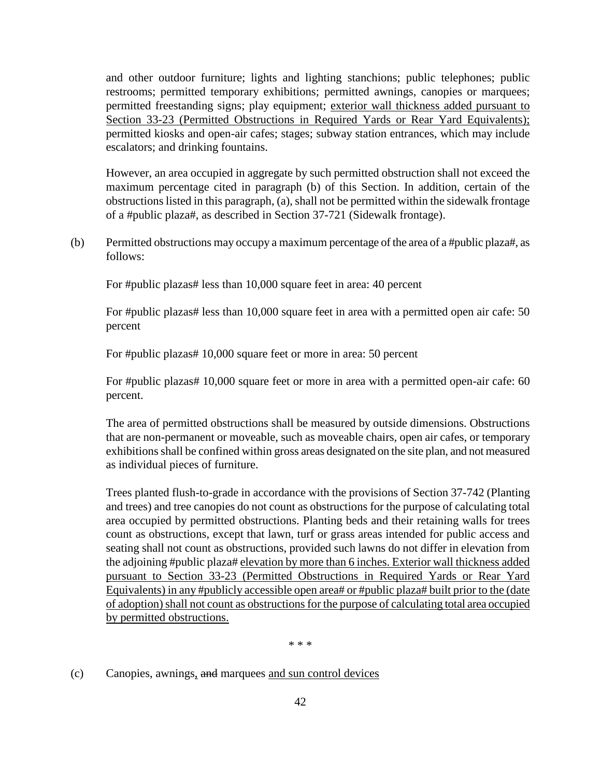and other outdoor furniture; lights and lighting stanchions; public telephones; public restrooms; permitted temporary exhibitions; permitted awnings, canopies or marquees; permitted freestanding signs; play equipment; exterior wall thickness added pursuant to Section 33-23 (Permitted Obstructions in Required Yards or Rear Yard Equivalents); permitted kiosks and open-air cafes; stages; subway station entrances, which may include escalators; and drinking fountains.

However, an area occupied in aggregate by such permitted obstruction shall not exceed the maximum percentage cited in paragraph (b) of this Section. In addition, certain of the obstructions listed in this paragraph, (a), shall not be permitted within the sidewalk frontage of a #public plaza#, as described in Section 37-721 (Sidewalk frontage).

(b) Permitted obstructions may occupy a maximum percentage of the area of a #public plaza#, as follows:

For #public plazas# less than 10,000 square feet in area: 40 percent

For #public plazas# less than 10,000 square feet in area with a permitted open air cafe: 50 percent

For #public plazas# 10,000 square feet or more in area: 50 percent

For #public plazas# 10,000 square feet or more in area with a permitted open-air cafe: 60 percent.

The area of permitted obstructions shall be measured by outside dimensions. Obstructions that are non-permanent or moveable, such as moveable chairs, open air cafes, or temporary exhibitions shall be confined within gross areas designated on the site plan, and not measured as individual pieces of furniture.

Trees planted flush-to-grade in accordance with the provisions of Section 37-742 (Planting and trees) and tree canopies do not count as obstructions for the purpose of calculating total area occupied by permitted obstructions. Planting beds and their retaining walls for trees count as obstructions, except that lawn, turf or grass areas intended for public access and seating shall not count as obstructions, provided such lawns do not differ in elevation from the adjoining #public plaza# elevation by more than 6 inches. Exterior wall thickness added pursuant to Section 33-23 (Permitted Obstructions in Required Yards or Rear Yard Equivalents) in any #publicly accessible open area# or #public plaza# built prior to the (date of adoption) shall not count as obstructions for the purpose of calculating total area occupied by permitted obstructions.

\* \* \*

(c) Canopies, awnings, and marquees and sun control devices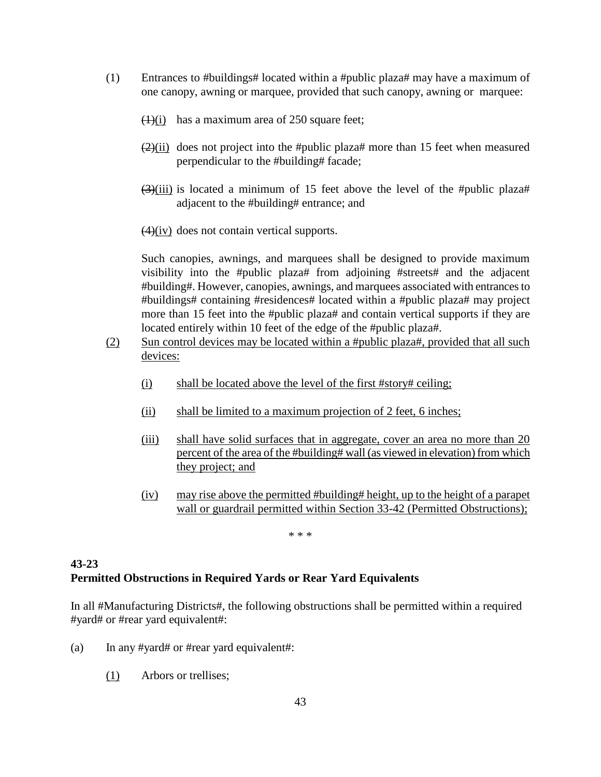- (1) Entrances to #buildings# located within a #public plaza# may have a maximum of one canopy, awning or marquee, provided that such canopy, awning or marquee:
	- $(1)(i)$  has a maximum area of 250 square feet;
	- $(2)(ii)$  does not project into the #public plaza# more than 15 feet when measured perpendicular to the #building# facade;
	- $(3)(iii)$  is located a minimum of 15 feet above the level of the #public plaza# adjacent to the #building# entrance; and
	- $\left(4\right)\left(iv\right)$  does not contain vertical supports.

Such canopies, awnings, and marquees shall be designed to provide maximum visibility into the #public plaza# from adjoining #streets# and the adjacent #building#. However, canopies, awnings, and marquees associated with entrancesto #buildings# containing #residences# located within a #public plaza# may project more than 15 feet into the #public plaza# and contain vertical supports if they are located entirely within 10 feet of the edge of the #public plaza#.

- (2) Sun control devices may be located within a #public plaza#, provided that all such devices:
	- (i) shall be located above the level of the first #story# ceiling;
	- (ii) shall be limited to a maximum projection of 2 feet, 6 inches;
	- (iii) shall have solid surfaces that in aggregate, cover an area no more than 20 percent of the area of the #building# wall (as viewed in elevation) from which they project; and
	- (iv) may rise above the permitted #building# height, up to the height of a parapet wall or guardrail permitted within Section 33-42 (Permitted Obstructions);

\* \* \*

# **43-23 Permitted Obstructions in Required Yards or Rear Yard Equivalents**

In all #Manufacturing Districts#, the following obstructions shall be permitted within a required #yard# or #rear yard equivalent#:

- (a) In any #yard# or #rear yard equivalent#:
	- (1) Arbors or trellises;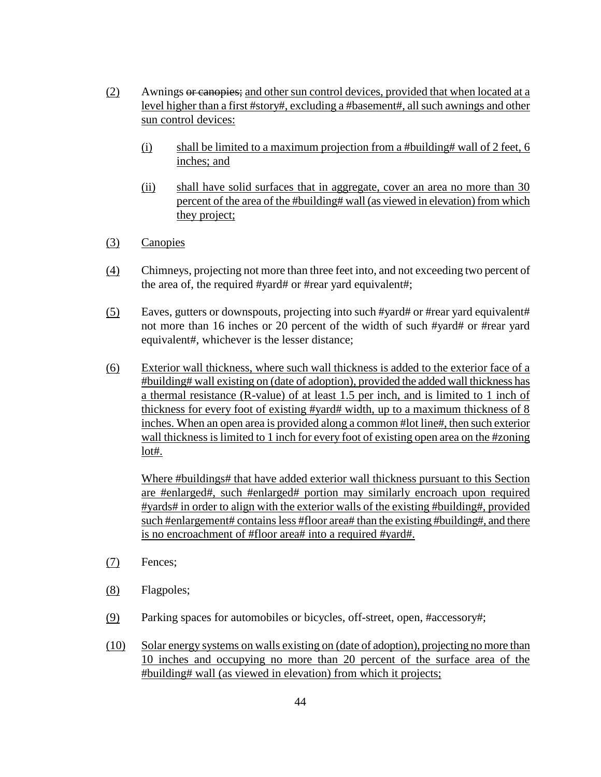- (2) Awnings or canopies; and other sun control devices, provided that when located at a level higher than a first #story#, excluding a #basement#, all such awnings and other sun control devices:
	- (i) shall be limited to a maximum projection from a #building# wall of 2 feet, 6 inches; and
	- (ii) shall have solid surfaces that in aggregate, cover an area no more than 30 percent of the area of the #building# wall (as viewed in elevation) from which they project;
- (3) Canopies
- (4) Chimneys, projecting not more than three feet into, and not exceeding two percent of the area of, the required #yard# or #rear yard equivalent#;
- (5) Eaves, gutters or downspouts, projecting into such #yard# or #rear yard equivalent# not more than 16 inches or 20 percent of the width of such #yard# or #rear yard equivalent#, whichever is the lesser distance;
- (6) Exterior wall thickness, where such wall thickness is added to the exterior face of a #building# wall existing on (date of adoption), provided the added wall thickness has a thermal resistance (R-value) of at least 1.5 per inch, and is limited to 1 inch of thickness for every foot of existing #yard# width, up to a maximum thickness of 8 inches. When an open area is provided along a common #lot line#, then such exterior wall thickness is limited to 1 inch for every foot of existing open area on the #zoning lot#.

Where #buildings# that have added exterior wall thickness pursuant to this Section are #enlarged#, such #enlarged# portion may similarly encroach upon required #yards# in order to align with the exterior walls of the existing #building#, provided such #enlargement# contains less #floor area# than the existing #building#, and there is no encroachment of #floor area# into a required #yard#.

- (7) Fences;
- (8) Flagpoles;
- (9) Parking spaces for automobiles or bicycles, off-street, open, #accessory#;
- (10) Solar energy systems on walls existing on (date of adoption), projecting no more than 10 inches and occupying no more than 20 percent of the surface area of the #building# wall (as viewed in elevation) from which it projects;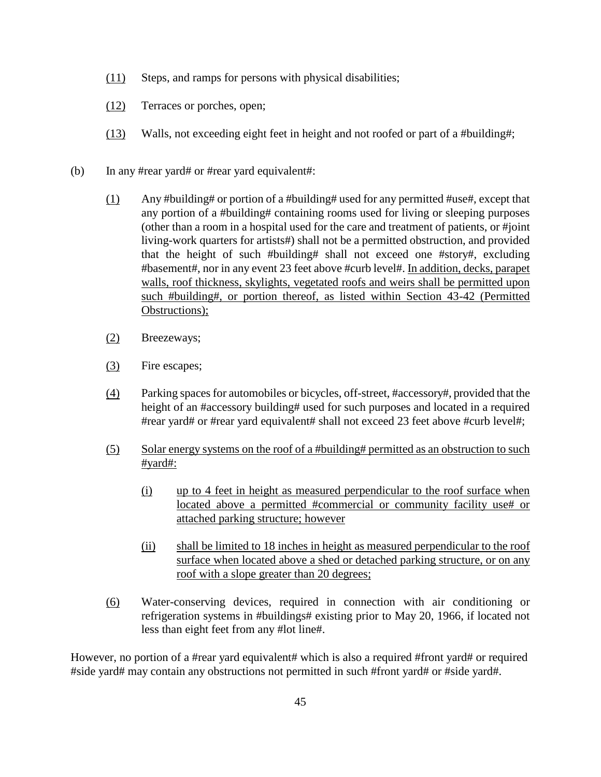- (11) Steps, and ramps for persons with physical disabilities;
- (12) Terraces or porches, open;
- (13) Walls, not exceeding eight feet in height and not roofed or part of a #building#;
- (b) In any #rear yard# or #rear yard equivalent#:
	- (1) Any #building# or portion of a #building# used for any permitted #use#, except that any portion of a #building# containing rooms used for living or sleeping purposes (other than a room in a hospital used for the care and treatment of patients, or #joint living-work quarters for artists#) shall not be a permitted obstruction, and provided that the height of such #building# shall not exceed one #story#, excluding #basement#, nor in any event 23 feet above #curb level#. In addition, decks, parapet walls, roof thickness, skylights, vegetated roofs and weirs shall be permitted upon such #building#, or portion thereof, as listed within Section 43-42 (Permitted Obstructions);
	- (2) Breezeways;
	- (3) Fire escapes;
	- (4) Parking spaces for automobiles or bicycles, off-street, #accessory#, provided that the height of an #accessory building# used for such purposes and located in a required #rear yard# or #rear yard equivalent# shall not exceed 23 feet above #curb level#;
	- (5) Solar energy systems on the roof of a #building# permitted as an obstruction to such #yard#:
		- (i) up to 4 feet in height as measured perpendicular to the roof surface when located above a permitted #commercial or community facility use# or attached parking structure; however
		- (ii) shall be limited to 18 inches in height as measured perpendicular to the roof surface when located above a shed or detached parking structure, or on any roof with a slope greater than 20 degrees;
	- (6) Water-conserving devices, required in connection with air conditioning or refrigeration systems in #buildings# existing prior to May 20, 1966, if located not less than eight feet from any #lot line#.

However, no portion of a #rear yard equivalent# which is also a required #front yard# or required #side yard# may contain any obstructions not permitted in such #front yard# or #side yard#.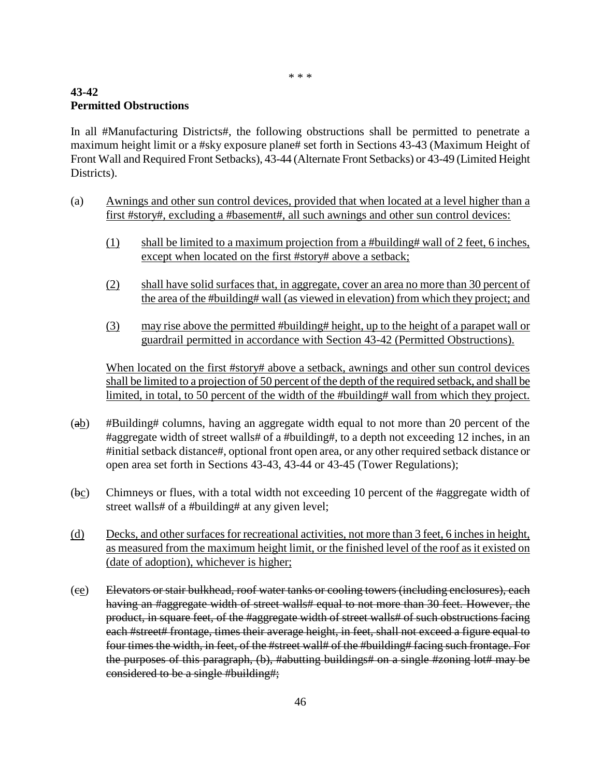\* \* \*

# **43-42 Permitted Obstructions**

In all #Manufacturing Districts#, the following obstructions shall be permitted to penetrate a maximum height limit or a #sky exposure plane# set forth in Sections 43-43 (Maximum Height of Front Wall and Required Front Setbacks), 43-44 (Alternate Front Setbacks) or 43-49 (Limited Height Districts).

- (a) Awnings and other sun control devices, provided that when located at a level higher than a first #story#, excluding a #basement#, all such awnings and other sun control devices:
	- (1) shall be limited to a maximum projection from a #building# wall of 2 feet, 6 inches, except when located on the first #story# above a setback;
	- (2) shall have solid surfaces that, in aggregate, cover an area no more than 30 percent of the area of the #building# wall (as viewed in elevation) from which they project; and
	- (3) may rise above the permitted #building# height, up to the height of a parapet wall or guardrail permitted in accordance with Section 43-42 (Permitted Obstructions).

When located on the first #story# above a setback, awnings and other sun control devices shall be limited to a projection of 50 percent of the depth of the required setback, and shall be limited, in total, to 50 percent of the width of the #building# wall from which they project.

- (ab) #Building# columns, having an aggregate width equal to not more than 20 percent of the #aggregate width of street walls# of a #building#, to a depth not exceeding 12 inches, in an #initial setback distance#, optional front open area, or any other required setback distance or open area set forth in Sections 43-43, 43-44 or 43-45 (Tower Regulations);
- $(bc)$  Chimneys or flues, with a total width not exceeding 10 percent of the #aggregate width of street walls# of a #building# at any given level;
- (d) Decks, and other surfaces for recreational activities, not more than 3 feet, 6 inches in height, as measured from the maximum height limit, or the finished level of the roof as it existed on (date of adoption), whichever is higher;
- (ce) Elevators or stair bulkhead, roof water tanks or cooling towers (including enclosures), each having an #aggregate width of street walls# equal to not more than 30 feet. However, the product, in square feet, of the #aggregate width of street walls# of such obstructions facing each #street# frontage, times their average height, in feet, shall not exceed a figure equal to four times the width, in feet, of the #street wall# of the #building# facing such frontage. For the purposes of this paragraph, (b), #abutting buildings# on a single #zoning lot# may be considered to be a single #building#;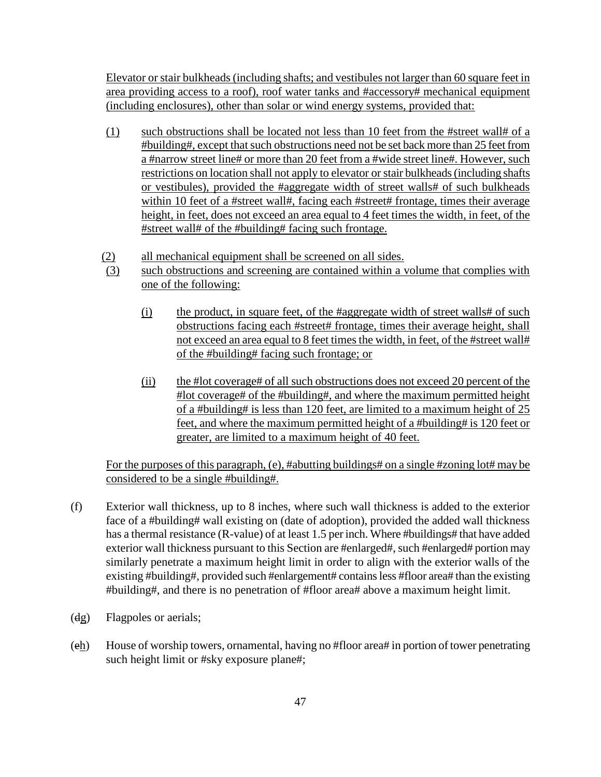Elevator or stair bulkheads (including shafts; and vestibules not larger than 60 square feet in area providing access to a roof), roof water tanks and #accessory# mechanical equipment (including enclosures), other than solar or wind energy systems, provided that:

- (1) such obstructions shall be located not less than 10 feet from the #street wall# of a #building#, except that such obstructions need not be set back more than 25 feet from a #narrow street line# or more than 20 feet from a #wide street line#. However, such restrictions on location shall not apply to elevator or stair bulkheads (including shafts or vestibules), provided the #aggregate width of street walls# of such bulkheads within 10 feet of a #street wall#, facing each #street# frontage, times their average height, in feet, does not exceed an area equal to 4 feet times the width, in feet, of the #street wall# of the #building# facing such frontage.
- (2) all mechanical equipment shall be screened on all sides.
- (3) such obstructions and screening are contained within a volume that complies with one of the following:
	- (i) the product, in square feet, of the #aggregate width of street walls# of such obstructions facing each #street# frontage, times their average height, shall not exceed an area equal to 8 feet times the width, in feet, of the #street wall# of the #building# facing such frontage; or
	- (ii) the #lot coverage# of all such obstructions does not exceed 20 percent of the #lot coverage# of the #building#, and where the maximum permitted height of a #building# is less than 120 feet, are limited to a maximum height of 25 feet, and where the maximum permitted height of a #building# is 120 feet or greater, are limited to a maximum height of 40 feet.

For the purposes of this paragraph, (e), #abutting buildings# on a single #zoning lot# may be considered to be a single #building#.

- (f) Exterior wall thickness, up to 8 inches, where such wall thickness is added to the exterior face of a #building# wall existing on (date of adoption), provided the added wall thickness has a thermal resistance (R-value) of at least 1.5 per inch. Where #buildings# that have added exterior wall thickness pursuant to this Section are #enlarged#, such #enlarged# portion may similarly penetrate a maximum height limit in order to align with the exterior walls of the existing #building#, provided such #enlargement# contains less #floor area# than the existing #building#, and there is no penetration of #floor area# above a maximum height limit.
- (dg) Flagpoles or aerials;
- $(eh)$  House of worship towers, ornamental, having no #floor area# in portion of tower penetrating such height limit or #sky exposure plane#;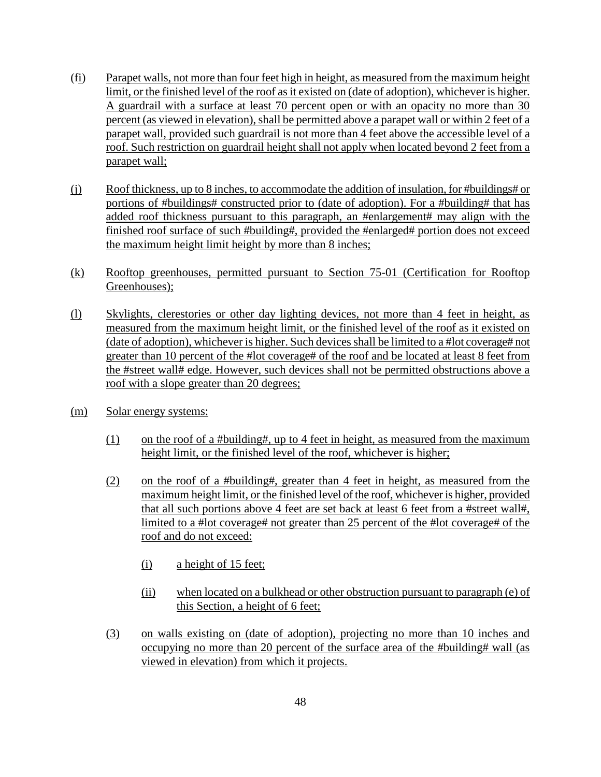- (fi) Parapet walls, not more than four feet high in height, as measured from the maximum height limit, or the finished level of the roof as it existed on (date of adoption), whichever is higher. A guardrail with a surface at least 70 percent open or with an opacity no more than 30 percent (as viewed in elevation), shall be permitted above a parapet wall or within 2 feet of a parapet wall, provided such guardrail is not more than 4 feet above the accessible level of a roof. Such restriction on guardrail height shall not apply when located beyond 2 feet from a parapet wall;
- (j) Roof thickness, up to 8 inches, to accommodate the addition of insulation, for #buildings# or portions of #buildings# constructed prior to (date of adoption). For a #building# that has added roof thickness pursuant to this paragraph, an #enlargement# may align with the finished roof surface of such #building#, provided the #enlarged# portion does not exceed the maximum height limit height by more than 8 inches;
- (k) Rooftop greenhouses, permitted pursuant to Section 75-01 (Certification for Rooftop Greenhouses);
- (l) Skylights, clerestories or other day lighting devices, not more than 4 feet in height, as measured from the maximum height limit, or the finished level of the roof as it existed on (date of adoption), whichever is higher. Such devices shall be limited to a #lot coverage# not greater than 10 percent of the #lot coverage# of the roof and be located at least 8 feet from the #street wall# edge. However, such devices shall not be permitted obstructions above a roof with a slope greater than 20 degrees;
- (m) Solar energy systems:
	- $(1)$  on the roof of a #building#, up to 4 feet in height, as measured from the maximum height limit, or the finished level of the roof, whichever is higher;
	- (2) on the roof of a #building#, greater than 4 feet in height, as measured from the maximum height limit, or the finished level of the roof, whichever is higher, provided that all such portions above 4 feet are set back at least 6 feet from a #street wall#, limited to a #lot coverage# not greater than 25 percent of the #lot coverage# of the roof and do not exceed:
		- (i) a height of 15 feet;
		- (ii) when located on a bulkhead or other obstruction pursuant to paragraph (e) of this Section, a height of 6 feet;
	- (3) on walls existing on (date of adoption), projecting no more than 10 inches and occupying no more than 20 percent of the surface area of the #building# wall (as viewed in elevation) from which it projects.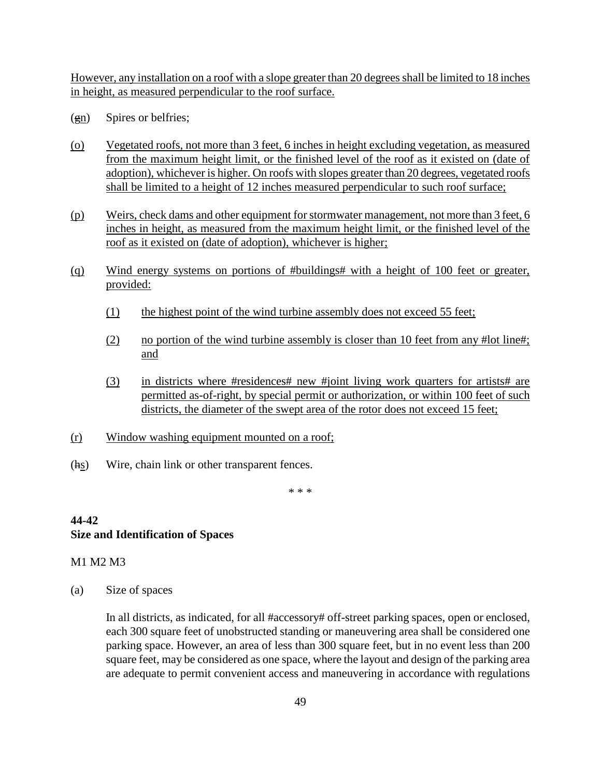However, any installation on a roof with a slope greater than 20 degrees shall be limited to 18 inches in height, as measured perpendicular to the roof surface.

- $(gn)$  Spires or belfries;
- (o) Vegetated roofs, not more than 3 feet, 6 inches in height excluding vegetation, as measured from the maximum height limit, or the finished level of the roof as it existed on (date of adoption), whichever is higher. On roofs with slopes greater than 20 degrees, vegetated roofs shall be limited to a height of 12 inches measured perpendicular to such roof surface;
- (p) Weirs, check dams and other equipment for stormwater management, not more than 3 feet, 6 inches in height, as measured from the maximum height limit, or the finished level of the roof as it existed on (date of adoption), whichever is higher;
- (q) Wind energy systems on portions of #buildings# with a height of 100 feet or greater, provided:
	- (1) the highest point of the wind turbine assembly does not exceed 55 feet;
	- (2) no portion of the wind turbine assembly is closer than 10 feet from any #lot line#; and
	- (3) in districts where #residences# new #joint living work quarters for artists# are permitted as-of-right, by special permit or authorization, or within 100 feet of such districts, the diameter of the swept area of the rotor does not exceed 15 feet;
- (r) Window washing equipment mounted on a roof;
- (hs) Wire, chain link or other transparent fences.

\* \* \*

#### **44-42 Size and Identification of Spaces**

#### M1 M2 M3

(a) Size of spaces

In all districts, as indicated, for all #accessory# off-street parking spaces, open or enclosed, each 300 square feet of unobstructed standing or maneuvering area shall be considered one parking space. However, an area of less than 300 square feet, but in no event less than 200 square feet, may be considered as one space, where the layout and design of the parking area are adequate to permit convenient access and maneuvering in accordance with regulations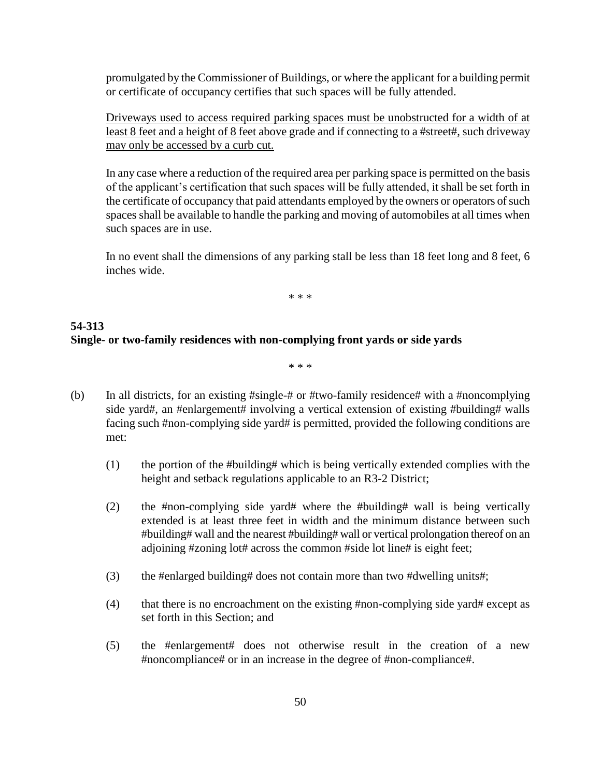promulgated by the Commissioner of Buildings, or where the applicant for a building permit or certificate of occupancy certifies that such spaces will be fully attended.

Driveways used to access required parking spaces must be unobstructed for a width of at least 8 feet and a height of 8 feet above grade and if connecting to a #street#, such driveway may only be accessed by a curb cut.

In any case where a reduction of the required area per parking space is permitted on the basis of the applicant's certification that such spaces will be fully attended, it shall be set forth in the certificate of occupancy that paid attendants employed by the owners or operators of such spaces shall be available to handle the parking and moving of automobiles at all times when such spaces are in use.

In no event shall the dimensions of any parking stall be less than 18 feet long and 8 feet, 6 inches wide.

\* \* \*

#### **54-313 Single- or two-family residences with non-complying front yards or side yards**

\* \* \*

- (b) In all districts, for an existing #single-# or #two-family residence# with a #noncomplying side yard#, an #enlargement# involving a vertical extension of existing #building# walls facing such #non-complying side yard# is permitted, provided the following conditions are met:
	- (1) the portion of the #building# which is being vertically extended complies with the height and setback regulations applicable to an R3-2 District;
	- (2) the #non-complying side yard# where the #building# wall is being vertically extended is at least three feet in width and the minimum distance between such #building# wall and the nearest #building# wall or vertical prolongation thereof on an adjoining #zoning lot# across the common #side lot line# is eight feet;
	- (3) the #enlarged building# does not contain more than two #dwelling units#;
	- (4) that there is no encroachment on the existing #non-complying side yard# except as set forth in this Section; and
	- (5) the #enlargement# does not otherwise result in the creation of a new #noncompliance# or in an increase in the degree of #non-compliance#.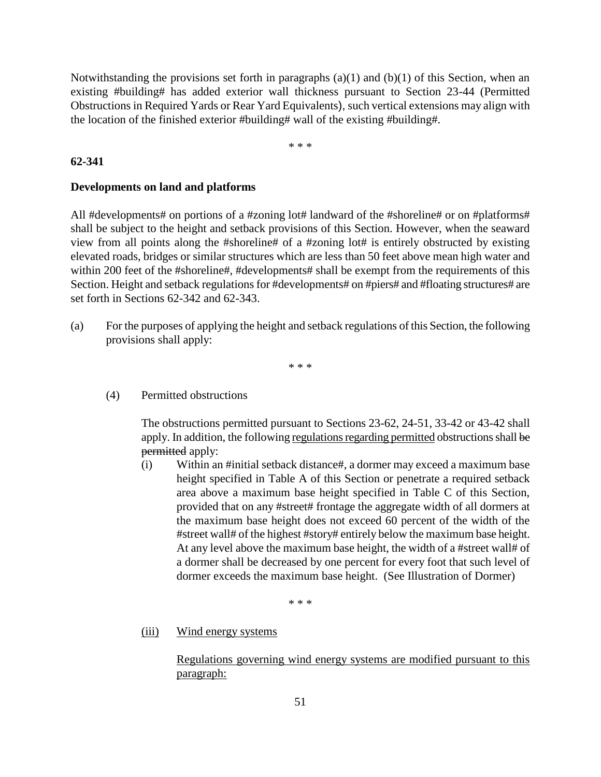Notwithstanding the provisions set forth in paragraphs  $(a)(1)$  and  $(b)(1)$  of this Section, when an existing #building# has added exterior wall thickness pursuant to Section 23-44 (Permitted Obstructions in Required Yards or Rear Yard Equivalents), such vertical extensions may align with the location of the finished exterior #building# wall of the existing #building#.

\* \* \*

#### **62-341**

#### **Developments on land and platforms**

All #developments# on portions of a #zoning lot# landward of the #shoreline# or on #platforms# shall be subject to the height and setback provisions of this Section. However, when the seaward view from all points along the #shoreline# of a #zoning lot# is entirely obstructed by existing elevated roads, bridges or similar structures which are less than 50 feet above mean high water and within 200 feet of the #shoreline#, #developments# shall be exempt from the requirements of this Section. Height and setback regulations for #developments# on #piers# and #floating structures# are set forth in Sections 62-342 and 62-343.

(a) For the purposes of applying the height and setback regulations of this Section, the following provisions shall apply:

\* \* \*

(4) Permitted obstructions

The obstructions permitted pursuant to Sections 23-62, 24-51, 33-42 or 43-42 shall apply. In addition, the following regulations regarding permitted obstructions shall be permitted apply:

(i) Within an #initial setback distance#, a dormer may exceed a maximum base height specified in Table A of this Section or penetrate a required setback area above a maximum base height specified in Table C of this Section, provided that on any #street# frontage the aggregate width of all dormers at the maximum base height does not exceed 60 percent of the width of the #street wall# of the highest #story# entirely below the maximum base height. At any level above the maximum base height, the width of a #street wall# of a dormer shall be decreased by one percent for every foot that such level of dormer exceeds the maximum base height. (See Illustration of Dormer)

\* \* \*

(iii) Wind energy systems

Regulations governing wind energy systems are modified pursuant to this paragraph: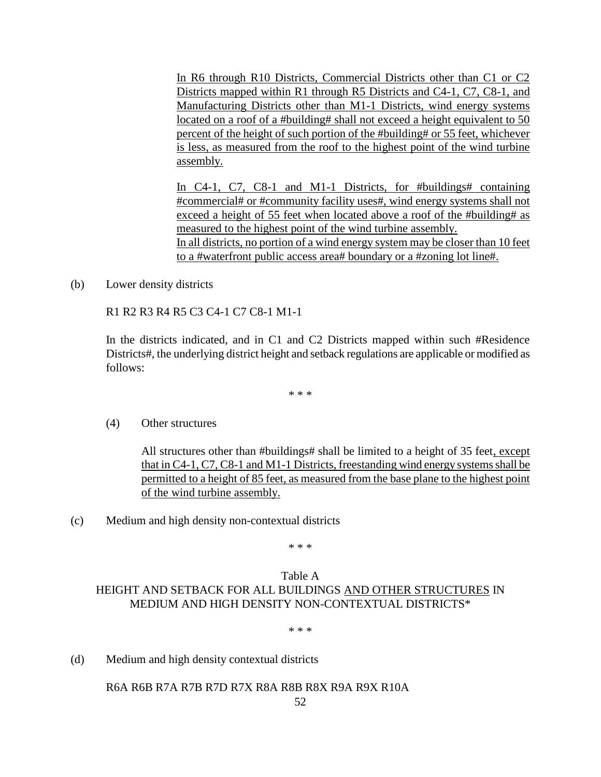In R6 through R10 Districts, Commercial Districts other than C1 or C2 Districts mapped within R1 through R5 Districts and C4-1, C7, C8-1, and Manufacturing Districts other than M1-1 Districts, wind energy systems located on a roof of a #building# shall not exceed a height equivalent to 50 percent of the height of such portion of the #building# or 55 feet, whichever is less, as measured from the roof to the highest point of the wind turbine assembly.

In C4-1, C7, C8-1 and M1-1 Districts, for #buildings# containing #commercial# or #community facility uses#, wind energy systems shall not exceed a height of 55 feet when located above a roof of the #building# as measured to the highest point of the wind turbine assembly. In all districts, no portion of a wind energy system may be closer than 10 feet to a #waterfront public access area# boundary or a #zoning lot line#.

(b) Lower density districts

R1 R2 R3 R4 R5 C3 C4-1 C7 C8-1 M1-1

In the districts indicated, and in C1 and C2 Districts mapped within such #Residence Districts#, the underlying district height and setback regulations are applicable or modified as follows:

\* \* \*

(4) Other structures

All structures other than #buildings# shall be limited to a height of 35 feet, except that in C4-1, C7, C8-1 and M1-1 Districts, freestanding wind energy systems shall be permitted to a height of 85 feet, as measured from the base plane to the highest point of the wind turbine assembly.

(c) Medium and high density non-contextual districts

\* \* \*

#### Table A HEIGHT AND SETBACK FOR ALL BUILDINGS AND OTHER STRUCTURES IN MEDIUM AND HIGH DENSITY NON-CONTEXTUAL DISTRICTS\*

\* \* \*

(d) Medium and high density contextual districts

R6A R6B R7A R7B R7D R7X R8A R8B R8X R9A R9X R10A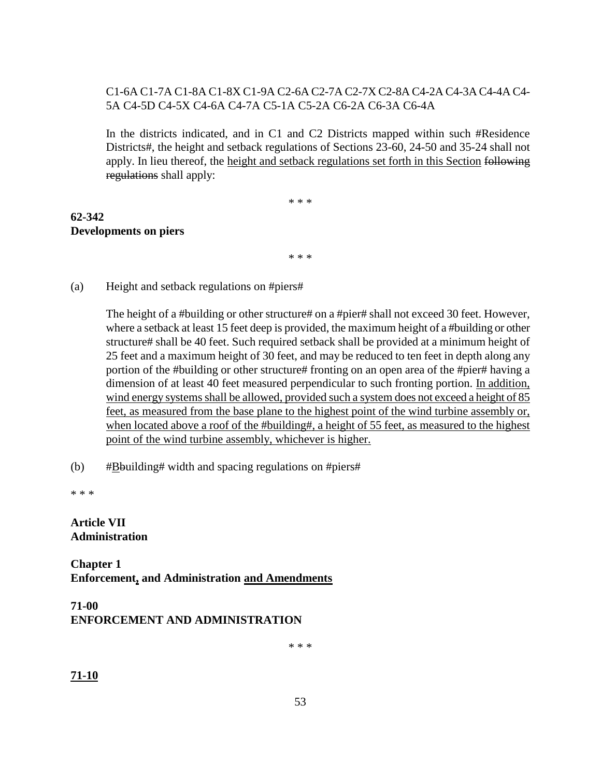## C1-6A C1-7A C1-8A C1-8X C1-9A C2-6A C2-7A C2-7X C2-8A C4-2A C4-3A C4-4A C4- 5A C4-5D C4-5X C4-6A C4-7A C5-1A C5-2A C6-2A C6-3A C6-4A

In the districts indicated, and in C1 and C2 Districts mapped within such #Residence Districts#, the height and setback regulations of Sections 23-60, 24-50 and 35-24 shall not apply. In lieu thereof, the height and setback regulations set forth in this Section following regulations shall apply:

\* \* \*

# **62-342 Developments on piers**

\* \* \*

(a) Height and setback regulations on #piers#

The height of a #building or other structure# on a #pier# shall not exceed 30 feet. However, where a setback at least 15 feet deep is provided, the maximum height of a #building or other structure# shall be 40 feet. Such required setback shall be provided at a minimum height of 25 feet and a maximum height of 30 feet, and may be reduced to ten feet in depth along any portion of the #building or other structure# fronting on an open area of the #pier# having a dimension of at least 40 feet measured perpendicular to such fronting portion. In addition, wind energy systems shall be allowed, provided such a system does not exceed a height of 85 feet, as measured from the base plane to the highest point of the wind turbine assembly or, when located above a roof of the #building#, a height of 55 feet, as measured to the highest point of the wind turbine assembly, whichever is higher.

(b)  $\#\underline{B}$ building# width and spacing regulations on #piers#

\* \* \*

#### **Article VII Administration**

**Chapter 1 Enforcement, and Administration and Amendments**

# **71-00 ENFORCEMENT AND ADMINISTRATION**

\* \* \*

**71-10**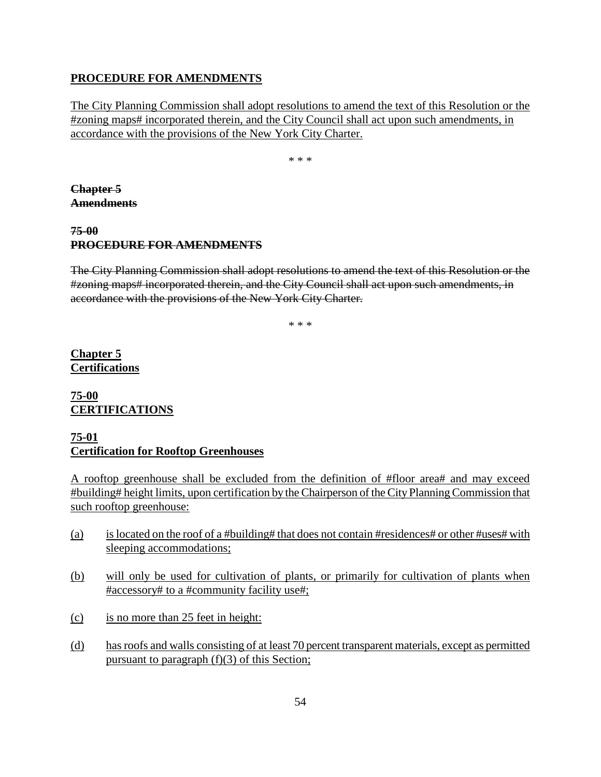#### **PROCEDURE FOR AMENDMENTS**

The City Planning Commission shall adopt resolutions to amend the text of this Resolution or the #zoning maps# incorporated therein, and the City Council shall act upon such amendments, in accordance with the provisions of the New York City Charter.

\* \* \*

**Chapter 5 Amendments**

# **75-00 PROCEDURE FOR AMENDMENTS**

The City Planning Commission shall adopt resolutions to amend the text of this Resolution or the #zoning maps# incorporated therein, and the City Council shall act upon such amendments, in accordance with the provisions of the New York City Charter.

\* \* \*

**Chapter 5 Certifications**

## **75-00 CERTIFICATIONS**

#### **75-01 Certification for Rooftop Greenhouses**

A rooftop greenhouse shall be excluded from the definition of #floor area# and may exceed #building# height limits, upon certification by the Chairperson of the City Planning Commission that such rooftop greenhouse:

- (a) is located on the roof of a #building# that does not contain #residences# or other #uses# with sleeping accommodations;
- (b) will only be used for cultivation of plants, or primarily for cultivation of plants when #accessory# to a #community facility use#;
- (c) is no more than 25 feet in height:
- (d) has roofs and walls consisting of at least 70 percent transparent materials, except as permitted pursuant to paragraph  $(f)(3)$  of this Section;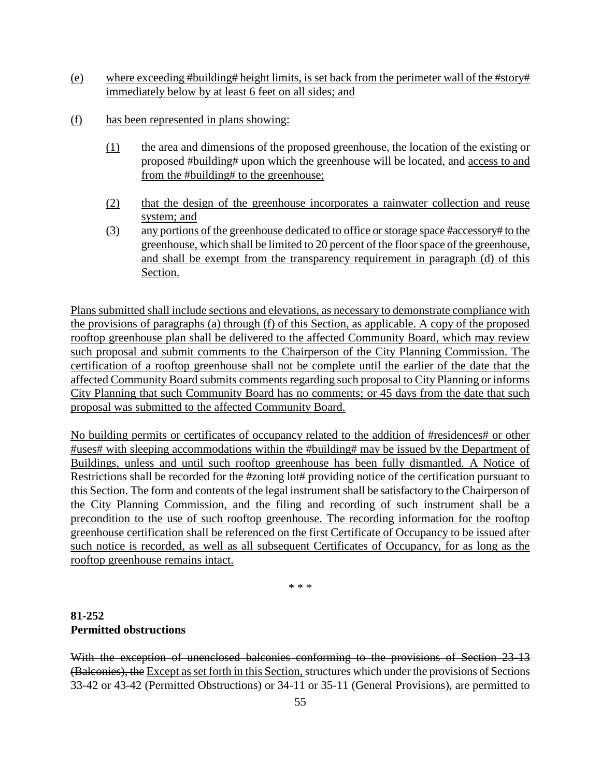- (e) where exceeding #building# height limits, is set back from the perimeter wall of the #story# immediately below by at least 6 feet on all sides; and
- (f) has been represented in plans showing:
	- (1) the area and dimensions of the proposed greenhouse, the location of the existing or proposed #building# upon which the greenhouse will be located, and access to and from the #building# to the greenhouse;
	- (2) that the design of the greenhouse incorporates a rainwater collection and reuse system; and
	- (3) any portions of the greenhouse dedicated to office or storage space #accessory# to the greenhouse, which shall be limited to 20 percent of the floor space of the greenhouse, and shall be exempt from the transparency requirement in paragraph (d) of this Section.

Plans submitted shall include sections and elevations, as necessary to demonstrate compliance with the provisions of paragraphs (a) through (f) of this Section, as applicable. A copy of the proposed rooftop greenhouse plan shall be delivered to the affected Community Board, which may review such proposal and submit comments to the Chairperson of the City Planning Commission. The certification of a rooftop greenhouse shall not be complete until the earlier of the date that the affected Community Board submits comments regarding such proposal to City Planning or informs City Planning that such Community Board has no comments; or 45 days from the date that such proposal was submitted to the affected Community Board.

No building permits or certificates of occupancy related to the addition of #residences# or other #uses# with sleeping accommodations within the #building# may be issued by the Department of Buildings, unless and until such rooftop greenhouse has been fully dismantled. A Notice of Restrictions shall be recorded for the #zoning lot# providing notice of the certification pursuant to this Section. The form and contents of the legal instrument shall be satisfactory to the Chairperson of the City Planning Commission, and the filing and recording of such instrument shall be a precondition to the use of such rooftop greenhouse. The recording information for the rooftop greenhouse certification shall be referenced on the first Certificate of Occupancy to be issued after such notice is recorded, as well as all subsequent Certificates of Occupancy, for as long as the rooftop greenhouse remains intact.

\* \* \*

# **81-252 Permitted obstructions**

With the exception of unenclosed balconies conforming to the provisions of Section 23-13 (Balconies), the Except as set forth in this Section, structures which under the provisions of Sections 33-42 or 43-42 (Permitted Obstructions) or 34-11 or 35-11 (General Provisions), are permitted to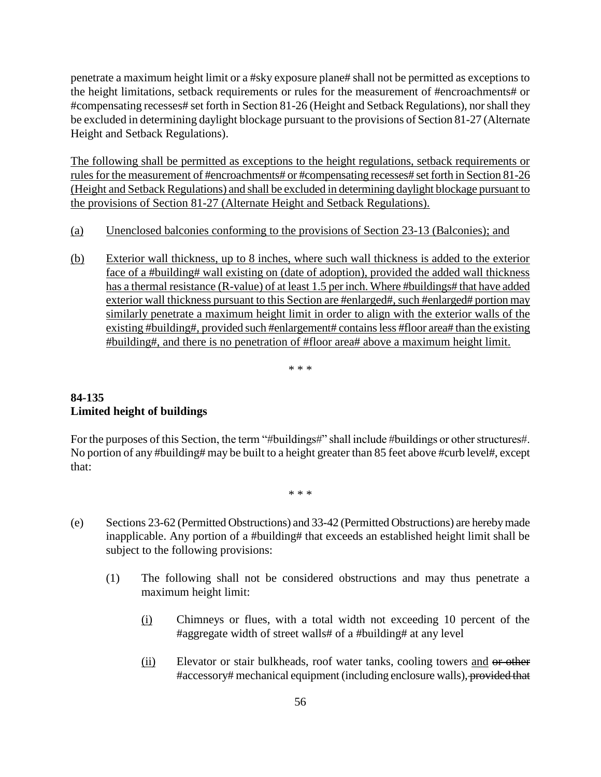penetrate a maximum height limit or a #sky exposure plane# shall not be permitted as exceptions to the height limitations, setback requirements or rules for the measurement of #encroachments# or #compensating recesses# set forth in Section 81-26 (Height and Setback Regulations), nor shall they be excluded in determining daylight blockage pursuant to the provisions of Section 81-27 (Alternate Height and Setback Regulations).

The following shall be permitted as exceptions to the height regulations, setback requirements or rules for the measurement of #encroachments# or #compensating recesses# set forth in Section 81-26 (Height and Setback Regulations) and shall be excluded in determining daylight blockage pursuant to the provisions of Section 81-27 (Alternate Height and Setback Regulations).

- (a) Unenclosed balconies conforming to the provisions of Section 23-13 (Balconies); and
- (b) Exterior wall thickness, up to 8 inches, where such wall thickness is added to the exterior face of a #building# wall existing on (date of adoption), provided the added wall thickness has a thermal resistance (R-value) of at least 1.5 per inch. Where #buildings# that have added exterior wall thickness pursuant to this Section are #enlarged#, such #enlarged# portion may similarly penetrate a maximum height limit in order to align with the exterior walls of the existing #building#, provided such #enlargement# contains less #floor area# than the existing #building#, and there is no penetration of #floor area# above a maximum height limit.

\* \* \*

## **84-135 Limited height of buildings**

For the purposes of this Section, the term "#buildings#" shall include #buildings or other structures#. No portion of any #building# may be built to a height greater than 85 feet above #curb level#, except that:

\* \* \*

- (e) Sections 23-62 (Permitted Obstructions) and 33-42 (Permitted Obstructions) are hereby made inapplicable. Any portion of a #building# that exceeds an established height limit shall be subject to the following provisions:
	- (1) The following shall not be considered obstructions and may thus penetrate a maximum height limit:
		- (i) Chimneys or flues, with a total width not exceeding 10 percent of the #aggregate width of street walls# of a #building# at any level
		- (ii) Elevator or stair bulkheads, roof water tanks, cooling towers and or other #accessory# mechanical equipment (including enclosure walls), provided that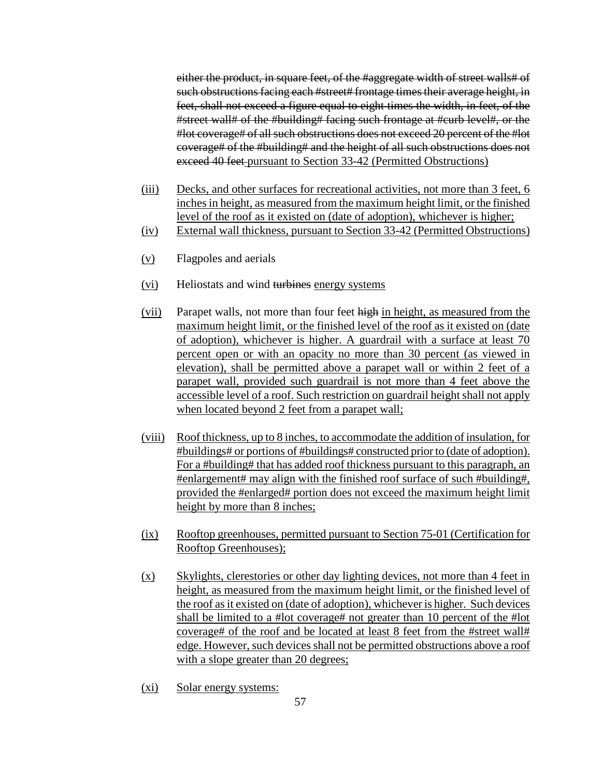either the product, in square feet, of the #aggregate width of street walls# of such obstructions facing each #street# frontage times their average height, in feet, shall not exceed a figure equal to eight times the width, in feet, of the #street wall# of the #building# facing such frontage at #curb level#, or the #lot coverage# of all such obstructions does not exceed 20 percent of the #lot coverage# of the #building# and the height of all such obstructions does not exceed 40 feet pursuant to Section 33-42 (Permitted Obstructions)

- (iii) Decks, and other surfaces for recreational activities, not more than 3 feet, 6 inches in height, as measured from the maximum height limit, or the finished level of the roof as it existed on (date of adoption), whichever is higher;
- (iv) External wall thickness, pursuant to Section 33-42 (Permitted Obstructions)
- (v) Flagpoles and aerials
- (vi) Heliostats and wind turbines energy systems
- (vii) Parapet walls, not more than four feet high in height, as measured from the maximum height limit, or the finished level of the roof as it existed on (date of adoption), whichever is higher. A guardrail with a surface at least 70 percent open or with an opacity no more than 30 percent (as viewed in elevation), shall be permitted above a parapet wall or within 2 feet of a parapet wall, provided such guardrail is not more than 4 feet above the accessible level of a roof. Such restriction on guardrail height shall not apply when located beyond 2 feet from a parapet wall;
- (viii) Roof thickness, up to 8 inches, to accommodate the addition of insulation, for #buildings# or portions of #buildings# constructed prior to (date of adoption). For a #building# that has added roof thickness pursuant to this paragraph, an #enlargement# may align with the finished roof surface of such #building#, provided the #enlarged# portion does not exceed the maximum height limit height by more than 8 inches;
- (ix) Rooftop greenhouses, permitted pursuant to Section 75-01 (Certification for Rooftop Greenhouses);
- (x) Skylights, clerestories or other day lighting devices, not more than 4 feet in height, as measured from the maximum height limit, or the finished level of the roof as it existed on (date of adoption), whichever is higher. Such devices shall be limited to a #lot coverage# not greater than 10 percent of the #lot coverage# of the roof and be located at least 8 feet from the #street wall# edge. However, such devices shall not be permitted obstructions above a roof with a slope greater than 20 degrees;
- (xi) Solar energy systems: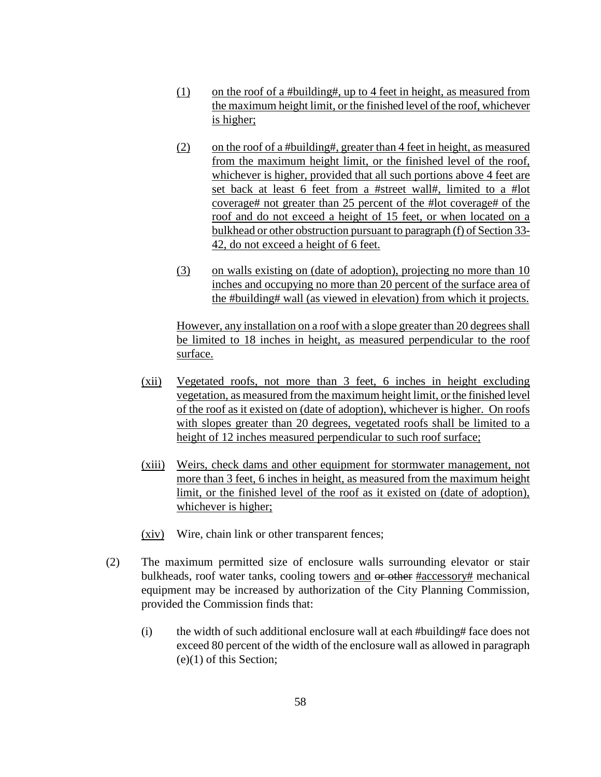- (1) on the roof of a #building#, up to 4 feet in height, as measured from the maximum height limit, or the finished level of the roof, whichever is higher;
- (2) on the roof of a #building#, greater than 4 feet in height, as measured from the maximum height limit, or the finished level of the roof, whichever is higher, provided that all such portions above 4 feet are set back at least 6 feet from a #street wall#, limited to a #lot coverage# not greater than 25 percent of the #lot coverage# of the roof and do not exceed a height of 15 feet, or when located on a bulkhead or other obstruction pursuant to paragraph (f) of Section 33- 42, do not exceed a height of 6 feet.
- (3) on walls existing on (date of adoption), projecting no more than 10 inches and occupying no more than 20 percent of the surface area of the #building# wall (as viewed in elevation) from which it projects.

However, any installation on a roof with a slope greater than 20 degrees shall be limited to 18 inches in height, as measured perpendicular to the roof surface.

- (xii) Vegetated roofs, not more than 3 feet, 6 inches in height excluding vegetation, as measured from the maximum height limit, or the finished level of the roof as it existed on (date of adoption), whichever is higher. On roofs with slopes greater than 20 degrees, vegetated roofs shall be limited to a height of 12 inches measured perpendicular to such roof surface;
- (xiii) Weirs, check dams and other equipment for stormwater management, not more than 3 feet, 6 inches in height, as measured from the maximum height limit, or the finished level of the roof as it existed on (date of adoption), whichever is higher;
- (xiv) Wire, chain link or other transparent fences;
- (2) The maximum permitted size of enclosure walls surrounding elevator or stair bulkheads, roof water tanks, cooling towers and or other #accessory# mechanical equipment may be increased by authorization of the City Planning Commission, provided the Commission finds that:
	- (i) the width of such additional enclosure wall at each #building# face does not exceed 80 percent of the width of the enclosure wall as allowed in paragraph (e)(1) of this Section;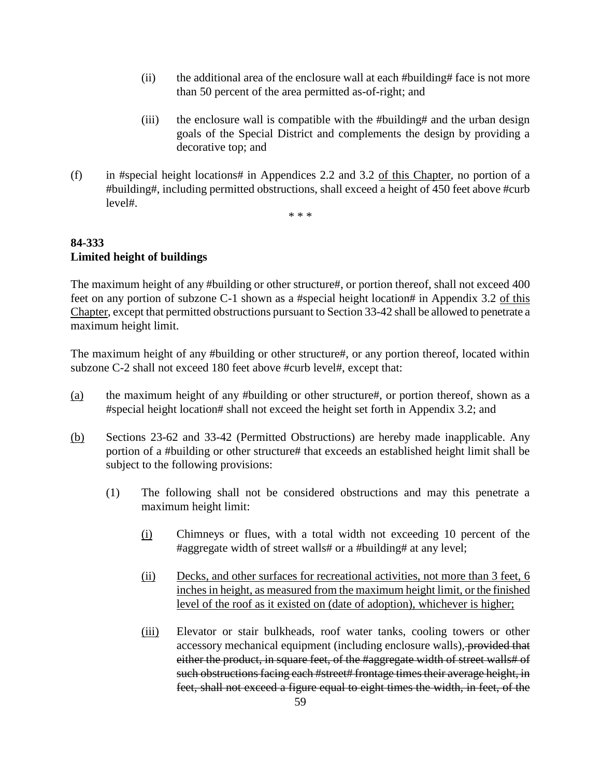- (ii) the additional area of the enclosure wall at each #building# face is not more than 50 percent of the area permitted as-of-right; and
- (iii) the enclosure wall is compatible with the #building# and the urban design goals of the Special District and complements the design by providing a decorative top; and
- (f) in #special height locations# in Appendices 2.2 and 3.2 of this Chapter, no portion of a #building#, including permitted obstructions, shall exceed a height of 450 feet above #curb level#.

\* \* \*

# **84-333 Limited height of buildings**

The maximum height of any #building or other structure#, or portion thereof, shall not exceed 400 feet on any portion of subzone C-1 shown as a #special height location# in Appendix 3.2 of this Chapter, except that permitted obstructions pursuant to Section 33-42 shall be allowed to penetrate a maximum height limit.

The maximum height of any #building or other structure#, or any portion thereof, located within subzone C-2 shall not exceed 180 feet above #curb level#, except that:

- (a) the maximum height of any #building or other structure#, or portion thereof, shown as a #special height location# shall not exceed the height set forth in Appendix 3.2; and
- (b) Sections 23-62 and 33-42 (Permitted Obstructions) are hereby made inapplicable. Any portion of a #building or other structure# that exceeds an established height limit shall be subject to the following provisions:
	- (1) The following shall not be considered obstructions and may this penetrate a maximum height limit:
		- (i) Chimneys or flues, with a total width not exceeding 10 percent of the #aggregate width of street walls# or a #building# at any level;
		- (ii) Decks, and other surfaces for recreational activities, not more than 3 feet, 6 inches in height, as measured from the maximum height limit, or the finished level of the roof as it existed on (date of adoption), whichever is higher;
		- (iii) Elevator or stair bulkheads, roof water tanks, cooling towers or other accessory mechanical equipment (including enclosure walls), provided that either the product, in square feet, of the #aggregate width of street walls# of such obstructions facing each #street# frontage times their average height, in feet, shall not exceed a figure equal to eight times the width, in feet, of the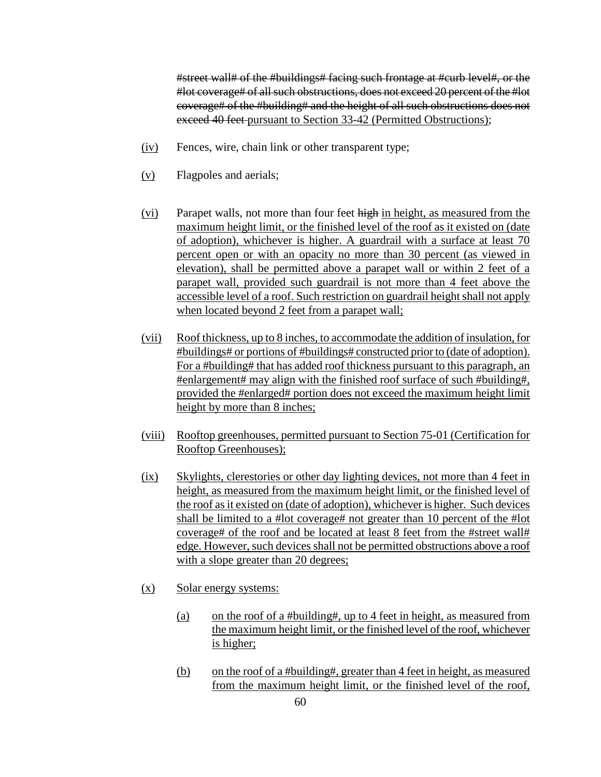#street wall# of the #buildings# facing such frontage at #curb level#, or the #lot coverage# of all such obstructions, does not exceed 20 percent of the #lot coverage# of the #building# and the height of all such obstructions does not exceed 40 feet pursuant to Section 33-42 (Permitted Obstructions);

- (iv) Fences, wire, chain link or other transparent type;
- (v) Flagpoles and aerials;
- (vi) Parapet walls, not more than four feet high in height, as measured from the maximum height limit, or the finished level of the roof as it existed on (date of adoption), whichever is higher. A guardrail with a surface at least 70 percent open or with an opacity no more than 30 percent (as viewed in elevation), shall be permitted above a parapet wall or within 2 feet of a parapet wall, provided such guardrail is not more than 4 feet above the accessible level of a roof. Such restriction on guardrail height shall not apply when located beyond 2 feet from a parapet wall;
- (vii) Roof thickness, up to 8 inches, to accommodate the addition of insulation, for #buildings# or portions of #buildings# constructed prior to (date of adoption). For a #building# that has added roof thickness pursuant to this paragraph, an #enlargement# may align with the finished roof surface of such #building#, provided the #enlarged# portion does not exceed the maximum height limit height by more than 8 inches;
- (viii) Rooftop greenhouses, permitted pursuant to Section 75-01 (Certification for Rooftop Greenhouses);
- (ix) Skylights, clerestories or other day lighting devices, not more than 4 feet in height, as measured from the maximum height limit, or the finished level of the roof as it existed on (date of adoption), whichever is higher. Such devices shall be limited to a #lot coverage# not greater than 10 percent of the #lot coverage# of the roof and be located at least 8 feet from the #street wall# edge. However, such devices shall not be permitted obstructions above a roof with a slope greater than 20 degrees;
- (x) Solar energy systems:
	- (a) on the roof of a #building#, up to 4 feet in height, as measured from the maximum height limit, or the finished level of the roof, whichever is higher;
	- (b) on the roof of a #building#, greater than 4 feet in height, as measured from the maximum height limit, or the finished level of the roof,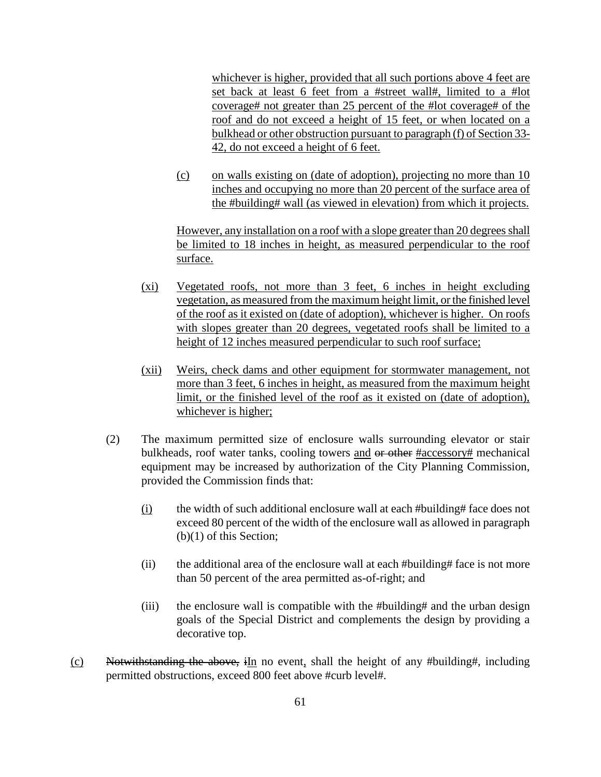whichever is higher, provided that all such portions above 4 feet are set back at least 6 feet from a #street wall#, limited to a #lot coverage# not greater than 25 percent of the #lot coverage# of the roof and do not exceed a height of 15 feet, or when located on a bulkhead or other obstruction pursuant to paragraph (f) of Section 33- 42, do not exceed a height of 6 feet.

(c) on walls existing on (date of adoption), projecting no more than 10 inches and occupying no more than 20 percent of the surface area of the #building# wall (as viewed in elevation) from which it projects.

However, any installation on a roof with a slope greater than 20 degrees shall be limited to 18 inches in height, as measured perpendicular to the roof surface.

- (xi) Vegetated roofs, not more than 3 feet, 6 inches in height excluding vegetation, as measured from the maximum height limit, or the finished level of the roof as it existed on (date of adoption), whichever is higher. On roofs with slopes greater than 20 degrees, vegetated roofs shall be limited to a height of 12 inches measured perpendicular to such roof surface;
- (xii) Weirs, check dams and other equipment for stormwater management, not more than 3 feet, 6 inches in height, as measured from the maximum height limit, or the finished level of the roof as it existed on (date of adoption), whichever is higher;
- (2) The maximum permitted size of enclosure walls surrounding elevator or stair bulkheads, roof water tanks, cooling towers and or other #accessory# mechanical equipment may be increased by authorization of the City Planning Commission, provided the Commission finds that:
	- (i) the width of such additional enclosure wall at each  $\#$  building  $\#$  face does not exceed 80 percent of the width of the enclosure wall as allowed in paragraph (b)(1) of this Section;
	- (ii) the additional area of the enclosure wall at each #building# face is not more than 50 percent of the area permitted as-of-right; and
	- (iii) the enclosure wall is compatible with the #building# and the urban design goals of the Special District and complements the design by providing a decorative top.
- (c) Notwithstanding the above, iIn no event, shall the height of any #building#, including permitted obstructions, exceed 800 feet above #curb level#.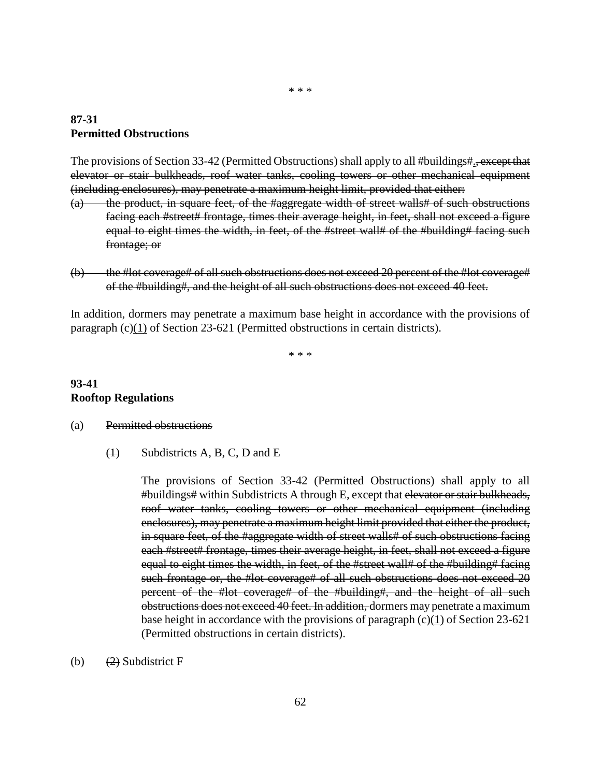#### **87-31 Permitted Obstructions**

The provisions of Section 33-42 (Permitted Obstructions) shall apply to all #buildings#., except that elevator or stair bulkheads, roof water tanks, cooling towers or other mechanical equipment (including enclosures), may penetrate a maximum height limit, provided that either:

- (a) the product, in square feet, of the #aggregate width of street walls# of such obstructions facing each #street# frontage, times their average height, in feet, shall not exceed a figure equal to eight times the width, in feet, of the #street wall# of the #building# facing such frontage; or
- (b) the #lot coverage# of all such obstructions does not exceed 20 percent of the #lot coverage# of the #building#, and the height of all such obstructions does not exceed 40 feet.

In addition, dormers may penetrate a maximum base height in accordance with the provisions of paragraph (c)(1) of Section 23-621 (Permitted obstructions in certain districts).

\* \* \*

## **93-41 Rooftop Regulations**

#### (a) Permitted obstructions

 $\overline{(1)}$  Subdistricts A, B, C, D and E

The provisions of Section 33-42 (Permitted Obstructions) shall apply to all #buildings# within Subdistricts A through E, except that elevator or stair bulkheads, roof water tanks, cooling towers or other mechanical equipment (including enclosures), may penetrate a maximum height limit provided that either the product, in square feet, of the #aggregate width of street walls# of such obstructions facing each #street# frontage, times their average height, in feet, shall not exceed a figure equal to eight times the width, in feet, of the #street wall# of the #building# facing such frontage or, the #lot coverage# of all such obstructions does not exceed 20 percent of the #lot coverage# of the #building#, and the height of all such obstructions does not exceed 40 feet. In addition, dormers may penetrate a maximum base height in accordance with the provisions of paragraph  $(c)(1)$  of Section 23-621 (Permitted obstructions in certain districts).

(b)  $(2)$  Subdistrict F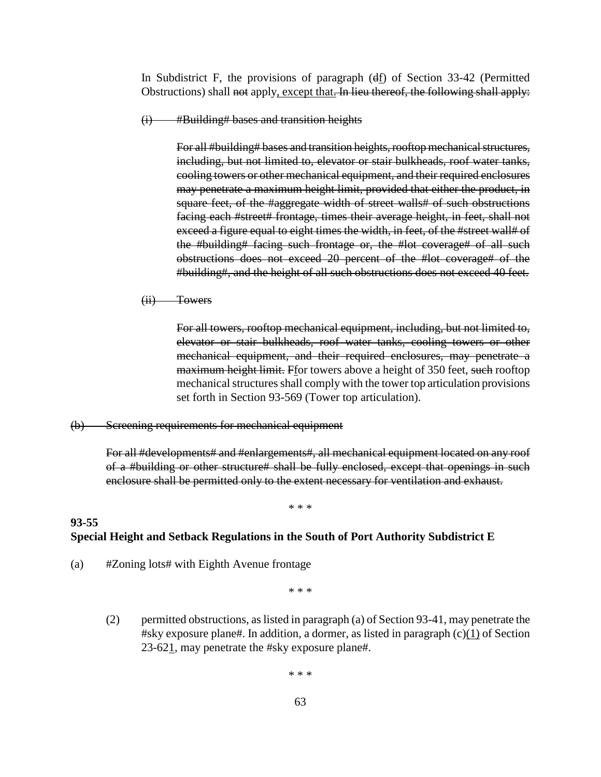In Subdistrict F, the provisions of paragraph  $(df)$  of Section 33-42 (Permitted Obstructions) shall not apply, except that. In lieu thereof, the following shall apply:

(i) #Building# bases and transition heights

For all #building# bases and transition heights, rooftop mechanical structures, including, but not limited to, elevator or stair bulkheads, roof water tanks, cooling towers or other mechanical equipment, and their required enclosures may penetrate a maximum height limit, provided that either the product, in square feet, of the #aggregate width of street walls# of such obstructions facing each #street# frontage, times their average height, in feet, shall not exceed a figure equal to eight times the width, in feet, of the #street wall# of the #building# facing such frontage or, the #lot coverage# of all such obstructions does not exceed 20 percent of the #lot coverage# of the #building#, and the height of all such obstructions does not exceed 40 feet.

(ii) Towers

For all towers, rooftop mechanical equipment, including, but not limited to, elevator or stair bulkheads, roof water tanks, cooling towers or other mechanical equipment, and their required enclosures, may penetrate a maximum height limit. Ffor towers above a height of 350 feet, such rooftop mechanical structures shall comply with the tower top articulation provisions set forth in Section 93-569 (Tower top articulation).

#### (b) Screening requirements for mechanical equipment

For all #developments# and #enlargements#, all mechanical equipment located on any roof of a #building or other structure# shall be fully enclosed, except that openings in such enclosure shall be permitted only to the extent necessary for ventilation and exhaust.

#### \* \* \*

#### **Special Height and Setback Regulations in the South of Port Authority Subdistrict E**

(a) #Zoning lots# with Eighth Avenue frontage

**93-55**

\* \* \*

(2) permitted obstructions, as listed in paragraph (a) of Section 93-41, may penetrate the #sky exposure plane#. In addition, a dormer, as listed in paragraph (c)(1) of Section 23-621, may penetrate the #sky exposure plane#.

\* \* \*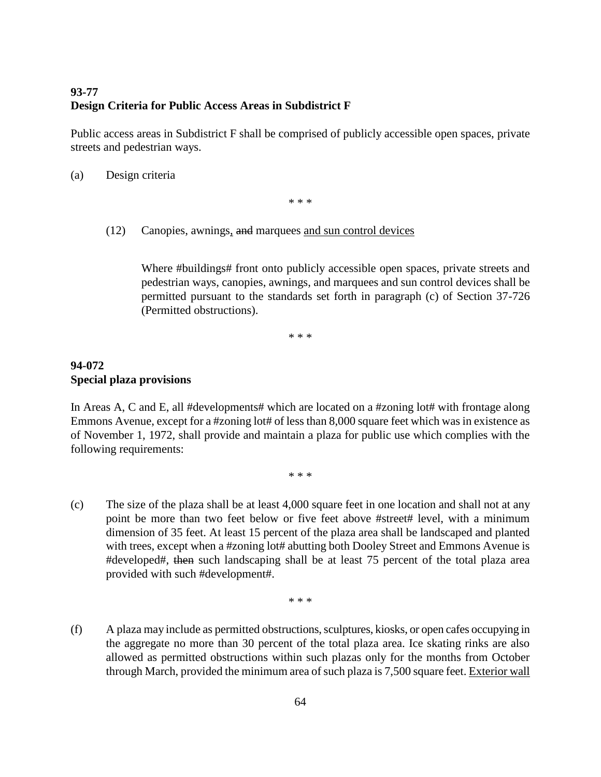# **93-77 Design Criteria for Public Access Areas in Subdistrict F**

Public access areas in Subdistrict F shall be comprised of publicly accessible open spaces, private streets and pedestrian ways.

(a) Design criteria

\* \* \*

(12) Canopies, awnings, and marquees and sun control devices

Where #buildings# front onto publicly accessible open spaces, private streets and pedestrian ways, canopies, awnings, and marquees and sun control devices shall be permitted pursuant to the standards set forth in paragraph (c) of Section 37-726 (Permitted obstructions).

\* \* \*

# **94-072 Special plaza provisions**

In Areas A, C and E, all #developments# which are located on a #zoning lot# with frontage along Emmons Avenue, except for a #zoning lot# of less than 8,000 square feet which was in existence as of November 1, 1972, shall provide and maintain a plaza for public use which complies with the following requirements:

\* \* \*

(c) The size of the plaza shall be at least 4,000 square feet in one location and shall not at any point be more than two feet below or five feet above #street# level, with a minimum dimension of 35 feet. At least 15 percent of the plaza area shall be landscaped and planted with trees, except when a #zoning lot# abutting both Dooley Street and Emmons Avenue is #developed#, then such landscaping shall be at least 75 percent of the total plaza area provided with such #development#.

\* \* \*

(f) A plaza may include as permitted obstructions, sculptures, kiosks, or open cafes occupying in the aggregate no more than 30 percent of the total plaza area. Ice skating rinks are also allowed as permitted obstructions within such plazas only for the months from October through March, provided the minimum area of such plaza is 7,500 square feet. Exterior wall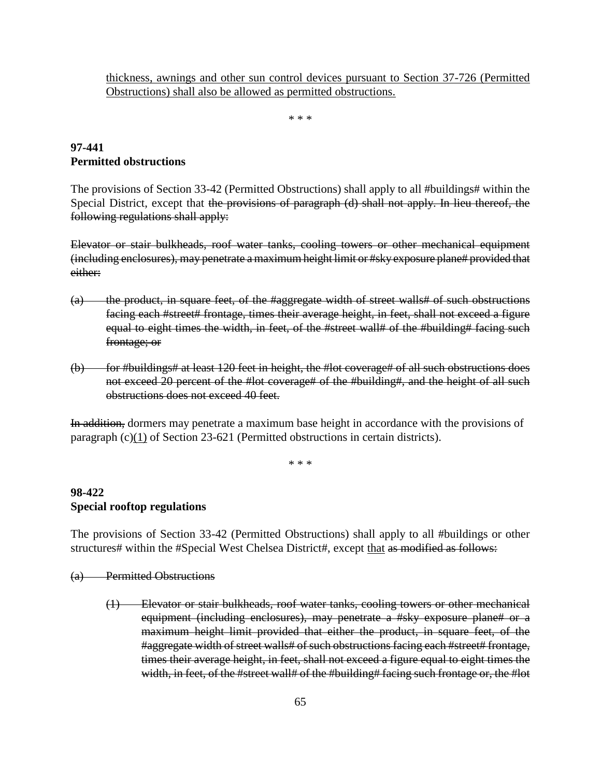thickness, awnings and other sun control devices pursuant to Section 37-726 (Permitted Obstructions) shall also be allowed as permitted obstructions.

\* \* \*

# **97-441 Permitted obstructions**

The provisions of Section 33-42 (Permitted Obstructions) shall apply to all #buildings# within the Special District, except that the provisions of paragraph (d) shall not apply. In lieu thereof, the following regulations shall apply:

Elevator or stair bulkheads, roof water tanks, cooling towers or other mechanical equipment (including enclosures), may penetrate a maximum height limit or #sky exposure plane# provided that either:

- (a) the product, in square feet, of the #aggregate width of street walls# of such obstructions facing each #street# frontage, times their average height, in feet, shall not exceed a figure equal to eight times the width, in feet, of the #street wall# of the #building# facing such frontage; or
- (b) for #buildings# at least 120 feet in height, the #lot coverage# of all such obstructions does not exceed 20 percent of the #lot coverage# of the #building#, and the height of all such obstructions does not exceed 40 feet.

In addition, dormers may penetrate a maximum base height in accordance with the provisions of paragraph (c)(1) of Section 23-621 (Permitted obstructions in certain districts).

\* \* \*

## **98-422 Special rooftop regulations**

The provisions of Section 33-42 (Permitted Obstructions) shall apply to all #buildings or other structures# within the #Special West Chelsea District#, except that as modified as follows:

## (a) Permitted Obstructions

(1) Elevator or stair bulkheads, roof water tanks, cooling towers or other mechanical equipment (including enclosures), may penetrate a #sky exposure plane# or a maximum height limit provided that either the product, in square feet, of the #aggregate width of street walls# of such obstructions facing each #street# frontage, times their average height, in feet, shall not exceed a figure equal to eight times the width, in feet, of the #street wall# of the #building# facing such frontage or, the #lot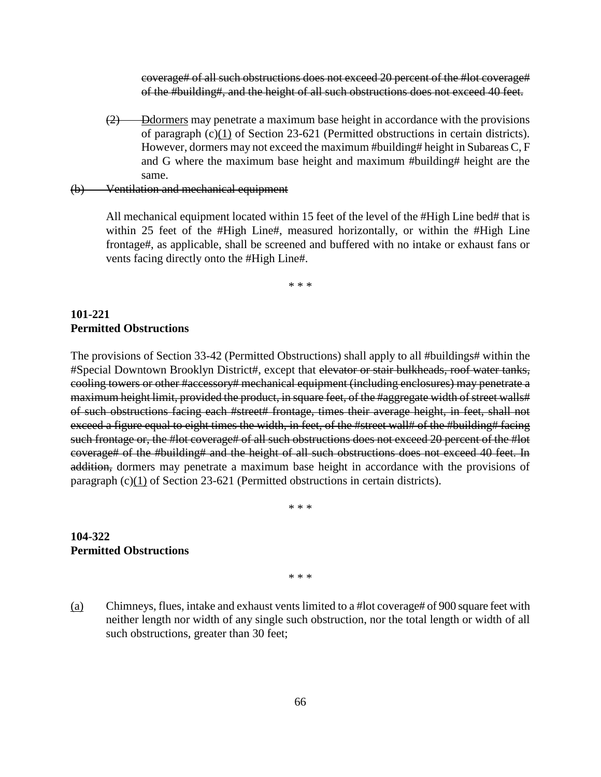coverage# of all such obstructions does not exceed 20 percent of the #lot coverage# of the #building#, and the height of all such obstructions does not exceed 40 feet.

(2) Ddormers may penetrate a maximum base height in accordance with the provisions of paragraph  $(c)(1)$  of Section 23-621 (Permitted obstructions in certain districts). However, dormers may not exceed the maximum #building# height in Subareas C, F and G where the maximum base height and maximum #building# height are the same.

(b) Ventilation and mechanical equipment

All mechanical equipment located within 15 feet of the level of the #High Line bed# that is within 25 feet of the #High Line#, measured horizontally, or within the #High Line frontage#, as applicable, shall be screened and buffered with no intake or exhaust fans or vents facing directly onto the #High Line#.

\* \* \*

#### **101-221 Permitted Obstructions**

The provisions of Section 33-42 (Permitted Obstructions) shall apply to all #buildings# within the #Special Downtown Brooklyn District#, except that elevator or stair bulkheads, roof water tanks, cooling towers or other #accessory# mechanical equipment (including enclosures) may penetrate a maximum height limit, provided the product, in square feet, of the #aggregate width of street walls# of such obstructions facing each #street# frontage, times their average height, in feet, shall not exceed a figure equal to eight times the width, in feet, of the #street wall# of the #building# facing such frontage or, the #lot coverage# of all such obstructions does not exceed 20 percent of the #lot coverage# of the #building# and the height of all such obstructions does not exceed 40 feet. In addition, dormers may penetrate a maximum base height in accordance with the provisions of paragraph (c)(1) of Section 23-621 (Permitted obstructions in certain districts).

\* \* \*

#### **104-322 Permitted Obstructions**

\* \* \*

(a) Chimneys, flues, intake and exhaust vents limited to a #lot coverage# of 900 square feet with neither length nor width of any single such obstruction, nor the total length or width of all such obstructions, greater than 30 feet;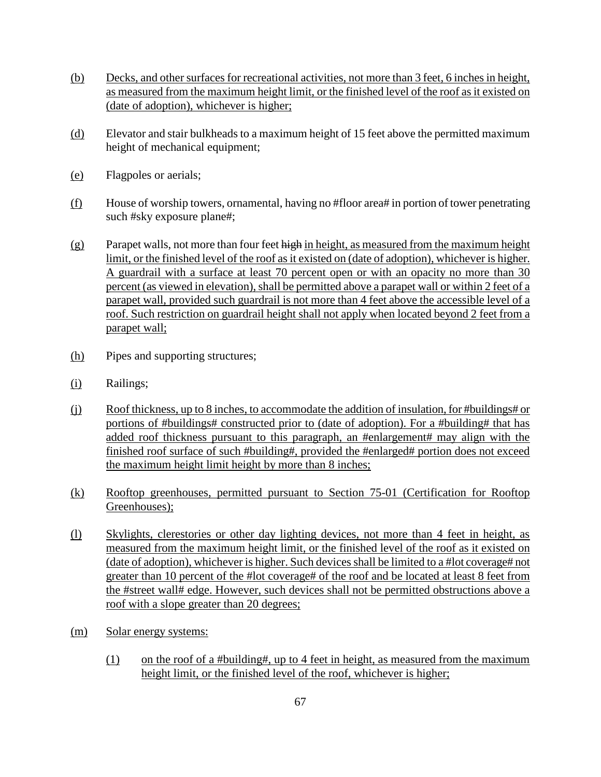- (b) Decks, and other surfaces for recreational activities, not more than 3 feet, 6 inches in height, as measured from the maximum height limit, or the finished level of the roof as it existed on (date of adoption), whichever is higher;
- (d) Elevator and stair bulkheads to a maximum height of 15 feet above the permitted maximum height of mechanical equipment;
- (e) Flagpoles or aerials;
- $(f)$  House of worship towers, ornamental, having no #floor area# in portion of tower penetrating such #sky exposure plane#;
- $(g)$  Parapet walls, not more than four feet high in height, as measured from the maximum height limit, or the finished level of the roof as it existed on (date of adoption), whichever is higher. A guardrail with a surface at least 70 percent open or with an opacity no more than 30 percent (as viewed in elevation), shall be permitted above a parapet wall or within 2 feet of a parapet wall, provided such guardrail is not more than 4 feet above the accessible level of a roof. Such restriction on guardrail height shall not apply when located beyond 2 feet from a parapet wall;
- (h) Pipes and supporting structures;
- (i) Railings;
- (j) Roof thickness, up to 8 inches, to accommodate the addition of insulation, for #buildings# or portions of #buildings# constructed prior to (date of adoption). For a #building# that has added roof thickness pursuant to this paragraph, an #enlargement# may align with the finished roof surface of such #building#, provided the #enlarged# portion does not exceed the maximum height limit height by more than 8 inches;
- (k) Rooftop greenhouses, permitted pursuant to Section 75-01 (Certification for Rooftop Greenhouses);
- (l) Skylights, clerestories or other day lighting devices, not more than 4 feet in height, as measured from the maximum height limit, or the finished level of the roof as it existed on (date of adoption), whichever is higher. Such devices shall be limited to a #lot coverage# not greater than 10 percent of the #lot coverage# of the roof and be located at least 8 feet from the #street wall# edge. However, such devices shall not be permitted obstructions above a roof with a slope greater than 20 degrees;
- (m) Solar energy systems:
	- (1) on the roof of a #building#, up to 4 feet in height, as measured from the maximum height limit, or the finished level of the roof, whichever is higher;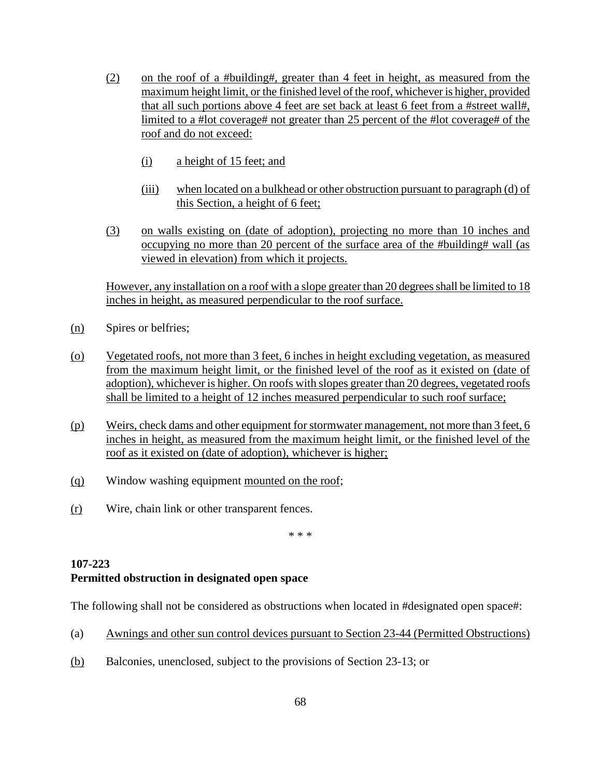- (2) on the roof of a #building#, greater than 4 feet in height, as measured from the maximum height limit, or the finished level of the roof, whichever is higher, provided that all such portions above 4 feet are set back at least 6 feet from a #street wall#, limited to a #lot coverage# not greater than 25 percent of the #lot coverage# of the roof and do not exceed:
	- (i) a height of 15 feet; and
	- (iii) when located on a bulkhead or other obstruction pursuant to paragraph (d) of this Section, a height of 6 feet;
- (3) on walls existing on (date of adoption), projecting no more than 10 inches and occupying no more than 20 percent of the surface area of the #building# wall (as viewed in elevation) from which it projects.

However, any installation on a roof with a slope greater than 20 degrees shall be limited to 18 inches in height, as measured perpendicular to the roof surface.

- (n) Spires or belfries;
- (o) Vegetated roofs, not more than 3 feet, 6 inches in height excluding vegetation, as measured from the maximum height limit, or the finished level of the roof as it existed on (date of adoption), whichever is higher. On roofs with slopes greater than 20 degrees, vegetated roofs shall be limited to a height of 12 inches measured perpendicular to such roof surface;
- (p) Weirs, check dams and other equipment for stormwater management, not more than 3 feet, 6 inches in height, as measured from the maximum height limit, or the finished level of the roof as it existed on (date of adoption), whichever is higher;
- (q) Window washing equipment mounted on the roof;
- (r) Wire, chain link or other transparent fences.

\* \* \*

# **107-223 Permitted obstruction in designated open space**

The following shall not be considered as obstructions when located in #designated open space#:

- (a) Awnings and other sun control devices pursuant to Section 23-44 (Permitted Obstructions)
- (b) Balconies, unenclosed, subject to the provisions of Section 23-13; or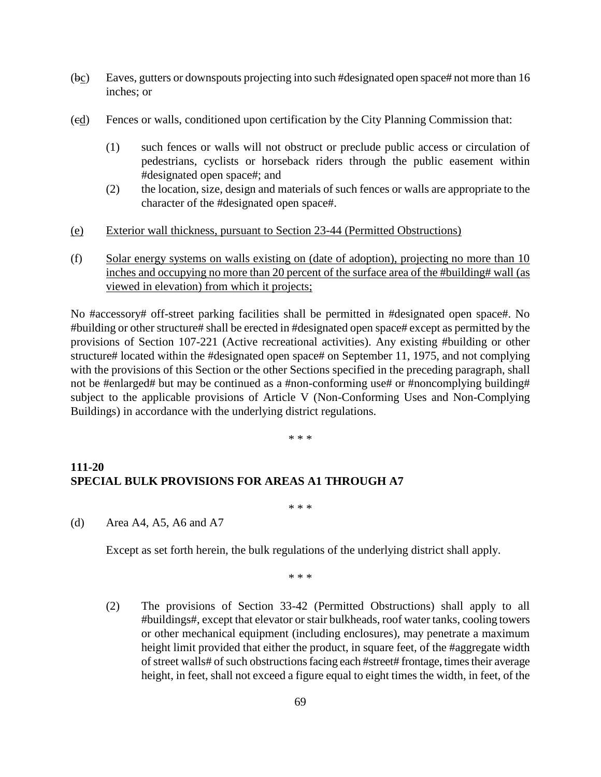- (bc) Eaves, gutters or downspouts projecting into such #designated open space# not more than 16 inches; or
- (cd) Fences or walls, conditioned upon certification by the City Planning Commission that:
	- (1) such fences or walls will not obstruct or preclude public access or circulation of pedestrians, cyclists or horseback riders through the public easement within #designated open space#; and
	- (2) the location, size, design and materials of such fences or walls are appropriate to the character of the #designated open space#.
- (e) Exterior wall thickness, pursuant to Section 23-44 (Permitted Obstructions)
- (f) Solar energy systems on walls existing on (date of adoption), projecting no more than 10 inches and occupying no more than 20 percent of the surface area of the #building# wall (as viewed in elevation) from which it projects;

No #accessory# off-street parking facilities shall be permitted in #designated open space#. No #building or other structure# shall be erected in #designated open space# except as permitted by the provisions of Section 107-221 (Active recreational activities). Any existing #building or other structure# located within the #designated open space# on September 11, 1975, and not complying with the provisions of this Section or the other Sections specified in the preceding paragraph, shall not be #enlarged# but may be continued as a #non-conforming use# or #noncomplying building# subject to the applicable provisions of Article V (Non-Conforming Uses and Non-Complying Buildings) in accordance with the underlying district regulations.

\* \* \*

#### **111-20 SPECIAL BULK PROVISIONS FOR AREAS A1 THROUGH A7**

\* \* \*

(d) Area A4, A5, A6 and A7

Except as set forth herein, the bulk regulations of the underlying district shall apply.

\* \* \*

(2) The provisions of Section 33-42 (Permitted Obstructions) shall apply to all #buildings#, except that elevator or stair bulkheads, roof water tanks, cooling towers or other mechanical equipment (including enclosures), may penetrate a maximum height limit provided that either the product, in square feet, of the #aggregate width of street walls# of such obstructions facing each #street# frontage, times their average height, in feet, shall not exceed a figure equal to eight times the width, in feet, of the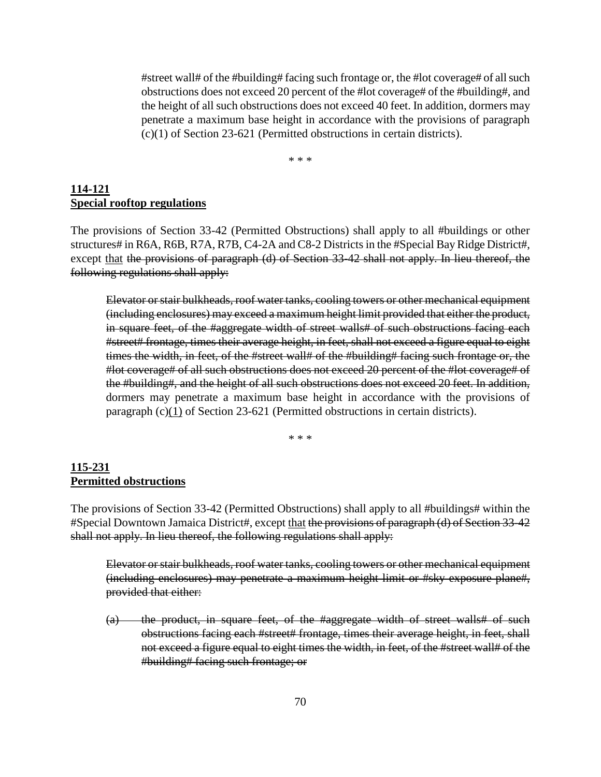#street wall# of the #building# facing such frontage or, the #lot coverage# of all such obstructions does not exceed 20 percent of the #lot coverage# of the #building#, and the height of all such obstructions does not exceed 40 feet. In addition, dormers may penetrate a maximum base height in accordance with the provisions of paragraph (c)(1) of Section 23-621 (Permitted obstructions in certain districts).

\* \* \*

#### **114-121 Special rooftop regulations**

The provisions of Section 33-42 (Permitted Obstructions) shall apply to all #buildings or other structures# in R6A, R6B, R7A, R7B, C4-2A and C8-2 Districts in the #Special Bay Ridge District#, except that the provisions of paragraph (d) of Section 33-42 shall not apply. In lieu thereof, the following regulations shall apply:

Elevator or stair bulkheads, roof water tanks, cooling towers or other mechanical equipment (including enclosures) may exceed a maximum height limit provided that either the product, in square feet, of the #aggregate width of street walls# of such obstructions facing each #street# frontage, times their average height, in feet, shall not exceed a figure equal to eight times the width, in feet, of the #street wall# of the #building# facing such frontage or, the #lot coverage# of all such obstructions does not exceed 20 percent of the #lot coverage# of the #building#, and the height of all such obstructions does not exceed 20 feet. In addition, dormers may penetrate a maximum base height in accordance with the provisions of paragraph (c)(1) of Section 23-621 (Permitted obstructions in certain districts).

\* \* \*

#### **115-231 Permitted obstructions**

The provisions of Section 33-42 (Permitted Obstructions) shall apply to all #buildings# within the #Special Downtown Jamaica District#, except that the provisions of paragraph (d) of Section 33-42 shall not apply. In lieu thereof, the following regulations shall apply:

Elevator or stair bulkheads, roof water tanks, cooling towers or other mechanical equipment (including enclosures) may penetrate a maximum height limit or #sky exposure plane#, provided that either:

(a) the product, in square feet, of the #aggregate width of street walls# of such obstructions facing each #street# frontage, times their average height, in feet, shall not exceed a figure equal to eight times the width, in feet, of the #street wall# of the #building# facing such frontage; or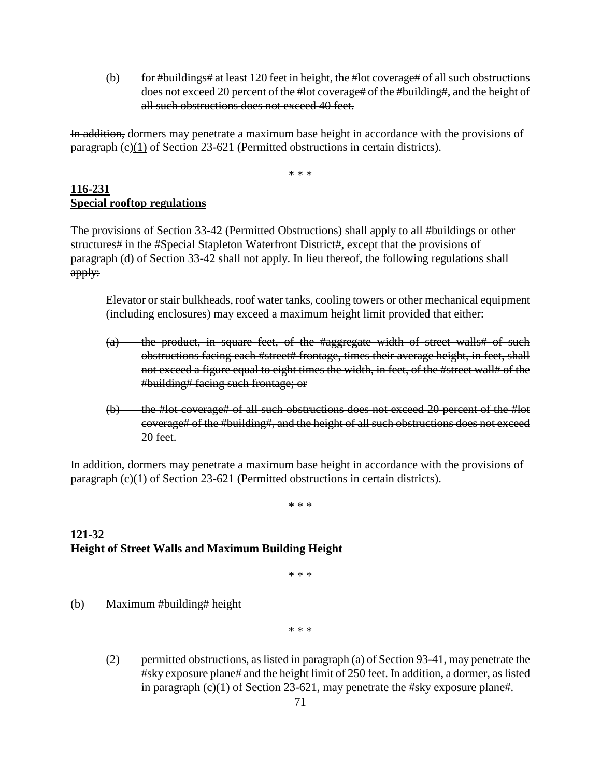$(b)$  for #buildings# at least 120 feet in height, the #lot coverage# of all such obstructions does not exceed 20 percent of the #lot coverage# of the #building#, and the height of all such obstructions does not exceed 40 feet.

In addition, dormers may penetrate a maximum base height in accordance with the provisions of paragraph (c)(1) of Section 23-621 (Permitted obstructions in certain districts).

\* \* \*

#### **116-231 Special rooftop regulations**

The provisions of Section 33-42 (Permitted Obstructions) shall apply to all #buildings or other structures# in the #Special Stapleton Waterfront District#, except that the provisions of paragraph (d) of Section 33-42 shall not apply. In lieu thereof, the following regulations shall apply:

Elevator or stair bulkheads, roof water tanks, cooling towers or other mechanical equipment (including enclosures) may exceed a maximum height limit provided that either:

- (a) the product, in square feet, of the #aggregate width of street walls# of such obstructions facing each #street# frontage, times their average height, in feet, shall not exceed a figure equal to eight times the width, in feet, of the #street wall# of the #building# facing such frontage; or
- (b) the #lot coverage# of all such obstructions does not exceed 20 percent of the #lot coverage# of the #building#, and the height of all such obstructions does not exceed 20 feet.

In addition, dormers may penetrate a maximum base height in accordance with the provisions of paragraph (c)(1) of Section 23-621 (Permitted obstructions in certain districts).

\* \* \*

## **121-32 Height of Street Walls and Maximum Building Height**

\* \* \*

(b) Maximum #building# height

\* \* \*

(2) permitted obstructions, as listed in paragraph (a) of Section 93-41, may penetrate the #sky exposure plane# and the height limit of 250 feet. In addition, a dormer, as listed in paragraph (c)(1) of Section 23-621, may penetrate the #sky exposure plane#.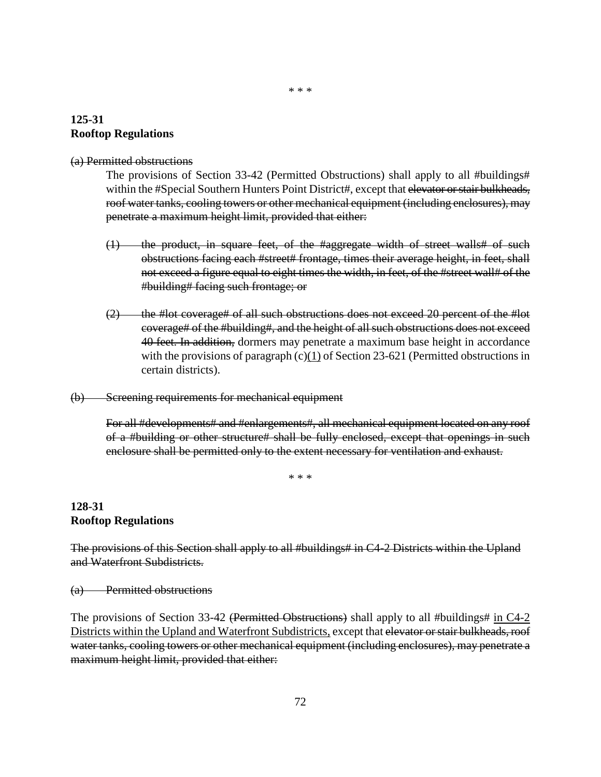# **125-31 Rooftop Regulations**

#### (a) Permitted obstructions

The provisions of Section 33-42 (Permitted Obstructions) shall apply to all #buildings# within the #Special Southern Hunters Point District#, except that elevator or stair bulkheads, roof water tanks, cooling towers or other mechanical equipment (including enclosures), may penetrate a maximum height limit, provided that either:

- (1) the product, in square feet, of the #aggregate width of street walls# of such obstructions facing each #street# frontage, times their average height, in feet, shall not exceed a figure equal to eight times the width, in feet, of the #street wall# of the #building# facing such frontage; or
- $(2)$  the #lot coverage# of all such obstructions does not exceed 20 percent of the #lot coverage# of the #building#, and the height of all such obstructions does not exceed 40 feet. In addition, dormers may penetrate a maximum base height in accordance with the provisions of paragraph  $(c)(1)$  of Section 23-621 (Permitted obstructions in certain districts).
- (b) Screening requirements for mechanical equipment

For all #developments# and #enlargements#, all mechanical equipment located on any roof of a #building or other structure# shall be fully enclosed, except that openings in such enclosure shall be permitted only to the extent necessary for ventilation and exhaust.

\* \* \*

# **128-31 Rooftop Regulations**

The provisions of this Section shall apply to all #buildings# in C4-2 Districts within the Upland and Waterfront Subdistricts.

(a) Permitted obstructions

The provisions of Section 33-42 (Permitted Obstructions) shall apply to all #buildings# in  $C4-2$ Districts within the Upland and Waterfront Subdistricts, except that elevator or stair bulkheads, roof water tanks, cooling towers or other mechanical equipment (including enclosures), may penetrate a maximum height limit, provided that either: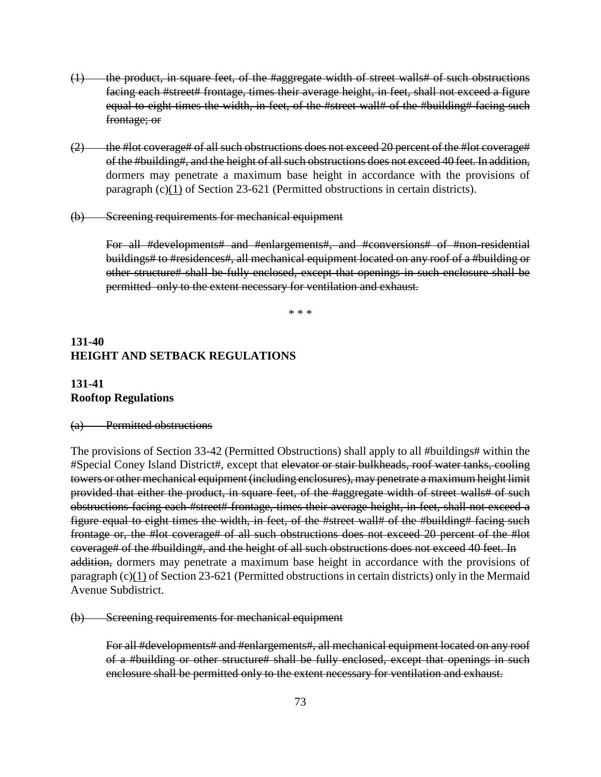- (1) the product, in square feet, of the #aggregate width of street walls# of such obstructions facing each #street# frontage, times their average height, in feet, shall not exceed a figure equal to eight times the width, in feet, of the #street wall# of the #building# facing such frontage; or
- $(2)$  the #lot coverage# of all such obstructions does not exceed 20 percent of the #lot coverage# of the #building#, and the height of all such obstructions does not exceed 40 feet. In addition, dormers may penetrate a maximum base height in accordance with the provisions of paragraph (c)(1) of Section 23-621 (Permitted obstructions in certain districts).
- (b) Screening requirements for mechanical equipment

For all #developments# and #enlargements#, and #conversions# of #non-residential buildings# to #residences#, all mechanical equipment located on any roof of a #building or other structure# shall be fully enclosed, except that openings in such enclosure shall be permitted only to the extent necessary for ventilation and exhaust.

\* \* \*

## **131-40 HEIGHT AND SETBACK REGULATIONS**

## **131-41 Rooftop Regulations**

## (a) Permitted obstructions

The provisions of Section 33-42 (Permitted Obstructions) shall apply to all #buildings# within the #Special Coney Island District#, except that elevator or stair bulkheads, roof water tanks, cooling towers or other mechanical equipment (including enclosures), may penetrate a maximum height limit provided that either the product, in square feet, of the #aggregate width of street walls# of such obstructions facing each #street# frontage, times their average height, in feet, shall not exceed a figure equal to eight times the width, in feet, of the #street wall# of the #building# facing such frontage or, the #lot coverage# of all such obstructions does not exceed 20 percent of the #lot coverage# of the #building#, and the height of all such obstructions does not exceed 40 feet. In addition, dormers may penetrate a maximum base height in accordance with the provisions of paragraph (c)(1) of Section 23-621 (Permitted obstructions in certain districts) only in the Mermaid Avenue Subdistrict.

(b) Screening requirements for mechanical equipment

For all #developments# and #enlargements#, all mechanical equipment located on any roof of a #building or other structure# shall be fully enclosed, except that openings in such enclosure shall be permitted only to the extent necessary for ventilation and exhaust.